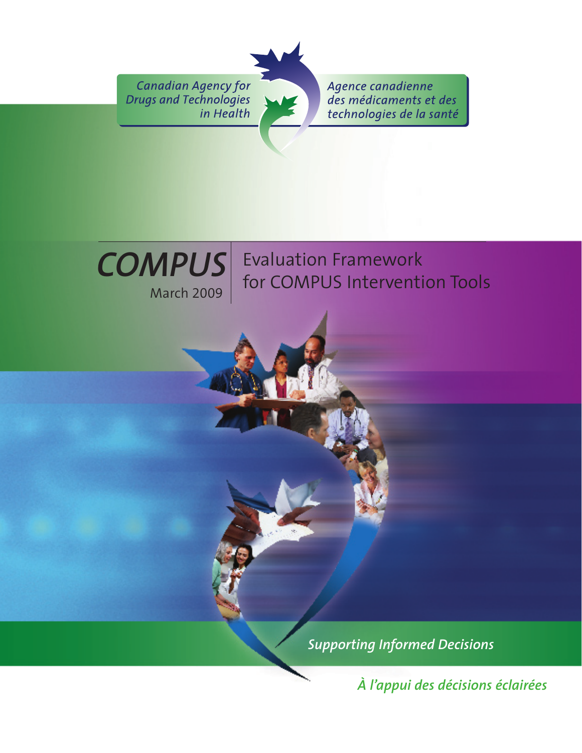Canadian Agency for Drugs and Technologies in Health

Agence canadienne des médicaments et des technologies de la santé



Evaluation Framework for COMPUS Intervention Tools

*Supporting Informed Decisions* 

*À l'appui des décisions éclairées*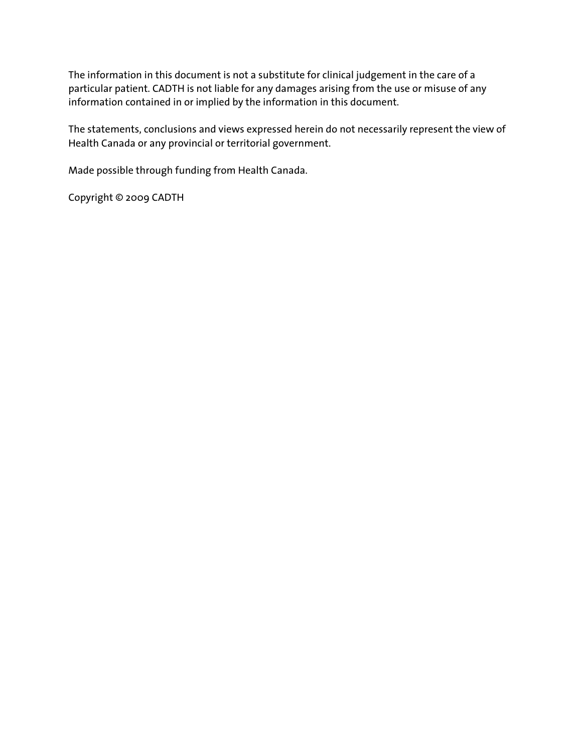The information in this document is not a substitute for clinical judgement in the care of a particular patient. CADTH is not liable for any damages arising from the use or misuse of any information contained in or implied by the information in this document.

The statements, conclusions and views expressed herein do not necessarily represent the view of Health Canada or any provincial or territorial government.

Made possible through funding from Health Canada.

Copyright © 2009 CADTH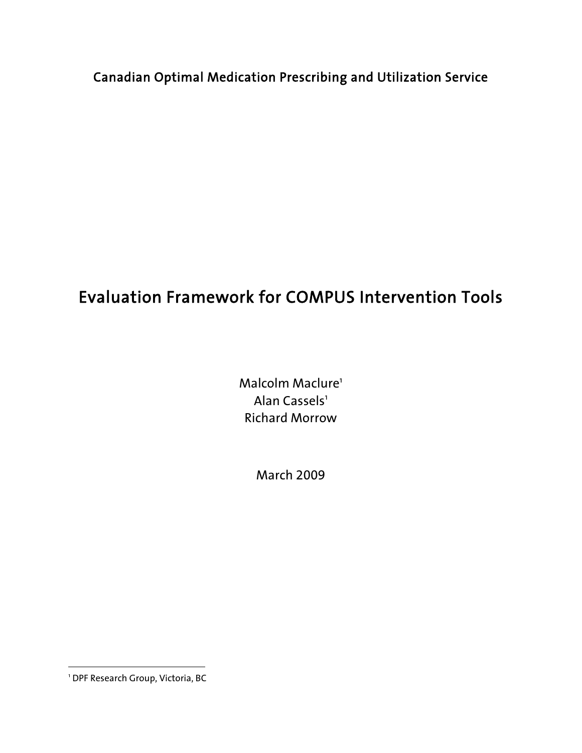Canadian Optimal Medication Prescribing and Utilization Service

# Evaluation Framework for COMPUS Intervention Tools

Malcolm Maclure<sup>1</sup> Alan Cassels<sup>1</sup> Richard Morrow

March 2009

1 DPF Research Group, Victoria, BC

 $\overline{a}$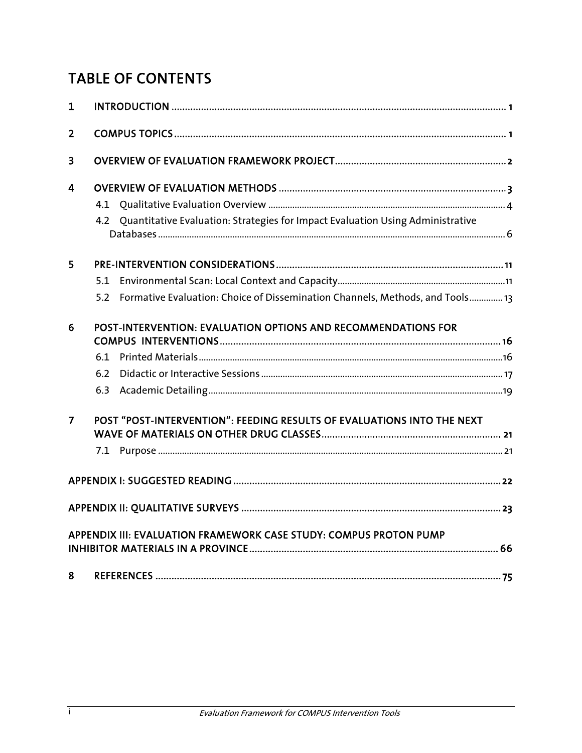## TABLE OF CONTENTS

| 1              |                                                                                      |  |
|----------------|--------------------------------------------------------------------------------------|--|
| $\overline{2}$ |                                                                                      |  |
| 3              |                                                                                      |  |
| $\overline{4}$ |                                                                                      |  |
|                |                                                                                      |  |
|                | 4.2 Quantitative Evaluation: Strategies for Impact Evaluation Using Administrative   |  |
| 5              |                                                                                      |  |
|                | 5.1                                                                                  |  |
|                | Formative Evaluation: Choice of Dissemination Channels, Methods, and Tools 13<br>5.2 |  |
| 6              | POST-INTERVENTION: EVALUATION OPTIONS AND RECOMMENDATIONS FOR                        |  |
|                | 6.1                                                                                  |  |
|                | 6.2                                                                                  |  |
|                | 6.3                                                                                  |  |
| $\overline{7}$ | POST "POST-INTERVENTION": FEEDING RESULTS OF EVALUATIONS INTO THE NEXT               |  |
|                |                                                                                      |  |
|                |                                                                                      |  |
|                |                                                                                      |  |
|                | APPENDIX III: EVALUATION FRAMEWORK CASE STUDY: COMPUS PROTON PUMP                    |  |
| 8              |                                                                                      |  |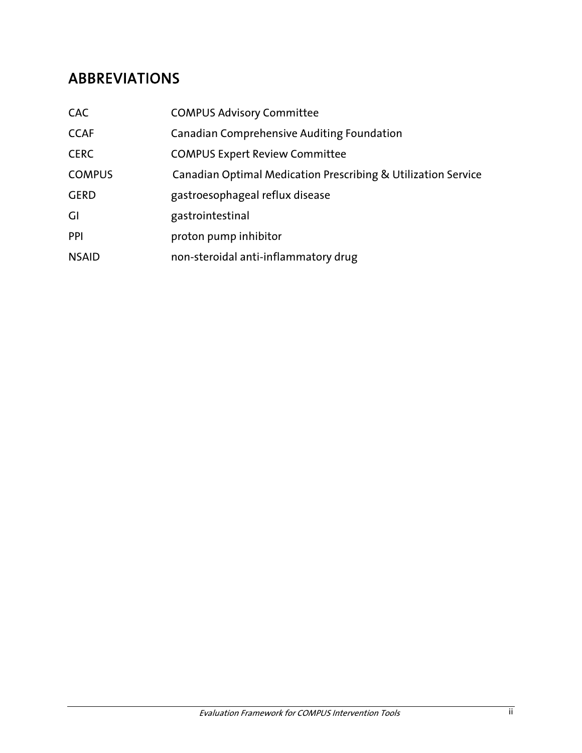## ABBREVIATIONS

| <b>CAC</b>    | <b>COMPUS Advisory Committee</b>                              |
|---------------|---------------------------------------------------------------|
| <b>CCAF</b>   | <b>Canadian Comprehensive Auditing Foundation</b>             |
| <b>CERC</b>   | <b>COMPUS Expert Review Committee</b>                         |
| <b>COMPUS</b> | Canadian Optimal Medication Prescribing & Utilization Service |
| <b>GERD</b>   | gastroesophageal reflux disease                               |
| GI            | gastrointestinal                                              |
| PPI           | proton pump inhibitor                                         |
| <b>NSAID</b>  | non-steroidal anti-inflammatory drug                          |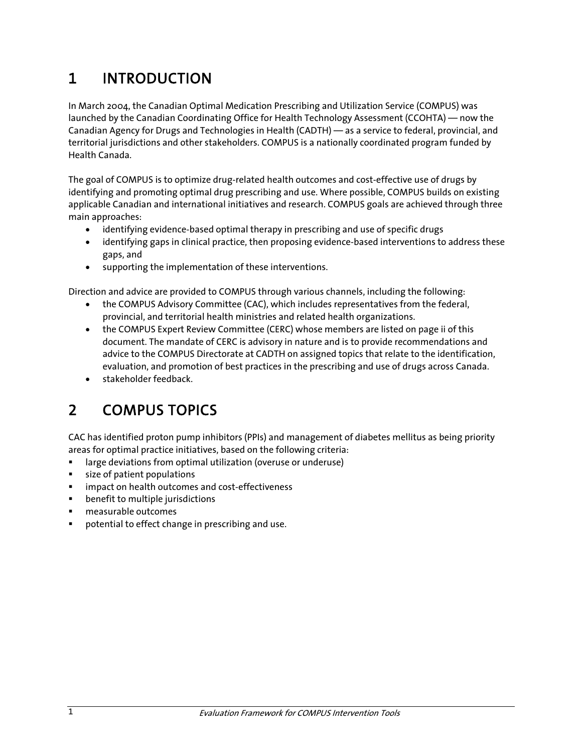# 1 INTRODUCTION

In March 2004, the Canadian Optimal Medication Prescribing and Utilization Service (COMPUS) was launched by the Canadian Coordinating Office for Health Technology Assessment (CCOHTA) — now the Canadian Agency for Drugs and Technologies in Health (CADTH) — as a service to federal, provincial, and territorial jurisdictions and other stakeholders. COMPUS is a nationally coordinated program funded by Health Canada.

The goal of COMPUS is to optimize drug-related health outcomes and cost-effective use of drugs by identifying and promoting optimal drug prescribing and use. Where possible, COMPUS builds on existing applicable Canadian and international initiatives and research. COMPUS goals are achieved through three main approaches:

- identifying evidence-based optimal therapy in prescribing and use of specific drugs
- identifying gaps in clinical practice, then proposing evidence-based interventions to address these gaps, and
- supporting the implementation of these interventions.

Direction and advice are provided to COMPUS through various channels, including the following:

- the COMPUS Advisory Committee (CAC), which includes representatives from the federal, provincial, and territorial health ministries and related health organizations.
- the COMPUS Expert Review Committee (CERC) whose members are listed on page ii of this document. The mandate of CERC is advisory in nature and is to provide recommendations and advice to the COMPUS Directorate at CADTH on assigned topics that relate to the identification, evaluation, and promotion of best practices in the prescribing and use of drugs across Canada.
- stakeholder feedback.

# 2 COMPUS TOPICS

CAC has identified proton pump inhibitors (PPIs) and management of diabetes mellitus as being priority areas for optimal practice initiatives, based on the following criteria:

- large deviations from optimal utilization (overuse or underuse)
- size of patient populations
- impact on health outcomes and cost-effectiveness
- **EXEC** benefit to multiple jurisdictions
- measurable outcomes
- potential to effect change in prescribing and use.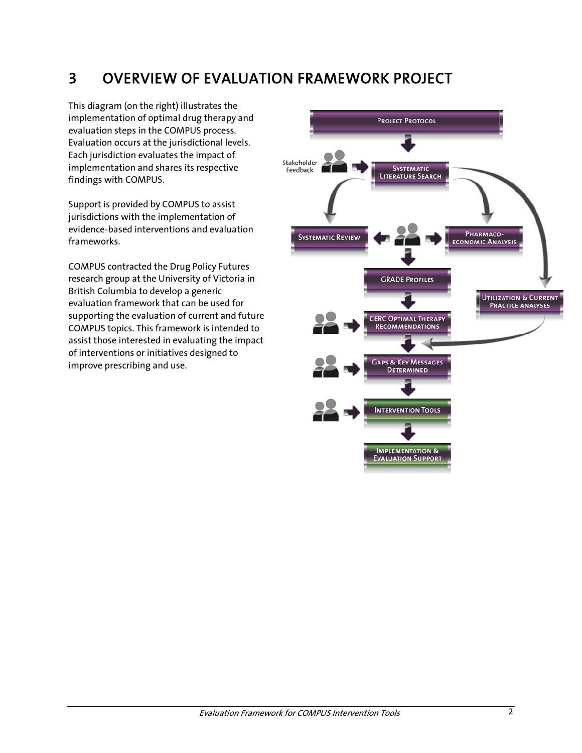# 3 OVERVIEW OF EVALUATION FRAMEWORK PROJECT

This diagram (on the right) illustrates the implementation of optimal drug therapy and evaluation steps in the COMPUS process. Evaluation occurs at the jurisdictional levels. Each jurisdiction evaluates the impact of implementation and shares its respective findings with COMPUS.

Support is provided by COMPUS to assist jurisdictions with the implementation of evidence-based interventions and evaluation frameworks.

COMPUS contracted the Drug Policy Futures research group at the University of Victoria in British Columbia to develop a generic evaluation framework that can be used for supporting the evaluation of current and future COMPUS topics. This framework is intended to assist those interested in evaluating the impact of interventions or initiatives designed to improve prescribing and use.

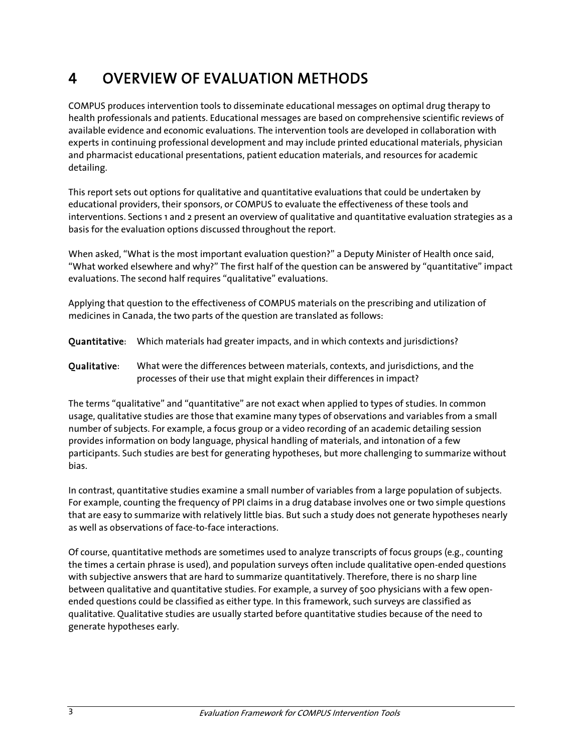# 4 OVERVIEW OF EVALUATION METHODS

COMPUS produces intervention tools to disseminate educational messages on optimal drug therapy to health professionals and patients. Educational messages are based on comprehensive scientific reviews of available evidence and economic evaluations. The intervention tools are developed in collaboration with experts in continuing professional development and may include printed educational materials, physician and pharmacist educational presentations, patient education materials, and resources for academic detailing.

This report sets out options for qualitative and quantitative evaluations that could be undertaken by educational providers, their sponsors, or COMPUS to evaluate the effectiveness of these tools and interventions. Sections 1 and 2 present an overview of qualitative and quantitative evaluation strategies as a basis for the evaluation options discussed throughout the report.

When asked, "What is the most important evaluation question?" a Deputy Minister of Health once said, "What worked elsewhere and why?" The first half of the question can be answered by "quantitative" impact evaluations. The second half requires "qualitative" evaluations.

Applying that question to the effectiveness of COMPUS materials on the prescribing and utilization of medicines in Canada, the two parts of the question are translated as follows:

- Quantitative: Which materials had greater impacts, and in which contexts and jurisdictions?
- Qualitative: What were the differences between materials, contexts, and jurisdictions, and the processes of their use that might explain their differences in impact?

The terms "qualitative" and "quantitative" are not exact when applied to types of studies. In common usage, qualitative studies are those that examine many types of observations and variables from a small number of subjects. For example, a focus group or a video recording of an academic detailing session provides information on body language, physical handling of materials, and intonation of a few participants. Such studies are best for generating hypotheses, but more challenging to summarize without bias.

In contrast, quantitative studies examine a small number of variables from a large population of subjects. For example, counting the frequency of PPI claims in a drug database involves one or two simple questions that are easy to summarize with relatively little bias. But such a study does not generate hypotheses nearly as well as observations of face-to-face interactions.

Of course, quantitative methods are sometimes used to analyze transcripts of focus groups (e.g., counting the times a certain phrase is used), and population surveys often include qualitative open-ended questions with subjective answers that are hard to summarize quantitatively. Therefore, there is no sharp line between qualitative and quantitative studies. For example, a survey of 500 physicians with a few openended questions could be classified as either type. In this framework, such surveys are classified as qualitative. Qualitative studies are usually started before quantitative studies because of the need to generate hypotheses early.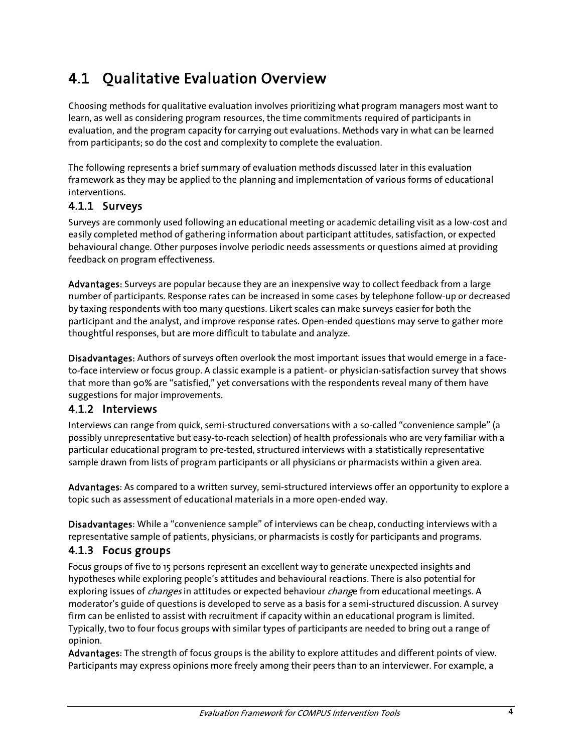# 4.1 Qualitative Evaluation Overview

Choosing methods for qualitative evaluation involves prioritizing what program managers most want to learn, as well as considering program resources, the time commitments required of participants in evaluation, and the program capacity for carrying out evaluations. Methods vary in what can be learned from participants; so do the cost and complexity to complete the evaluation.

The following represents a brief summary of evaluation methods discussed later in this evaluation framework as they may be applied to the planning and implementation of various forms of educational interventions.

#### 4.1.1 Surveys

Surveys are commonly used following an educational meeting or academic detailing visit as a low-cost and easily completed method of gathering information about participant attitudes, satisfaction, or expected behavioural change. Other purposes involve periodic needs assessments or questions aimed at providing feedback on program effectiveness.

Advantages: Surveys are popular because they are an inexpensive way to collect feedback from a large number of participants. Response rates can be increased in some cases by telephone follow-up or decreased by taxing respondents with too many questions. Likert scales can make surveys easier for both the participant and the analyst, and improve response rates. Open-ended questions may serve to gather more thoughtful responses, but are more difficult to tabulate and analyze.

Disadvantages: Authors of surveys often overlook the most important issues that would emerge in a faceto-face interview or focus group. A classic example is a patient- or physician-satisfaction survey that shows that more than 90% are "satisfied," yet conversations with the respondents reveal many of them have suggestions for major improvements.

#### 4.1.2 Interviews

Interviews can range from quick, semi-structured conversations with a so-called "convenience sample" (a possibly unrepresentative but easy-to-reach selection) of health professionals who are very familiar with a particular educational program to pre-tested, structured interviews with a statistically representative sample drawn from lists of program participants or all physicians or pharmacists within a given area.

Advantages: As compared to a written survey, semi-structured interviews offer an opportunity to explore a topic such as assessment of educational materials in a more open-ended way.

Disadvantages: While a "convenience sample" of interviews can be cheap, conducting interviews with a representative sample of patients, physicians, or pharmacists is costly for participants and programs.

#### 4.1.3 Focus groups

Focus groups of five to 15 persons represent an excellent way to generate unexpected insights and hypotheses while exploring people's attitudes and behavioural reactions. There is also potential for exploring issues of *changes* in attitudes or expected behaviour *chang*e from educational meetings. A moderator's guide of questions is developed to serve as a basis for a semi-structured discussion. A survey firm can be enlisted to assist with recruitment if capacity within an educational program is limited. Typically, two to four focus groups with similar types of participants are needed to bring out a range of opinion.

Advantages: The strength of focus groups is the ability to explore attitudes and different points of view. Participants may express opinions more freely among their peers than to an interviewer. For example, a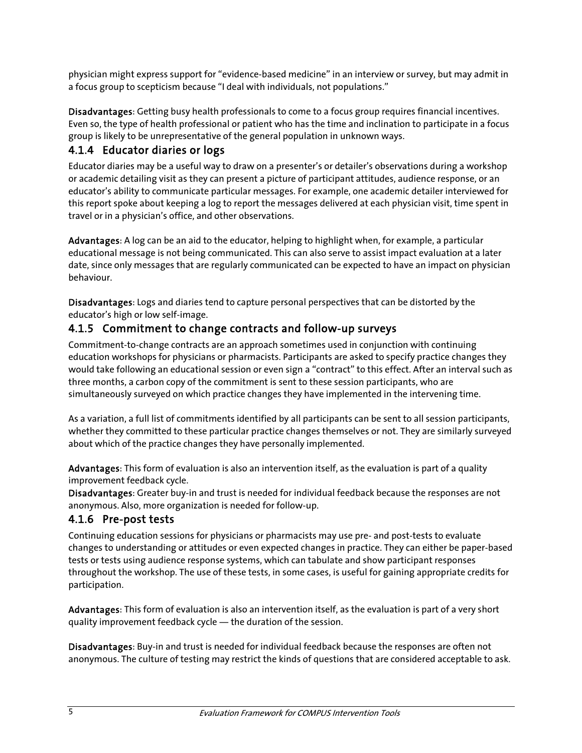physician might express support for "evidence-based medicine" in an interview or survey, but may admit in a focus group to scepticism because "I deal with individuals, not populations."

Disadvantages: Getting busy health professionals to come to a focus group requires financial incentives. Even so, the type of health professional or patient who has the time and inclination to participate in a focus group is likely to be unrepresentative of the general population in unknown ways.

#### 4.1.4 Educator diaries or logs

Educator diaries may be a useful way to draw on a presenter's or detailer's observations during a workshop or academic detailing visit as they can present a picture of participant attitudes, audience response, or an educator's ability to communicate particular messages. For example, one academic detailer interviewed for this report spoke about keeping a log to report the messages delivered at each physician visit, time spent in travel or in a physician's office, and other observations.

Advantages: A log can be an aid to the educator, helping to highlight when, for example, a particular educational message is not being communicated. This can also serve to assist impact evaluation at a later date, since only messages that are regularly communicated can be expected to have an impact on physician behaviour.

Disadvantages: Logs and diaries tend to capture personal perspectives that can be distorted by the educator's high or low self-image.

#### 4.1.5 Commitment to change contracts and follow-up surveys

Commitment-to-change contracts are an approach sometimes used in conjunction with continuing education workshops for physicians or pharmacists. Participants are asked to specify practice changes they would take following an educational session or even sign a "contract" to this effect. After an interval such as three months, a carbon copy of the commitment is sent to these session participants, who are simultaneously surveyed on which practice changes they have implemented in the intervening time.

As a variation, a full list of commitments identified by all participants can be sent to all session participants, whether they committed to these particular practice changes themselves or not. They are similarly surveyed about which of the practice changes they have personally implemented.

Advantages: This form of evaluation is also an intervention itself, as the evaluation is part of a quality improvement feedback cycle.

Disadvantages: Greater buy-in and trust is needed for individual feedback because the responses are not anonymous. Also, more organization is needed for follow-up.

#### 4.1.6 Pre-post tests

Continuing education sessions for physicians or pharmacists may use pre- and post-tests to evaluate changes to understanding or attitudes or even expected changes in practice. They can either be paper-based tests or tests using audience response systems, which can tabulate and show participant responses throughout the workshop. The use of these tests, in some cases, is useful for gaining appropriate credits for participation.

Advantages: This form of evaluation is also an intervention itself, as the evaluation is part of a very short quality improvement feedback cycle ― the duration of the session.

Disadvantages: Buy-in and trust is needed for individual feedback because the responses are often not anonymous. The culture of testing may restrict the kinds of questions that are considered acceptable to ask.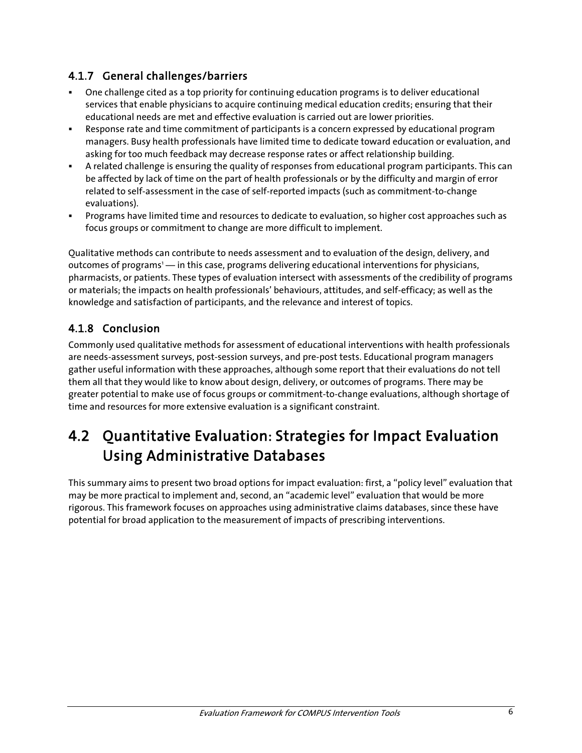### 4.1.7 General challenges/barriers

- One challenge cited as a top priority for continuing education programs is to deliver educational services that enable physicians to acquire continuing medical education credits; ensuring that their educational needs are met and effective evaluation is carried out are lower priorities.
- Response rate and time commitment of participants is a concern expressed by educational program managers. Busy health professionals have limited time to dedicate toward education or evaluation, and asking for too much feedback may decrease response rates or affect relationship building.
- A related challenge is ensuring the quality of responses from educational program participants. This can be affected by lack of time on the part of health professionals or by the difficulty and margin of error related to self-assessment in the case of self-reported impacts (such as commitment-to-change evaluations).
- Programs have limited time and resources to dedicate to evaluation, so higher cost approaches such as focus groups or commitment to change are more difficult to implement.

Qualitative methods can contribute to needs assessment and to evaluation of the design, delivery, and outcomes of programs<sup>1</sup> — in this case, programs delivering educational interventions for physicians, pharmacists, or patients. These types of evaluation intersect with assessments of the credibility of programs or materials; the impacts on health professionals' behaviours, attitudes, and self-efficacy; as well as the knowledge and satisfaction of participants, and the relevance and interest of topics.

## 4.1.8 Conclusion

Commonly used qualitative methods for assessment of educational interventions with health professionals are needs-assessment surveys, post-session surveys, and pre-post tests. Educational program managers gather useful information with these approaches, although some report that their evaluations do not tell them all that they would like to know about design, delivery, or outcomes of programs. There may be greater potential to make use of focus groups or commitment-to-change evaluations, although shortage of time and resources for more extensive evaluation is a significant constraint.

# 4.2 Quantitative Evaluation: Strategies for Impact Evaluation Using Administrative Databases

This summary aims to present two broad options for impact evaluation: first, a "policy level" evaluation that may be more practical to implement and, second, an "academic level" evaluation that would be more rigorous. This framework focuses on approaches using administrative claims databases, since these have potential for broad application to the measurement of impacts of prescribing interventions.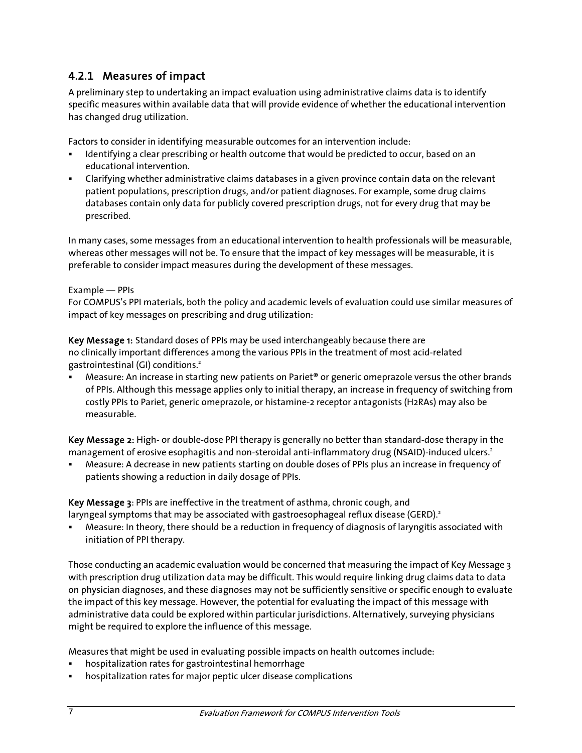### 4.2.1 Measures of impact

A preliminary step to undertaking an impact evaluation using administrative claims data is to identify specific measures within available data that will provide evidence of whether the educational intervention has changed drug utilization.

Factors to consider in identifying measurable outcomes for an intervention include:

- Identifying a clear prescribing or health outcome that would be predicted to occur, based on an educational intervention.
- Clarifying whether administrative claims databases in a given province contain data on the relevant patient populations, prescription drugs, and/or patient diagnoses. For example, some drug claims databases contain only data for publicly covered prescription drugs, not for every drug that may be prescribed.

In many cases, some messages from an educational intervention to health professionals will be measurable, whereas other messages will not be. To ensure that the impact of key messages will be measurable, it is preferable to consider impact measures during the development of these messages.

#### Example ― PPIs

For COMPUS's PPI materials, both the policy and academic levels of evaluation could use similar measures of impact of key messages on prescribing and drug utilization:

Key Message 1: Standard doses of PPIs may be used interchangeably because there are no clinically important differences among the various PPIs in the treatment of most acid-related gastrointestinal (GI) conditions.<sup>2</sup>

 Measure: An increase in starting new patients on Pariet® or generic omeprazole versus the other brands of PPIs. Although this message applies only to initial therapy, an increase in frequency of switching from costly PPIs to Pariet, generic omeprazole, or histamine-2 receptor antagonists (H2RAs) may also be measurable.

Key Message 2: High- or double-dose PPI therapy is generally no better than standard-dose therapy in the management of erosive esophagitis and non-steroidal anti-inflammatory drug (NSAID)-induced ulcers.<sup>2</sup>

 Measure: A decrease in new patients starting on double doses of PPIs plus an increase in frequency of patients showing a reduction in daily dosage of PPIs.

Key Message 3: PPIs are ineffective in the treatment of asthma, chronic cough, and laryngeal symptoms that may be associated with gastroesophageal reflux disease (GERD).<sup>2</sup>

 Measure: In theory, there should be a reduction in frequency of diagnosis of laryngitis associated with initiation of PPI therapy.

Those conducting an academic evaluation would be concerned that measuring the impact of Key Message 3 with prescription drug utilization data may be difficult. This would require linking drug claims data to data on physician diagnoses, and these diagnoses may not be sufficiently sensitive or specific enough to evaluate the impact of this key message. However, the potential for evaluating the impact of this message with administrative data could be explored within particular jurisdictions. Alternatively, surveying physicians might be required to explore the influence of this message.

Measures that might be used in evaluating possible impacts on health outcomes include:

- hospitalization rates for gastrointestinal hemorrhage
- hospitalization rates for major peptic ulcer disease complications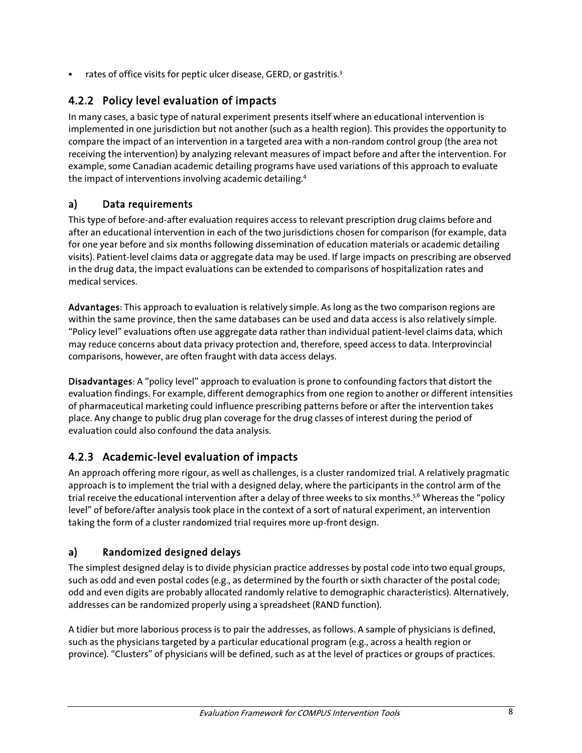rates of office visits for peptic ulcer disease, GERD, or gastritis.<sup>3</sup>

### 4.2.2 Policy level evaluation of impacts

In many cases, a basic type of natural experiment presents itself where an educational intervention is implemented in one jurisdiction but not another (such as a health region). This provides the opportunity to compare the impact of an intervention in a targeted area with a non-random control group (the area not receiving the intervention) by analyzing relevant measures of impact before and after the intervention. For example, some Canadian academic detailing programs have used variations of this approach to evaluate the impact of interventions involving academic detailing.4

#### a) Data requirements

This type of before-and-after evaluation requires access to relevant prescription drug claims before and after an educational intervention in each of the two jurisdictions chosen for comparison (for example, data for one year before and six months following dissemination of education materials or academic detailing visits). Patient-level claims data or aggregate data may be used. If large impacts on prescribing are observed in the drug data, the impact evaluations can be extended to comparisons of hospitalization rates and medical services.

Advantages: This approach to evaluation is relatively simple. As long as the two comparison regions are within the same province, then the same databases can be used and data access is also relatively simple. "Policy level" evaluations often use aggregate data rather than individual patient-level claims data, which may reduce concerns about data privacy protection and, therefore, speed access to data. Interprovincial comparisons, however, are often fraught with data access delays.

Disadvantages: A "policy level" approach to evaluation is prone to confounding factors that distort the evaluation findings. For example, different demographics from one region to another or different intensities of pharmaceutical marketing could influence prescribing patterns before or after the intervention takes place. Any change to public drug plan coverage for the drug classes of interest during the period of evaluation could also confound the data analysis.

#### 4.2.3 Academic-level evaluation of impacts

An approach offering more rigour, as well as challenges, is a cluster randomized trial. A relatively pragmatic approach is to implement the trial with a designed delay, where the participants in the control arm of the trial receive the educational intervention after a delay of three weeks to six months.<sup>5,6</sup> Whereas the "policy level" of before/after analysis took place in the context of a sort of natural experiment, an intervention taking the form of a cluster randomized trial requires more up-front design.

#### a) Randomized designed delays

The simplest designed delay is to divide physician practice addresses by postal code into two equal groups, such as odd and even postal codes (e.g., as determined by the fourth or sixth character of the postal code; odd and even digits are probably allocated randomly relative to demographic characteristics). Alternatively, addresses can be randomized properly using a spreadsheet (RAND function).

A tidier but more laborious process is to pair the addresses, as follows. A sample of physicians is defined, such as the physicians targeted by a particular educational program (e.g., across a health region or province). "Clusters" of physicians will be defined, such as at the level of practices or groups of practices.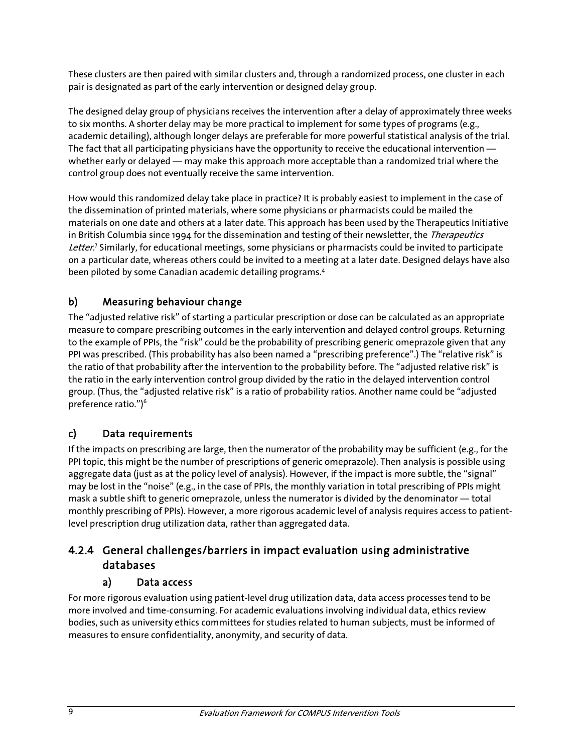These clusters are then paired with similar clusters and, through a randomized process, one cluster in each pair is designated as part of the early intervention or designed delay group.

The designed delay group of physicians receives the intervention after a delay of approximately three weeks to six months. A shorter delay may be more practical to implement for some types of programs (e.g., academic detailing), although longer delays are preferable for more powerful statistical analysis of the trial. The fact that all participating physicians have the opportunity to receive the educational intervention whether early or delayed — may make this approach more acceptable than a randomized trial where the control group does not eventually receive the same intervention.

How would this randomized delay take place in practice? It is probably easiest to implement in the case of the dissemination of printed materials, where some physicians or pharmacists could be mailed the materials on one date and others at a later date. This approach has been used by the Therapeutics Initiative in British Columbia since 1994 for the dissemination and testing of their newsletter, the Therapeutics Letter.<sup>7</sup> Similarly, for educational meetings, some physicians or pharmacists could be invited to participate on a particular date, whereas others could be invited to a meeting at a later date. Designed delays have also been piloted by some Canadian academic detailing programs.<sup>4</sup>

### b) Measuring behaviour change

The "adjusted relative risk" of starting a particular prescription or dose can be calculated as an appropriate measure to compare prescribing outcomes in the early intervention and delayed control groups. Returning to the example of PPIs, the "risk" could be the probability of prescribing generic omeprazole given that any PPI was prescribed. (This probability has also been named a "prescribing preference".) The "relative risk" is the ratio of that probability after the intervention to the probability before. The "adjusted relative risk" is the ratio in the early intervention control group divided by the ratio in the delayed intervention control group. (Thus, the "adjusted relative risk" is a ratio of probability ratios. Another name could be "adjusted preference ratio.")<sup>6</sup>

#### c) Data requirements

If the impacts on prescribing are large, then the numerator of the probability may be sufficient (e.g., for the PPI topic, this might be the number of prescriptions of generic omeprazole). Then analysis is possible using aggregate data (just as at the policy level of analysis). However, if the impact is more subtle, the "signal" may be lost in the "noise" (e.g., in the case of PPIs, the monthly variation in total prescribing of PPIs might mask a subtle shift to generic omeprazole, unless the numerator is divided by the denominator ― total monthly prescribing of PPIs). However, a more rigorous academic level of analysis requires access to patientlevel prescription drug utilization data, rather than aggregated data.

### 4.2.4 General challenges/barriers in impact evaluation using administrative databases

#### a) Data access

For more rigorous evaluation using patient-level drug utilization data, data access processes tend to be more involved and time-consuming. For academic evaluations involving individual data, ethics review bodies, such as university ethics committees for studies related to human subjects, must be informed of measures to ensure confidentiality, anonymity, and security of data.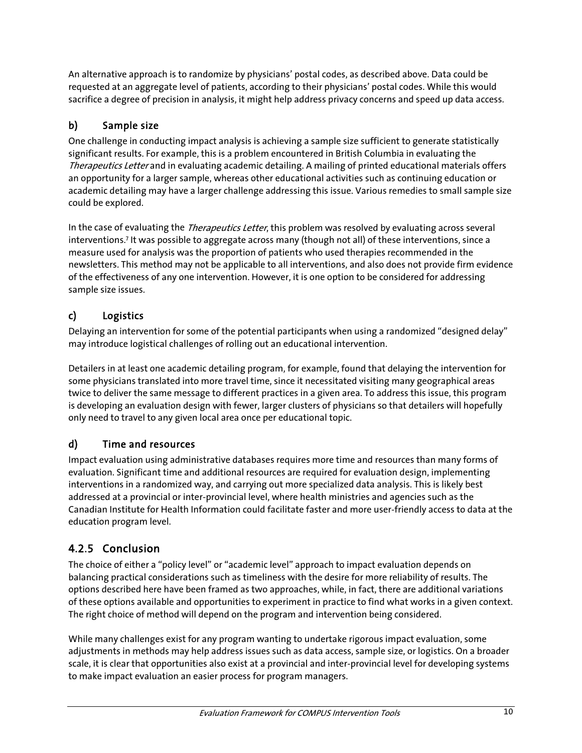An alternative approach is to randomize by physicians' postal codes, as described above. Data could be requested at an aggregate level of patients, according to their physicians' postal codes. While this would sacrifice a degree of precision in analysis, it might help address privacy concerns and speed up data access.

### b) Sample size

One challenge in conducting impact analysis is achieving a sample size sufficient to generate statistically significant results. For example, this is a problem encountered in British Columbia in evaluating the Therapeutics Letter and in evaluating academic detailing. A mailing of printed educational materials offers an opportunity for a larger sample, whereas other educational activities such as continuing education or academic detailing may have a larger challenge addressing this issue. Various remedies to small sample size could be explored.

In the case of evaluating the *Therapeutics Letter*, this problem was resolved by evaluating across several interventions.7 It was possible to aggregate across many (though not all) of these interventions, since a measure used for analysis was the proportion of patients who used therapies recommended in the newsletters. This method may not be applicable to all interventions, and also does not provide firm evidence of the effectiveness of any one intervention. However, it is one option to be considered for addressing sample size issues.

#### c) Logistics

Delaying an intervention for some of the potential participants when using a randomized "designed delay" may introduce logistical challenges of rolling out an educational intervention.

Detailers in at least one academic detailing program, for example, found that delaying the intervention for some physicians translated into more travel time, since it necessitated visiting many geographical areas twice to deliver the same message to different practices in a given area. To address this issue, this program is developing an evaluation design with fewer, larger clusters of physicians so that detailers will hopefully only need to travel to any given local area once per educational topic.

### d) Time and resources

Impact evaluation using administrative databases requires more time and resources than many forms of evaluation. Significant time and additional resources are required for evaluation design, implementing interventions in a randomized way, and carrying out more specialized data analysis. This is likely best addressed at a provincial or inter-provincial level, where health ministries and agencies such as the Canadian Institute for Health Information could facilitate faster and more user-friendly access to data at the education program level.

## 4.2.5 Conclusion

The choice of either a "policy level" or "academic level" approach to impact evaluation depends on balancing practical considerations such as timeliness with the desire for more reliability of results. The options described here have been framed as two approaches, while, in fact, there are additional variations of these options available and opportunities to experiment in practice to find what works in a given context. The right choice of method will depend on the program and intervention being considered.

While many challenges exist for any program wanting to undertake rigorous impact evaluation, some adjustments in methods may help address issues such as data access, sample size, or logistics. On a broader scale, it is clear that opportunities also exist at a provincial and inter-provincial level for developing systems to make impact evaluation an easier process for program managers.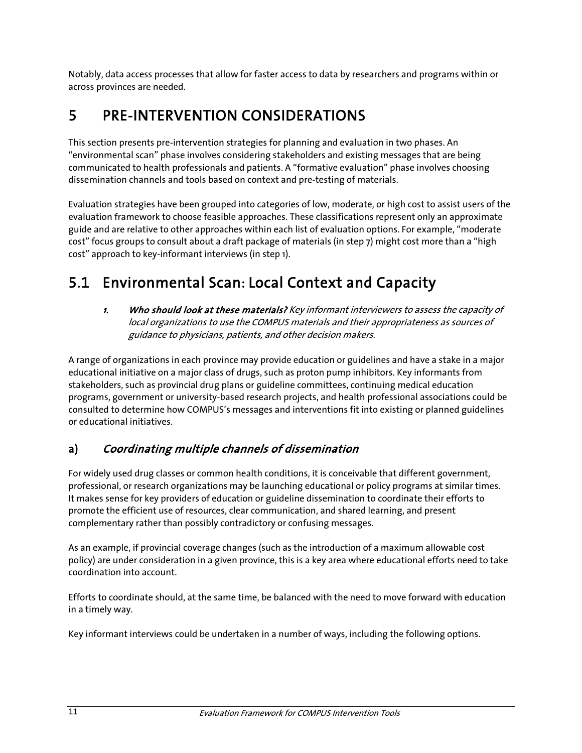Notably, data access processes that allow for faster access to data by researchers and programs within or across provinces are needed.

# 5 PRE-INTERVENTION CONSIDERATIONS

This section presents pre-intervention strategies for planning and evaluation in two phases. An "environmental scan" phase involves considering stakeholders and existing messages that are being communicated to health professionals and patients. A "formative evaluation" phase involves choosing dissemination channels and tools based on context and pre-testing of materials.

Evaluation strategies have been grouped into categories of low, moderate, or high cost to assist users of the evaluation framework to choose feasible approaches. These classifications represent only an approximate guide and are relative to other approaches within each list of evaluation options. For example, "moderate cost" focus groups to consult about a draft package of materials (in step 7) might cost more than a "high cost" approach to key-informant interviews (in step 1).

# 5.1 Environmental Scan: Local Context and Capacity

1. Who should look at these materials? Key informant interviewers to assess the capacity of local organizations to use the COMPUS materials and their appropriateness as sources of guidance to physicians, patients, and other decision makers.

A range of organizations in each province may provide education or guidelines and have a stake in a major educational initiative on a major class of drugs, such as proton pump inhibitors. Key informants from stakeholders, such as provincial drug plans or guideline committees, continuing medical education programs, government or university-based research projects, and health professional associations could be consulted to determine how COMPUS's messages and interventions fit into existing or planned guidelines or educational initiatives.

## a) Coordinating multiple channels of dissemination

For widely used drug classes or common health conditions, it is conceivable that different government, professional, or research organizations may be launching educational or policy programs at similar times. It makes sense for key providers of education or guideline dissemination to coordinate their efforts to promote the efficient use of resources, clear communication, and shared learning, and present complementary rather than possibly contradictory or confusing messages.

As an example, if provincial coverage changes (such as the introduction of a maximum allowable cost policy) are under consideration in a given province, this is a key area where educational efforts need to take coordination into account.

Efforts to coordinate should, at the same time, be balanced with the need to move forward with education in a timely way.

Key informant interviews could be undertaken in a number of ways, including the following options.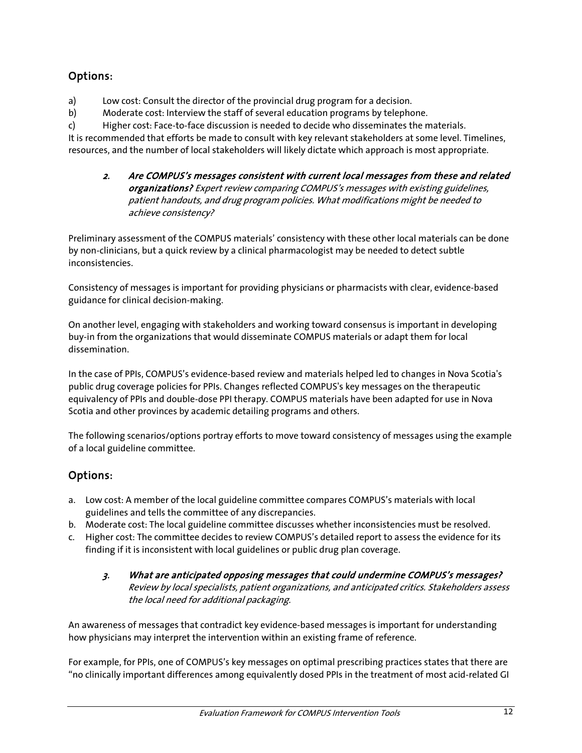### Options:

a) Low cost: Consult the director of the provincial drug program for a decision.

b) Moderate cost: Interview the staff of several education programs by telephone.

c) Higher cost: Face-to-face discussion is needed to decide who disseminates the materials.

It is recommended that efforts be made to consult with key relevant stakeholders at some level. Timelines, resources, and the number of local stakeholders will likely dictate which approach is most appropriate.

#### 2. Are COMPUS's messages consistent with current local messages from these and related organizations? Expert review comparing COMPUS's messages with existing guidelines, patient handouts, and drug program policies. What modifications might be needed to achieve consistency?

Preliminary assessment of the COMPUS materials' consistency with these other local materials can be done by non-clinicians, but a quick review by a clinical pharmacologist may be needed to detect subtle inconsistencies.

Consistency of messages is important for providing physicians or pharmacists with clear, evidence-based guidance for clinical decision-making.

On another level, engaging with stakeholders and working toward consensus is important in developing buy-in from the organizations that would disseminate COMPUS materials or adapt them for local dissemination.

In the case of PPIs, COMPUS's evidence-based review and materials helped led to changes in Nova Scotia's public drug coverage policies for PPIs. Changes reflected COMPUS's key messages on the therapeutic equivalency of PPIs and double-dose PPI therapy. COMPUS materials have been adapted for use in Nova Scotia and other provinces by academic detailing programs and others.

The following scenarios/options portray efforts to move toward consistency of messages using the example of a local guideline committee.

### Options:

- a. Low cost: A member of the local guideline committee compares COMPUS's materials with local guidelines and tells the committee of any discrepancies.
- b. Moderate cost: The local guideline committee discusses whether inconsistencies must be resolved.
- c. Higher cost: The committee decides to review COMPUS's detailed report to assess the evidence for its finding if it is inconsistent with local guidelines or public drug plan coverage.
	- 3. What are anticipated opposing messages that could undermine COMPUS's messages? Review by local specialists, patient organizations, and anticipated critics. Stakeholders assess the local need for additional packaging.

An awareness of messages that contradict key evidence-based messages is important for understanding how physicians may interpret the intervention within an existing frame of reference.

For example, for PPIs, one of COMPUS's key messages on optimal prescribing practices states that there are "no clinically important differences among equivalently dosed PPIs in the treatment of most acid-related GI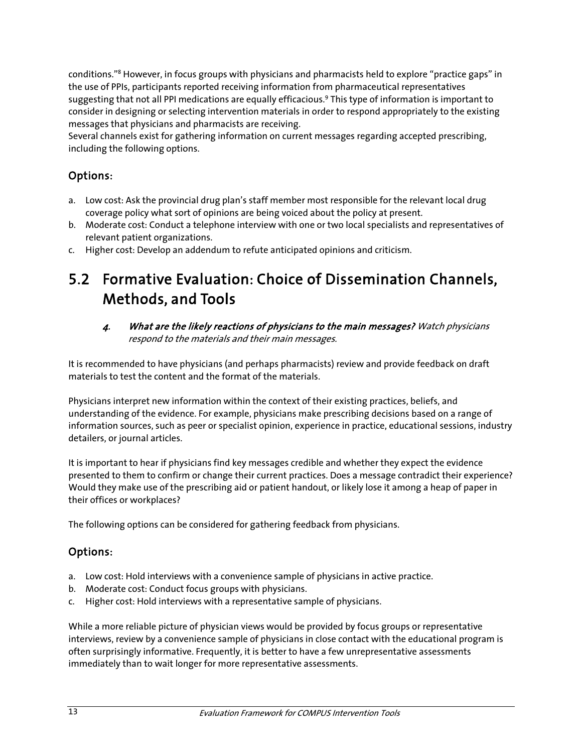conditions."8 However, in focus groups with physicians and pharmacists held to explore "practice gaps" in the use of PPIs, participants reported receiving information from pharmaceutical representatives suggesting that not all PPI medications are equally efficacious.<sup>9</sup> This type of information is important to consider in designing or selecting intervention materials in order to respond appropriately to the existing messages that physicians and pharmacists are receiving.

Several channels exist for gathering information on current messages regarding accepted prescribing, including the following options.

### Options:

- a. Low cost: Ask the provincial drug plan's staff member most responsible for the relevant local drug coverage policy what sort of opinions are being voiced about the policy at present.
- b. Moderate cost: Conduct a telephone interview with one or two local specialists and representatives of relevant patient organizations.
- c. Higher cost: Develop an addendum to refute anticipated opinions and criticism.

## 5.2 Formative Evaluation: Choice of Dissemination Channels, Methods, and Tools

4. What are the likely reactions of physicians to the main messages? Watch physicians respond to the materials and their main messages.

It is recommended to have physicians (and perhaps pharmacists) review and provide feedback on draft materials to test the content and the format of the materials.

Physicians interpret new information within the context of their existing practices, beliefs, and understanding of the evidence. For example, physicians make prescribing decisions based on a range of information sources, such as peer or specialist opinion, experience in practice, educational sessions, industry detailers, or journal articles.

It is important to hear if physicians find key messages credible and whether they expect the evidence presented to them to confirm or change their current practices. Does a message contradict their experience? Would they make use of the prescribing aid or patient handout, or likely lose it among a heap of paper in their offices or workplaces?

The following options can be considered for gathering feedback from physicians.

#### Options:

- a. Low cost: Hold interviews with a convenience sample of physicians in active practice.
- b. Moderate cost: Conduct focus groups with physicians.
- c. Higher cost: Hold interviews with a representative sample of physicians.

While a more reliable picture of physician views would be provided by focus groups or representative interviews, review by a convenience sample of physicians in close contact with the educational program is often surprisingly informative. Frequently, it is better to have a few unrepresentative assessments immediately than to wait longer for more representative assessments.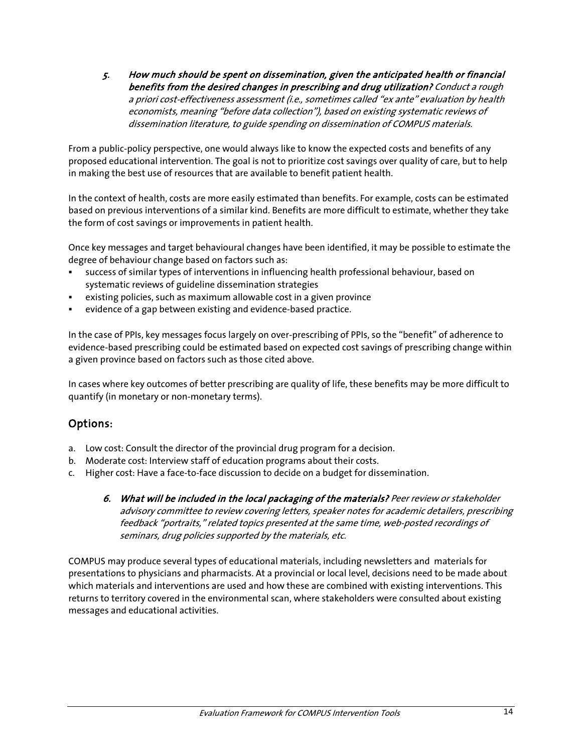5. How much should be spent on dissemination, given the anticipated health or financial benefits from the desired changes in prescribing and drug utilization? Conduct a rough a priori cost-effectiveness assessment (i.e., sometimes called "ex ante" evaluation by health economists, meaning "before data collection"), based on existing systematic reviews of dissemination literature, to guide spending on dissemination of COMPUS materials.

From a public-policy perspective, one would always like to know the expected costs and benefits of any proposed educational intervention. The goal is not to prioritize cost savings over quality of care, but to help in making the best use of resources that are available to benefit patient health.

In the context of health, costs are more easily estimated than benefits. For example, costs can be estimated based on previous interventions of a similar kind. Benefits are more difficult to estimate, whether they take the form of cost savings or improvements in patient health.

Once key messages and target behavioural changes have been identified, it may be possible to estimate the degree of behaviour change based on factors such as:

- success of similar types of interventions in influencing health professional behaviour, based on systematic reviews of guideline dissemination strategies
- existing policies, such as maximum allowable cost in a given province
- evidence of a gap between existing and evidence-based practice.

In the case of PPIs, key messages focus largely on over-prescribing of PPIs, so the "benefit" of adherence to evidence-based prescribing could be estimated based on expected cost savings of prescribing change within a given province based on factors such as those cited above.

In cases where key outcomes of better prescribing are quality of life, these benefits may be more difficult to quantify (in monetary or non-monetary terms).

#### Options:

- a. Low cost: Consult the director of the provincial drug program for a decision.
- b. Moderate cost: Interview staff of education programs about their costs.
- c. Higher cost: Have a face-to-face discussion to decide on a budget for dissemination.
	- 6. What will be included in the local packaging of the materials? Peer review or stakeholder advisory committee to review covering letters, speaker notes for academic detailers, prescribing feedback "portraits," related topics presented at the same time, web-posted recordings of seminars, drug policies supported by the materials, etc.

COMPUS may produce several types of educational materials, including newsletters and materials for presentations to physicians and pharmacists. At a provincial or local level, decisions need to be made about which materials and interventions are used and how these are combined with existing interventions. This returns to territory covered in the environmental scan, where stakeholders were consulted about existing messages and educational activities.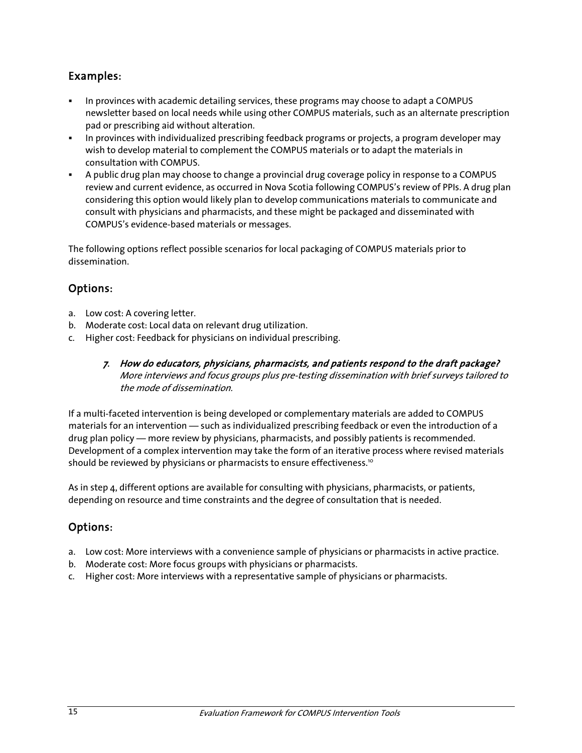#### Examples:

- In provinces with academic detailing services, these programs may choose to adapt a COMPUS newsletter based on local needs while using other COMPUS materials, such as an alternate prescription pad or prescribing aid without alteration.
- In provinces with individualized prescribing feedback programs or projects, a program developer may wish to develop material to complement the COMPUS materials or to adapt the materials in consultation with COMPUS.
- A public drug plan may choose to change a provincial drug coverage policy in response to a COMPUS review and current evidence, as occurred in Nova Scotia following COMPUS's review of PPIs. A drug plan considering this option would likely plan to develop communications materials to communicate and consult with physicians and pharmacists, and these might be packaged and disseminated with COMPUS's evidence-based materials or messages.

The following options reflect possible scenarios for local packaging of COMPUS materials prior to dissemination.

#### Options:

- a. Low cost: A covering letter.
- b. Moderate cost: Local data on relevant drug utilization.
- c. Higher cost: Feedback for physicians on individual prescribing.
	- 7. How do educators, physicians, pharmacists, and patients respond to the draft package? More interviews and focus groups plus pre-testing dissemination with brief surveys tailored to the mode of dissemination.

If a multi-faceted intervention is being developed or complementary materials are added to COMPUS materials for an intervention — such as individualized prescribing feedback or even the introduction of a drug plan policy — more review by physicians, pharmacists, and possibly patients is recommended. Development of a complex intervention may take the form of an iterative process where revised materials should be reviewed by physicians or pharmacists to ensure effectiveness.<sup>10</sup>

As in step 4, different options are available for consulting with physicians, pharmacists, or patients, depending on resource and time constraints and the degree of consultation that is needed.

#### Options:

- a. Low cost: More interviews with a convenience sample of physicians or pharmacists in active practice.
- b. Moderate cost: More focus groups with physicians or pharmacists.
- c. Higher cost: More interviews with a representative sample of physicians or pharmacists.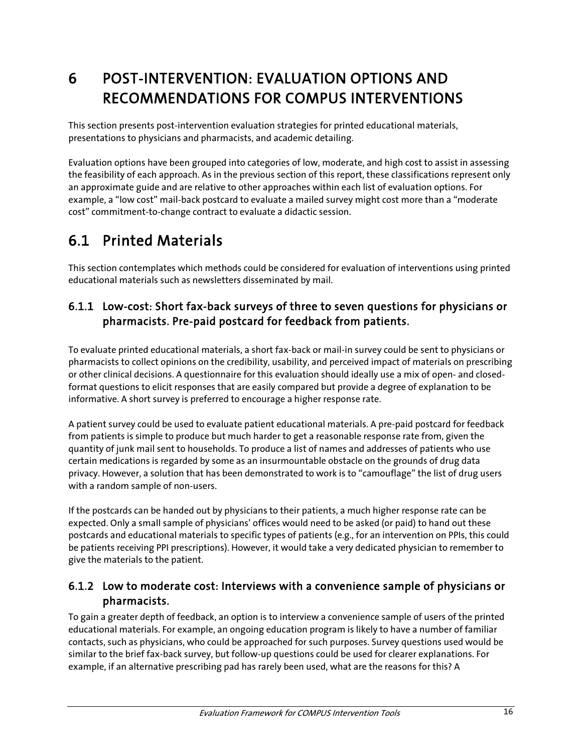# 6 POST-INTERVENTION: EVALUATION OPTIONS AND RECOMMENDATIONS FOR COMPUS INTERVENTIONS

This section presents post-intervention evaluation strategies for printed educational materials, presentations to physicians and pharmacists, and academic detailing.

Evaluation options have been grouped into categories of low, moderate, and high cost to assist in assessing the feasibility of each approach. As in the previous section of this report, these classifications represent only an approximate guide and are relative to other approaches within each list of evaluation options. For example, a "low cost" mail-back postcard to evaluate a mailed survey might cost more than a "moderate cost" commitment-to-change contract to evaluate a didactic session.

# 6.1 Printed Materials

This section contemplates which methods could be considered for evaluation of interventions using printed educational materials such as newsletters disseminated by mail.

### 6.1.1 Low-cost: Short fax-back surveys of three to seven questions for physicians or pharmacists. Pre-paid postcard for feedback from patients.

To evaluate printed educational materials, a short fax-back or mail-in survey could be sent to physicians or pharmacists to collect opinions on the credibility, usability, and perceived impact of materials on prescribing or other clinical decisions. A questionnaire for this evaluation should ideally use a mix of open- and closedformat questions to elicit responses that are easily compared but provide a degree of explanation to be informative. A short survey is preferred to encourage a higher response rate.

A patient survey could be used to evaluate patient educational materials. A pre-paid postcard for feedback from patients is simple to produce but much harder to get a reasonable response rate from, given the quantity of junk mail sent to households. To produce a list of names and addresses of patients who use certain medications is regarded by some as an insurmountable obstacle on the grounds of drug data privacy. However, a solution that has been demonstrated to work is to "camouflage" the list of drug users with a random sample of non-users.

If the postcards can be handed out by physicians to their patients, a much higher response rate can be expected. Only a small sample of physicians' offices would need to be asked (or paid) to hand out these postcards and educational materials to specific types of patients (e.g., for an intervention on PPIs, this could be patients receiving PPI prescriptions). However, it would take a very dedicated physician to remember to give the materials to the patient.

### 6.1.2 Low to moderate cost: Interviews with a convenience sample of physicians or pharmacists.

To gain a greater depth of feedback, an option is to interview a convenience sample of users of the printed educational materials. For example, an ongoing education program is likely to have a number of familiar contacts, such as physicians, who could be approached for such purposes. Survey questions used would be similar to the brief fax-back survey, but follow-up questions could be used for clearer explanations. For example, if an alternative prescribing pad has rarely been used, what are the reasons for this? A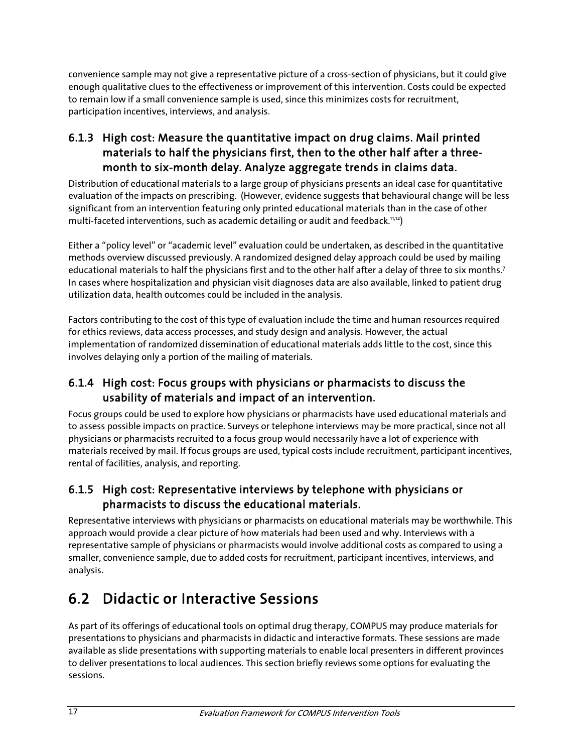convenience sample may not give a representative picture of a cross-section of physicians, but it could give enough qualitative clues to the effectiveness or improvement of this intervention. Costs could be expected to remain low if a small convenience sample is used, since this minimizes costs for recruitment, participation incentives, interviews, and analysis.

### 6.1.3 High cost: Measure the quantitative impact on drug claims. Mail printed materials to half the physicians first, then to the other half after a threemonth to six-month delay. Analyze aggregate trends in claims data.

Distribution of educational materials to a large group of physicians presents an ideal case for quantitative evaluation of the impacts on prescribing. (However, evidence suggests that behavioural change will be less significant from an intervention featuring only printed educational materials than in the case of other multi-faceted interventions, such as academic detailing or audit and feedback.<sup>11,12</sup>)

Either a "policy level" or "academic level" evaluation could be undertaken, as described in the quantitative methods overview discussed previously. A randomized designed delay approach could be used by mailing educational materials to half the physicians first and to the other half after a delay of three to six months.<sup>7</sup> In cases where hospitalization and physician visit diagnoses data are also available, linked to patient drug utilization data, health outcomes could be included in the analysis.

Factors contributing to the cost of this type of evaluation include the time and human resources required for ethics reviews, data access processes, and study design and analysis. However, the actual implementation of randomized dissemination of educational materials adds little to the cost, since this involves delaying only a portion of the mailing of materials.

### 6.1.4 High cost: Focus groups with physicians or pharmacists to discuss the usability of materials and impact of an intervention.

Focus groups could be used to explore how physicians or pharmacists have used educational materials and to assess possible impacts on practice. Surveys or telephone interviews may be more practical, since not all physicians or pharmacists recruited to a focus group would necessarily have a lot of experience with materials received by mail. If focus groups are used, typical costs include recruitment, participant incentives, rental of facilities, analysis, and reporting.

### 6.1.5 High cost: Representative interviews by telephone with physicians or pharmacists to discuss the educational materials.

Representative interviews with physicians or pharmacists on educational materials may be worthwhile. This approach would provide a clear picture of how materials had been used and why. Interviews with a representative sample of physicians or pharmacists would involve additional costs as compared to using a smaller, convenience sample, due to added costs for recruitment, participant incentives, interviews, and analysis.

## 6.2 Didactic or Interactive Sessions

As part of its offerings of educational tools on optimal drug therapy, COMPUS may produce materials for presentations to physicians and pharmacists in didactic and interactive formats. These sessions are made available as slide presentations with supporting materials to enable local presenters in different provinces to deliver presentations to local audiences. This section briefly reviews some options for evaluating the sessions.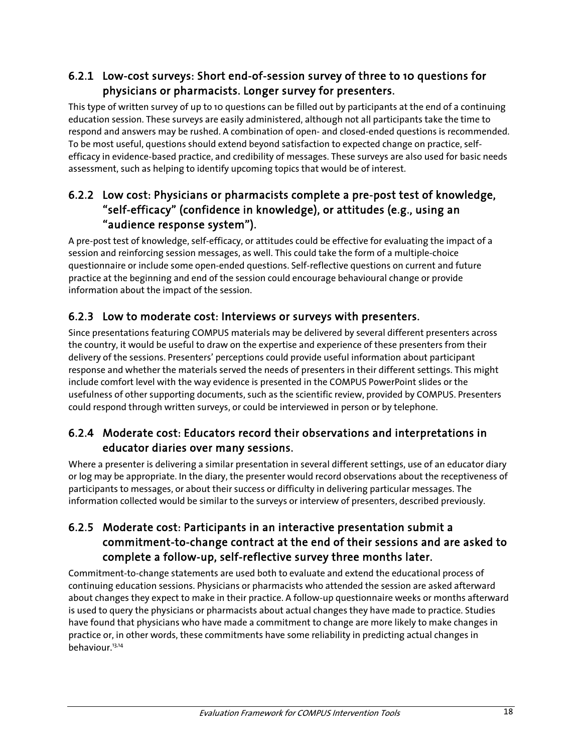### 6.2.1 Low-cost surveys: Short end-of-session survey of three to 10 questions for physicians or pharmacists. Longer survey for presenters.

This type of written survey of up to 10 questions can be filled out by participants at the end of a continuing education session. These surveys are easily administered, although not all participants take the time to respond and answers may be rushed. A combination of open- and closed-ended questions is recommended. To be most useful, questions should extend beyond satisfaction to expected change on practice, selfefficacy in evidence-based practice, and credibility of messages. These surveys are also used for basic needs assessment, such as helping to identify upcoming topics that would be of interest.

### 6.2.2 Low cost: Physicians or pharmacists complete a pre-post test of knowledge, "self-efficacy" (confidence in knowledge), or attitudes (e.g., using an "audience response system").

A pre-post test of knowledge, self-efficacy, or attitudes could be effective for evaluating the impact of a session and reinforcing session messages, as well. This could take the form of a multiple-choice questionnaire or include some open-ended questions. Self-reflective questions on current and future practice at the beginning and end of the session could encourage behavioural change or provide information about the impact of the session.

### 6.2.3 Low to moderate cost: Interviews or surveys with presenters.

Since presentations featuring COMPUS materials may be delivered by several different presenters across the country, it would be useful to draw on the expertise and experience of these presenters from their delivery of the sessions. Presenters' perceptions could provide useful information about participant response and whether the materials served the needs of presenters in their different settings. This might include comfort level with the way evidence is presented in the COMPUS PowerPoint slides or the usefulness of other supporting documents, such as the scientific review, provided by COMPUS. Presenters could respond through written surveys, or could be interviewed in person or by telephone.

#### 6.2.4 Moderate cost: Educators record their observations and interpretations in educator diaries over many sessions.

Where a presenter is delivering a similar presentation in several different settings, use of an educator diary or log may be appropriate. In the diary, the presenter would record observations about the receptiveness of participants to messages, or about their success or difficulty in delivering particular messages. The information collected would be similar to the surveys or interview of presenters, described previously.

### 6.2.5 Moderate cost: Participants in an interactive presentation submit a commitment-to-change contract at the end of their sessions and are asked to complete a follow-up, self-reflective survey three months later.

Commitment-to-change statements are used both to evaluate and extend the educational process of continuing education sessions. Physicians or pharmacists who attended the session are asked afterward about changes they expect to make in their practice. A follow-up questionnaire weeks or months afterward is used to query the physicians or pharmacists about actual changes they have made to practice. Studies have found that physicians who have made a commitment to change are more likely to make changes in practice or, in other words, these commitments have some reliability in predicting actual changes in behaviour.13,14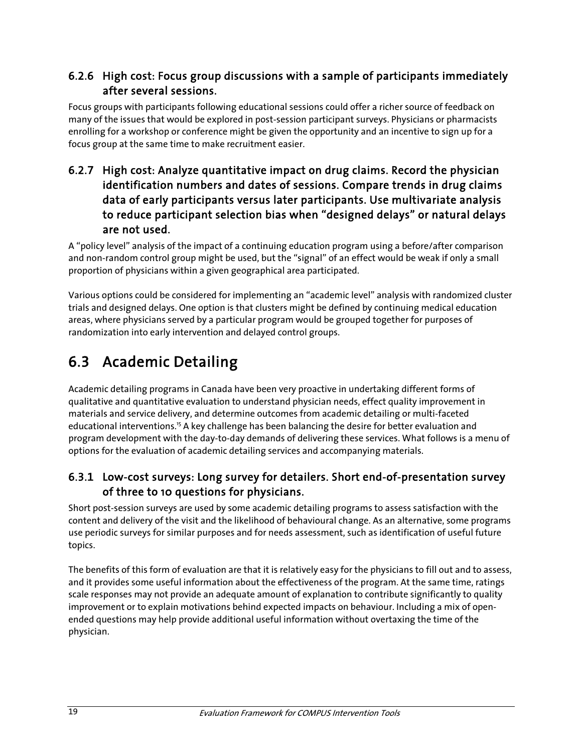#### 6.2.6 High cost: Focus group discussions with a sample of participants immediately after several sessions.

Focus groups with participants following educational sessions could offer a richer source of feedback on many of the issues that would be explored in post-session participant surveys. Physicians or pharmacists enrolling for a workshop or conference might be given the opportunity and an incentive to sign up for a focus group at the same time to make recruitment easier.

### 6.2.7 High cost: Analyze quantitative impact on drug claims. Record the physician identification numbers and dates of sessions. Compare trends in drug claims data of early participants versus later participants. Use multivariate analysis to reduce participant selection bias when "designed delays" or natural delays are not used.

A "policy level" analysis of the impact of a continuing education program using a before/after comparison and non-random control group might be used, but the "signal" of an effect would be weak if only a small proportion of physicians within a given geographical area participated.

Various options could be considered for implementing an "academic level" analysis with randomized cluster trials and designed delays. One option is that clusters might be defined by continuing medical education areas, where physicians served by a particular program would be grouped together for purposes of randomization into early intervention and delayed control groups.

# 6.3 Academic Detailing

Academic detailing programs in Canada have been very proactive in undertaking different forms of qualitative and quantitative evaluation to understand physician needs, effect quality improvement in materials and service delivery, and determine outcomes from academic detailing or multi-faceted educational interventions.<sup>15</sup> A key challenge has been balancing the desire for better evaluation and program development with the day-to-day demands of delivering these services. What follows is a menu of options for the evaluation of academic detailing services and accompanying materials.

### 6.3.1 Low-cost surveys: Long survey for detailers. Short end-of-presentation survey of three to 10 questions for physicians.

Short post-session surveys are used by some academic detailing programs to assess satisfaction with the content and delivery of the visit and the likelihood of behavioural change. As an alternative, some programs use periodic surveys for similar purposes and for needs assessment, such as identification of useful future topics.

The benefits of this form of evaluation are that it is relatively easy for the physicians to fill out and to assess, and it provides some useful information about the effectiveness of the program. At the same time, ratings scale responses may not provide an adequate amount of explanation to contribute significantly to quality improvement or to explain motivations behind expected impacts on behaviour. Including a mix of openended questions may help provide additional useful information without overtaxing the time of the physician.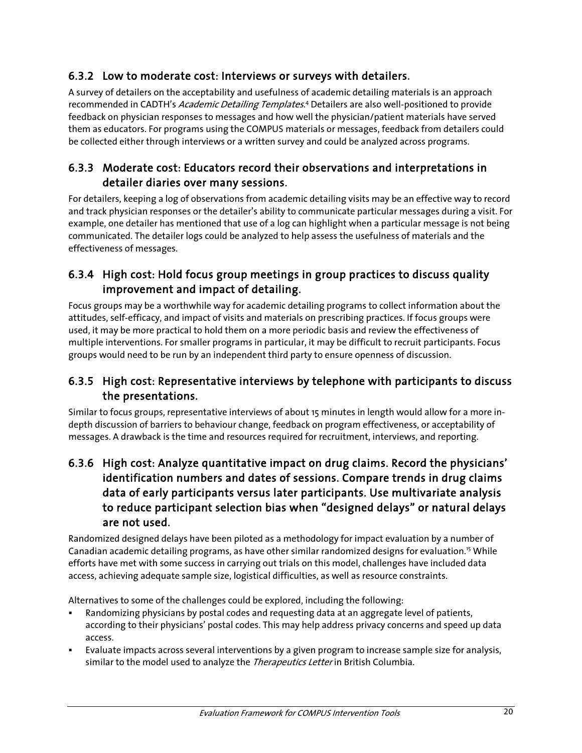### 6.3.2 Low to moderate cost: Interviews or surveys with detailers.

A survey of detailers on the acceptability and usefulness of academic detailing materials is an approach recommended in CADTH's *Academic Detailing Templates*.<sup>4</sup> Detailers are also well-positioned to provide feedback on physician responses to messages and how well the physician/patient materials have served them as educators. For programs using the COMPUS materials or messages, feedback from detailers could be collected either through interviews or a written survey and could be analyzed across programs.

#### 6.3.3 Moderate cost: Educators record their observations and interpretations in detailer diaries over many sessions.

For detailers, keeping a log of observations from academic detailing visits may be an effective way to record and track physician responses or the detailer's ability to communicate particular messages during a visit. For example, one detailer has mentioned that use of a log can highlight when a particular message is not being communicated. The detailer logs could be analyzed to help assess the usefulness of materials and the effectiveness of messages.

#### 6.3.4 High cost: Hold focus group meetings in group practices to discuss quality improvement and impact of detailing.

Focus groups may be a worthwhile way for academic detailing programs to collect information about the attitudes, self-efficacy, and impact of visits and materials on prescribing practices. If focus groups were used, it may be more practical to hold them on a more periodic basis and review the effectiveness of multiple interventions. For smaller programs in particular, it may be difficult to recruit participants. Focus groups would need to be run by an independent third party to ensure openness of discussion.

#### 6.3.5 High cost: Representative interviews by telephone with participants to discuss the presentations.

Similar to focus groups, representative interviews of about 15 minutes in length would allow for a more indepth discussion of barriers to behaviour change, feedback on program effectiveness, or acceptability of messages. A drawback is the time and resources required for recruitment, interviews, and reporting.

#### 6.3.6 High cost: Analyze quantitative impact on drug claims. Record the physicians' identification numbers and dates of sessions. Compare trends in drug claims data of early participants versus later participants. Use multivariate analysis to reduce participant selection bias when "designed delays" or natural delays are not used.

Randomized designed delays have been piloted as a methodology for impact evaluation by a number of Canadian academic detailing programs, as have other similar randomized designs for evaluation.<sup>15</sup> While efforts have met with some success in carrying out trials on this model, challenges have included data access, achieving adequate sample size, logistical difficulties, as well as resource constraints.

Alternatives to some of the challenges could be explored, including the following:

- Randomizing physicians by postal codes and requesting data at an aggregate level of patients, according to their physicians' postal codes. This may help address privacy concerns and speed up data access.
- Evaluate impacts across several interventions by a given program to increase sample size for analysis, similar to the model used to analyze the *Therapeutics Letter* in British Columbia.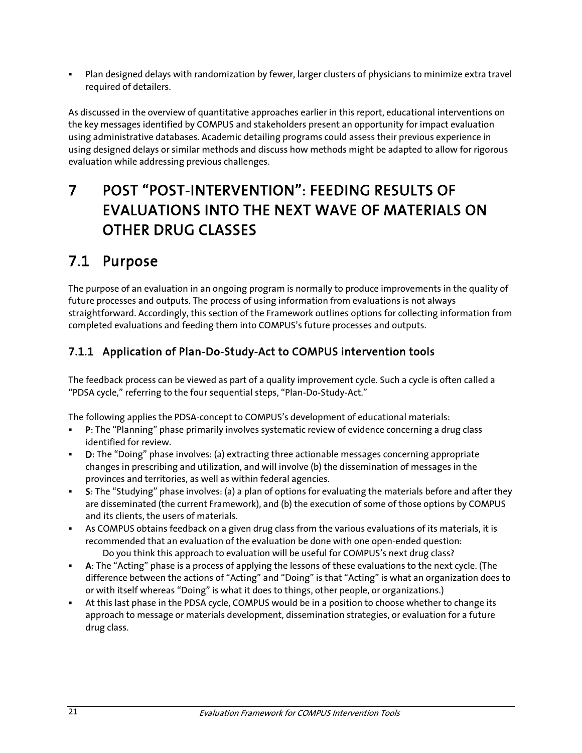Plan designed delays with randomization by fewer, larger clusters of physicians to minimize extra travel required of detailers.

As discussed in the overview of quantitative approaches earlier in this report, educational interventions on the key messages identified by COMPUS and stakeholders present an opportunity for impact evaluation using administrative databases. Academic detailing programs could assess their previous experience in using designed delays or similar methods and discuss how methods might be adapted to allow for rigorous evaluation while addressing previous challenges.

# 7 POST "POST-INTERVENTION": FEEDING RESULTS OF EVALUATIONS INTO THE NEXT WAVE OF MATERIALS ON OTHER DRUG CLASSES

## 7.1 Purpose

The purpose of an evaluation in an ongoing program is normally to produce improvements in the quality of future processes and outputs. The process of using information from evaluations is not always straightforward. Accordingly, this section of the Framework outlines options for collecting information from completed evaluations and feeding them into COMPUS's future processes and outputs.

## 7.1.1 Application of Plan-Do-Study-Act to COMPUS intervention tools

The feedback process can be viewed as part of a quality improvement cycle. Such a cycle is often called a "PDSA cycle," referring to the four sequential steps, "Plan-Do-Study-Act."

The following applies the PDSA-concept to COMPUS's development of educational materials:

- P: The "Planning" phase primarily involves systematic review of evidence concerning a drug class identified for review.
- D: The "Doing" phase involves: (a) extracting three actionable messages concerning appropriate changes in prescribing and utilization, and will involve (b) the dissemination of messages in the provinces and territories, as well as within federal agencies.
- S: The "Studying" phase involves: (a) a plan of options for evaluating the materials before and after they are disseminated (the current Framework), and (b) the execution of some of those options by COMPUS and its clients, the users of materials.
- As COMPUS obtains feedback on a given drug class from the various evaluations of its materials, it is recommended that an evaluation of the evaluation be done with one open-ended question: Do you think this approach to evaluation will be useful for COMPUS's next drug class?
- A: The "Acting" phase is a process of applying the lessons of these evaluations to the next cycle. (The difference between the actions of "Acting" and "Doing" is that "Acting" is what an organization does to or with itself whereas "Doing" is what it does to things, other people, or organizations.)
- At this last phase in the PDSA cycle, COMPUS would be in a position to choose whether to change its approach to message or materials development, dissemination strategies, or evaluation for a future drug class.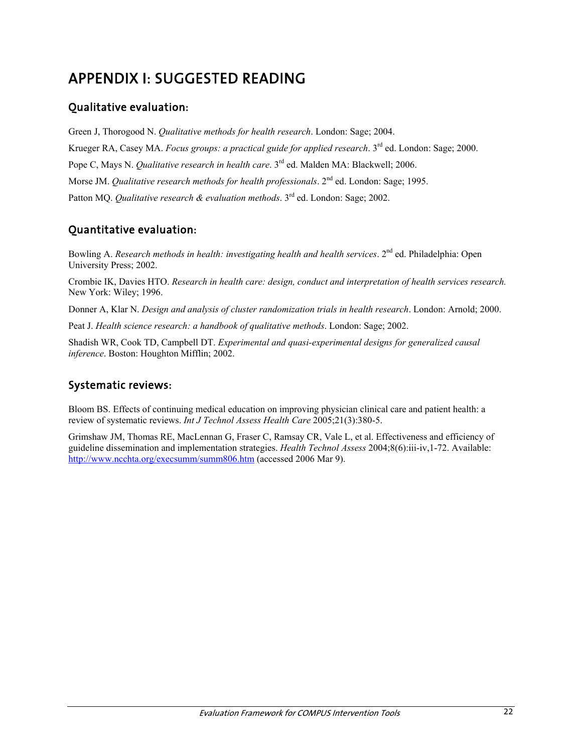# APPENDIX I: SUGGESTED READING

### Qualitative evaluation:

Green J, Thorogood N. *Qualitative methods for health research*. London: Sage; 2004. Krueger RA, Casey MA. *Focus groups: a practical guide for applied research*. 3rd ed. London: Sage; 2000. Pope C, Mays N. *Qualitative research in health care*. 3rd ed. Malden MA: Blackwell; 2006. Morse JM. *Qualitative research methods for health professionals*. 2<sup>nd</sup> ed. London: Sage; 1995. Patton MQ. *Qualitative research & evaluation methods*. 3<sup>rd</sup> ed. London: Sage; 2002.

### Quantitative evaluation:

Bowling A. *Research methods in health: investigating health and health services*. 2<sup>nd</sup> ed. Philadelphia: Open University Press; 2002.

Crombie IK, Davies HTO. *Research in health care: design, conduct and interpretation of health services research.* New York: Wiley; 1996.

Donner A, Klar N. *Design and analysis of cluster randomization trials in health research*. London: Arnold; 2000.

Peat J. *Health science research: a handbook of qualitative methods*. London: Sage; 2002.

Shadish WR, Cook TD, Campbell DT. *Experimental and quasi-experimental designs for generalized causal inference*. Boston: Houghton Mifflin; 2002.

#### Systematic reviews:

Bloom BS. Effects of continuing medical education on improving physician clinical care and patient health: a review of systematic reviews. *Int J Technol Assess Health Care* 2005;21(3):380-5.

Grimshaw JM, Thomas RE, MacLennan G, Fraser C, Ramsay CR, Vale L, et al. Effectiveness and efficiency of guideline dissemination and implementation strategies. *Health Technol Assess* 2004;8(6):iii-iv,1-72. Available: http://www.ncchta.org/execsumm/summ806.htm (accessed 2006 Mar 9).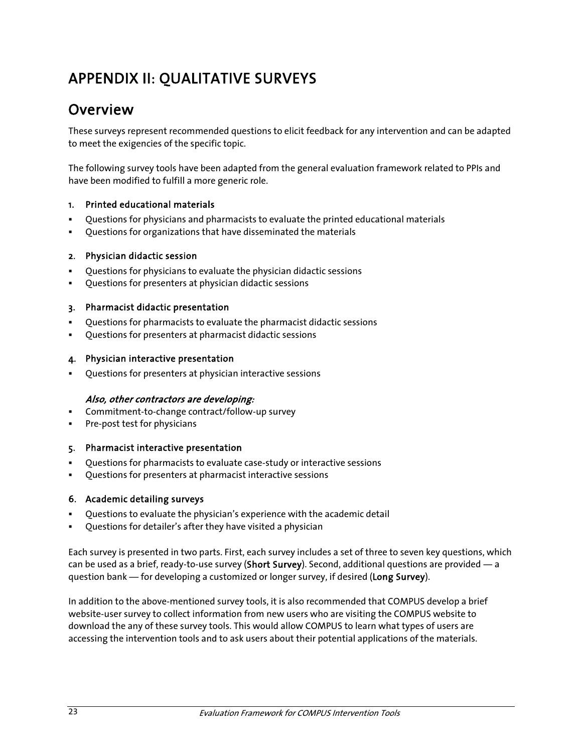# APPENDIX II: QUALITATIVE SURVEYS

## Overview

These surveys represent recommended questions to elicit feedback for any intervention and can be adapted to meet the exigencies of the specific topic.

The following survey tools have been adapted from the general evaluation framework related to PPIs and have been modified to fulfill a more generic role.

#### 1. Printed educational materials

- Questions for physicians and pharmacists to evaluate the printed educational materials
- Questions for organizations that have disseminated the materials

#### 2. Physician didactic session

- Questions for physicians to evaluate the physician didactic sessions
- Questions for presenters at physician didactic sessions

#### 3. Pharmacist didactic presentation

- Questions for pharmacists to evaluate the pharmacist didactic sessions
- Questions for presenters at pharmacist didactic sessions

#### 4. Physician interactive presentation

Questions for presenters at physician interactive sessions

#### Also, other contractors are developing:

- Commitment-to-change contract/follow-up survey
- Pre-post test for physicians

#### 5. Pharmacist interactive presentation

- Questions for pharmacists to evaluate case-study or interactive sessions
- Questions for presenters at pharmacist interactive sessions

#### 6. Academic detailing surveys

- Questions to evaluate the physician's experience with the academic detail
- Questions for detailer's after they have visited a physician

Each survey is presented in two parts. First, each survey includes a set of three to seven key questions, which can be used as a brief, ready-to-use survey (Short Survey). Second, additional questions are provided — a question bank — for developing a customized or longer survey, if desired (Long Survey).

In addition to the above-mentioned survey tools, it is also recommended that COMPUS develop a brief website-user survey to collect information from new users who are visiting the COMPUS website to download the any of these survey tools. This would allow COMPUS to learn what types of users are accessing the intervention tools and to ask users about their potential applications of the materials.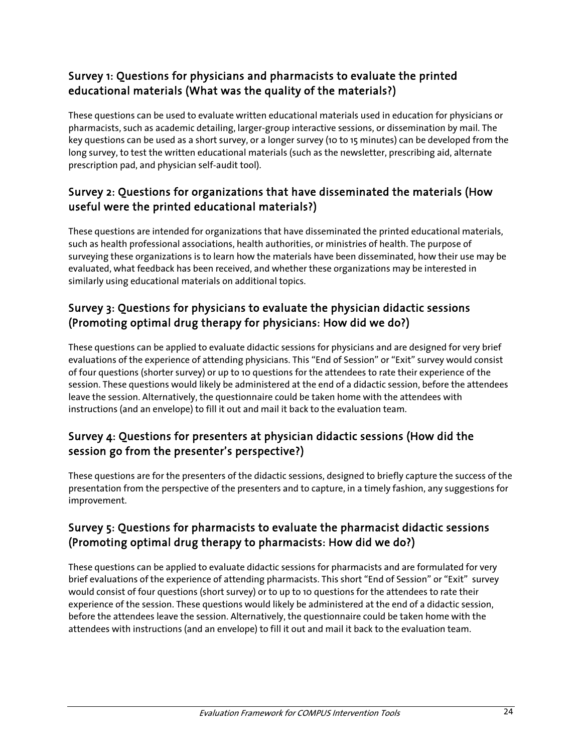### Survey 1: Questions for physicians and pharmacists to evaluate the printed educational materials (What was the quality of the materials?)

These questions can be used to evaluate written educational materials used in education for physicians or pharmacists, such as academic detailing, larger-group interactive sessions, or dissemination by mail. The key questions can be used as a short survey, or a longer survey (10 to 15 minutes) can be developed from the long survey, to test the written educational materials (such as the newsletter, prescribing aid, alternate prescription pad, and physician self-audit tool).

### Survey 2: Questions for organizations that have disseminated the materials (How useful were the printed educational materials?)

These questions are intended for organizations that have disseminated the printed educational materials, such as health professional associations, health authorities, or ministries of health. The purpose of surveying these organizations is to learn how the materials have been disseminated, how their use may be evaluated, what feedback has been received, and whether these organizations may be interested in similarly using educational materials on additional topics.

### Survey 3: Questions for physicians to evaluate the physician didactic sessions (Promoting optimal drug therapy for physicians: How did we do?)

These questions can be applied to evaluate didactic sessions for physicians and are designed for very brief evaluations of the experience of attending physicians. This "End of Session" or "Exit" survey would consist of four questions (shorter survey) or up to 10 questions for the attendees to rate their experience of the session. These questions would likely be administered at the end of a didactic session, before the attendees leave the session. Alternatively, the questionnaire could be taken home with the attendees with instructions (and an envelope) to fill it out and mail it back to the evaluation team.

#### Survey 4: Questions for presenters at physician didactic sessions (How did the session go from the presenter's perspective?)

These questions are for the presenters of the didactic sessions, designed to briefly capture the success of the presentation from the perspective of the presenters and to capture, in a timely fashion, any suggestions for improvement.

#### Survey 5: Questions for pharmacists to evaluate the pharmacist didactic sessions (Promoting optimal drug therapy to pharmacists: How did we do?)

These questions can be applied to evaluate didactic sessions for pharmacists and are formulated for very brief evaluations of the experience of attending pharmacists. This short "End of Session" or "Exit" survey would consist of four questions (short survey) or to up to 10 questions for the attendees to rate their experience of the session. These questions would likely be administered at the end of a didactic session, before the attendees leave the session. Alternatively, the questionnaire could be taken home with the attendees with instructions (and an envelope) to fill it out and mail it back to the evaluation team.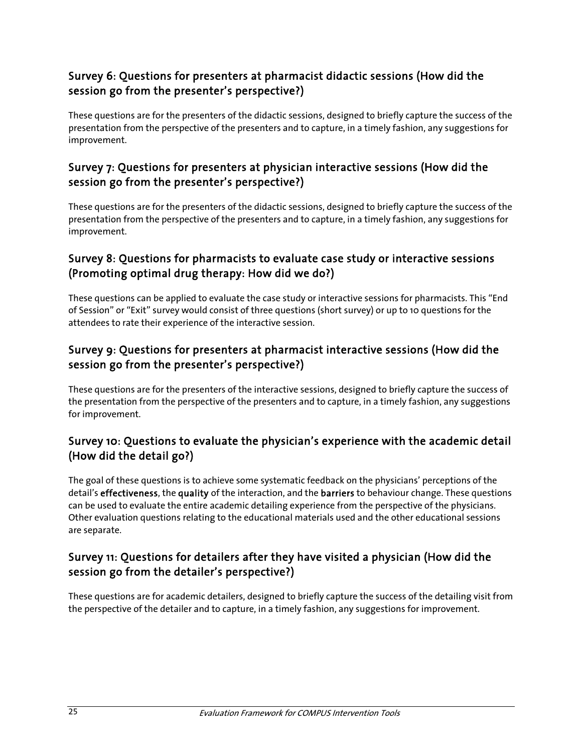#### Survey 6: Questions for presenters at pharmacist didactic sessions (How did the session go from the presenter's perspective?)

These questions are for the presenters of the didactic sessions, designed to briefly capture the success of the presentation from the perspective of the presenters and to capture, in a timely fashion, any suggestions for improvement.

#### Survey 7: Questions for presenters at physician interactive sessions (How did the session go from the presenter's perspective?)

These questions are for the presenters of the didactic sessions, designed to briefly capture the success of the presentation from the perspective of the presenters and to capture, in a timely fashion, any suggestions for improvement.

#### Survey 8: Questions for pharmacists to evaluate case study or interactive sessions (Promoting optimal drug therapy: How did we do?)

These questions can be applied to evaluate the case study or interactive sessions for pharmacists. This "End of Session" or "Exit" survey would consist of three questions (short survey) or up to 10 questions for the attendees to rate their experience of the interactive session.

#### Survey 9: Questions for presenters at pharmacist interactive sessions (How did the session go from the presenter's perspective?)

These questions are for the presenters of the interactive sessions, designed to briefly capture the success of the presentation from the perspective of the presenters and to capture, in a timely fashion, any suggestions for improvement.

#### Survey 10: Questions to evaluate the physician's experience with the academic detail (How did the detail go?)

The goal of these questions is to achieve some systematic feedback on the physicians' perceptions of the detail's effectiveness, the quality of the interaction, and the barriers to behaviour change. These questions can be used to evaluate the entire academic detailing experience from the perspective of the physicians. Other evaluation questions relating to the educational materials used and the other educational sessions are separate.

#### Survey 11: Questions for detailers after they have visited a physician (How did the session go from the detailer's perspective?)

These questions are for academic detailers, designed to briefly capture the success of the detailing visit from the perspective of the detailer and to capture, in a timely fashion, any suggestions for improvement.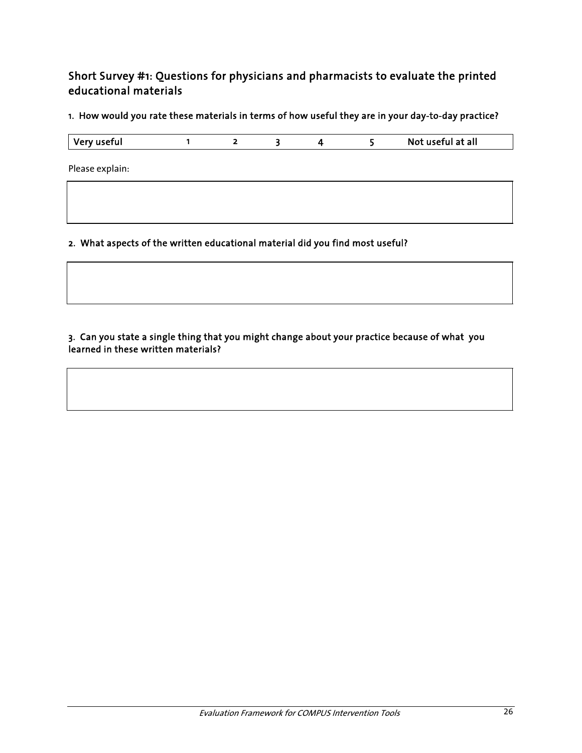#### Short Survey #1: Questions for physicians and pharmacists to evaluate the printed educational materials

1. How would you rate these materials in terms of how useful they are in your day-to-day practice?

| Very useful | Not useful at all |
|-------------|-------------------|
|-------------|-------------------|

Please explain:

2. What aspects of the written educational material did you find most useful?

#### 3. Can you state a single thing that you might change about your practice because of what you learned in these written materials?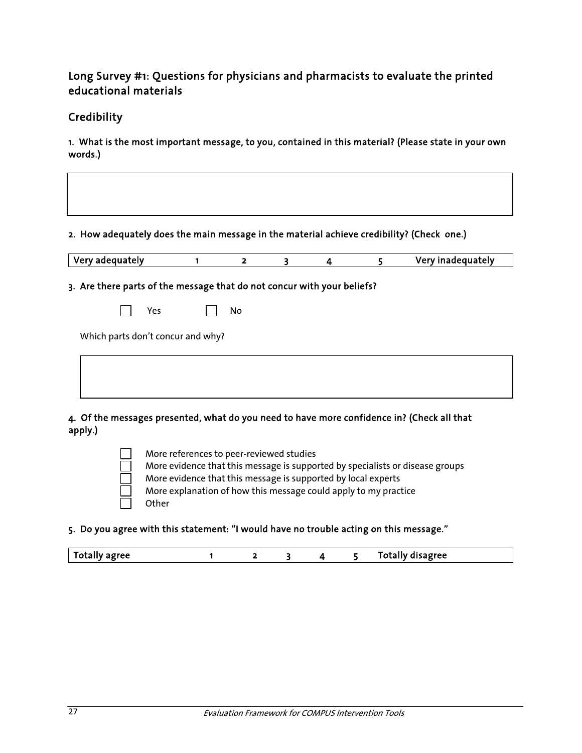#### Long Survey #1: Questions for physicians and pharmacists to evaluate the printed educational materials

#### **Credibility**

1. What is the most important message, to you, contained in this material? (Please state in your own words.)

| Very adequately                                                         | 1 | $\overline{2}$ | 3 | 4 | 5 | Very inadequately |
|-------------------------------------------------------------------------|---|----------------|---|---|---|-------------------|
| 3. Are there parts of the message that do not concur with your beliefs? |   |                |   |   |   |                   |
|                                                                         |   |                |   |   |   |                   |
| Yes                                                                     |   | No             |   |   |   |                   |
|                                                                         |   |                |   |   |   |                   |

4. Of the messages presented, what do you need to have more confidence in? (Check all that apply.)

> More references to peer-reviewed studies More evidence that this message is supported by specialists or disease groups More evidence that this message is supported by local experts More explanation of how this message could apply to my practice **Other**

5. Do you agree with this statement: "I would have no trouble acting on this message."

| <sup>1</sup> Totally agree<br>Totally disagree |
|------------------------------------------------|
|------------------------------------------------|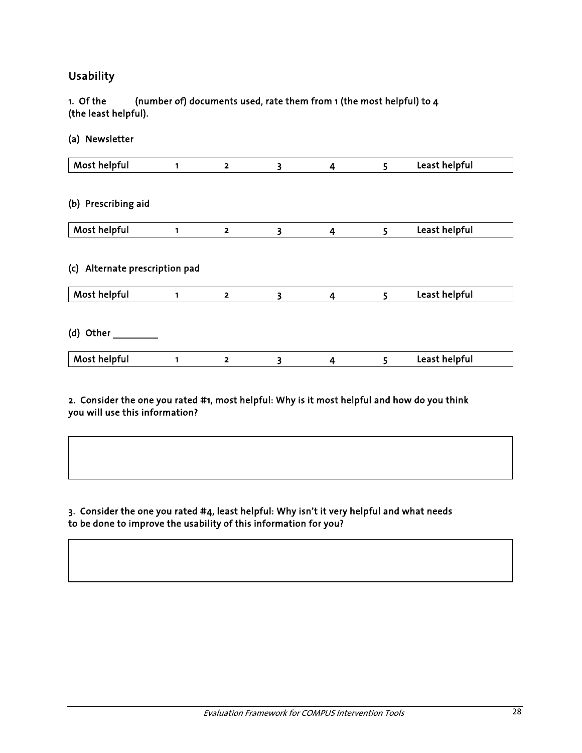#### Usability

#### 1. Of the (number of) documents used, rate them from 1 (the most helpful) to 4 (the least helpful).

(a) Newsletter

| Most helpful                      | 1 | $\overline{\mathbf{2}}$ | 3 | $\overline{\mathbf{4}}$ | 5 | Least helpful |
|-----------------------------------|---|-------------------------|---|-------------------------|---|---------------|
|                                   |   |                         |   |                         |   |               |
| (b) Prescribing aid               |   |                         |   |                         |   |               |
| Most helpful                      | 1 | $\overline{\mathbf{2}}$ | 3 | 4                       | 5 | Least helpful |
| Alternate prescription pad<br>(c) |   |                         |   |                         |   |               |
|                                   |   |                         |   |                         |   |               |
| Most helpful                      | 1 | $\overline{2}$          | 3 | $\overline{\mathbf{4}}$ | 5 | Least helpful |
| (d) Other                         |   |                         |   |                         |   |               |

#### 2. Consider the one you rated #1, most helpful: Why is it most helpful and how do you think you will use this information?

#### 3. Consider the one you rated #4, least helpful: Why isn't it very helpful and what needs to be done to improve the usability of this information for you?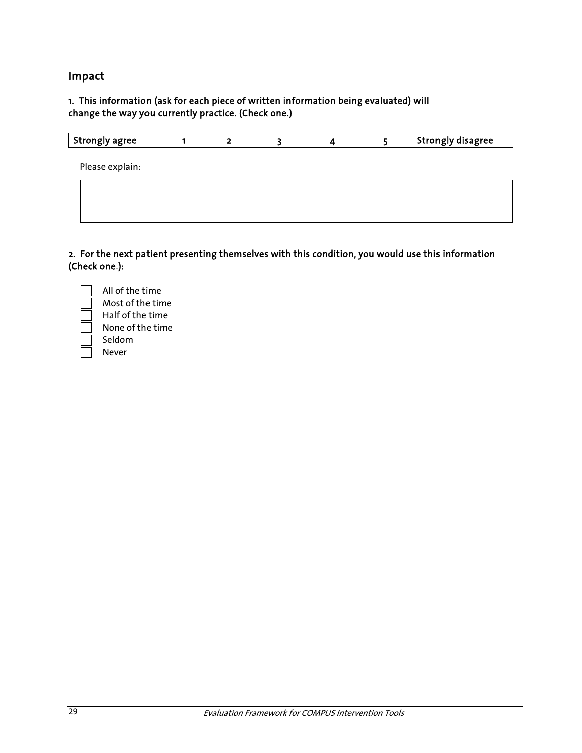#### Impact

#### 1. This information (ask for each piece of written information being evaluated) will change the way you currently practice. (Check one.)

| <b>Strongly agree</b> | $\overline{2}$ |  | <b>Strongly disagree</b> |
|-----------------------|----------------|--|--------------------------|
| Please explain:       |                |  |                          |
|                       |                |  |                          |
|                       |                |  |                          |
|                       |                |  |                          |

2. For the next patient presenting themselves with this condition, you would use this information (Check one.):



 Most of the time Half of the time None of the time Seldom

All of the time

Never

29 Evaluation Framework for COMPUS Intervention Tools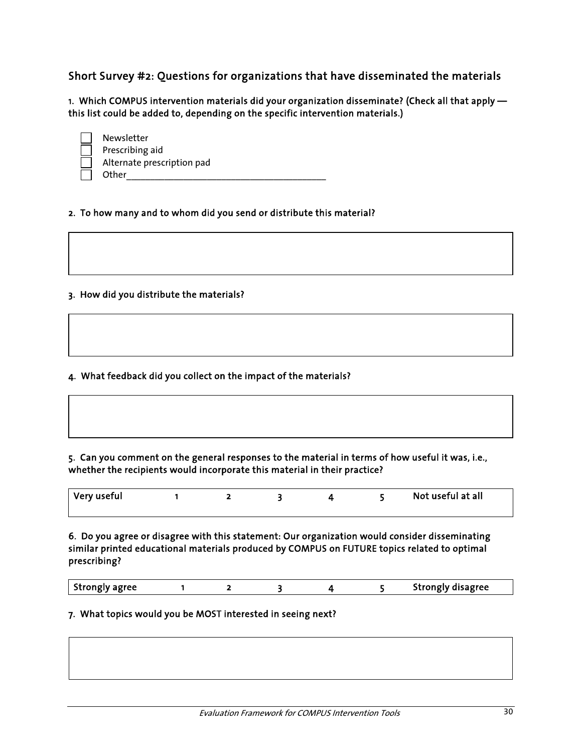Short Survey #2: Questions for organizations that have disseminated the materials

1. Which COMPUS intervention materials did your organization disseminate? (Check all that apply this list could be added to, depending on the specific intervention materials.)

| Newsletter                 |
|----------------------------|
| Prescribing aid            |
| Alternate prescription pad |
| Other                      |

#### 2. To how many and to whom did you send or distribute this material?

#### 3. How did you distribute the materials?

4. What feedback did you collect on the impact of the materials?

#### 5. Can you comment on the general responses to the material in terms of how useful it was, i.e., whether the recipients would incorporate this material in their practice?

| Very useful |  |  | Not useful at all |  |
|-------------|--|--|-------------------|--|

6. Do you agree or disagree with this statement: Our organization would consider disseminating similar printed educational materials produced by COMPUS on FUTURE topics related to optimal prescribing?

| <b>Strongly agree</b> |  |  |  |  |  | Strongly disagree |
|-----------------------|--|--|--|--|--|-------------------|
|-----------------------|--|--|--|--|--|-------------------|

#### 7. What topics would you be MOST interested in seeing next?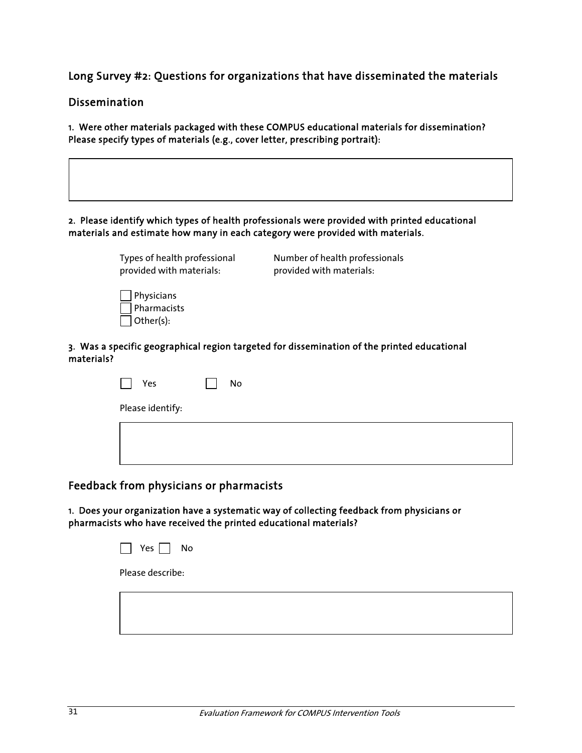Long Survey #2: Questions for organizations that have disseminated the materials

#### Dissemination

1. Were other materials packaged with these COMPUS educational materials for dissemination? Please specify types of materials (e.g., cover letter, prescribing portrait):

#### 2. Please identify which types of health professionals were provided with printed educational materials and estimate how many in each category were provided with materials.

| Types of health professional                  | Number of health professionals |
|-----------------------------------------------|--------------------------------|
| provided with materials:                      | provided with materials:       |
| $\vert$   Physicians<br>$\exists$ Pharmacists |                                |

#### 3. Was a specific geographical region targeted for dissemination of the printed educational materials?

| Yes              | No |
|------------------|----|
| Please identify: |    |
|                  |    |
|                  |    |

#### Feedback from physicians or pharmacists

1. Does your organization have a systematic way of collecting feedback from physicians or pharmacists who have received the printed educational materials?



Other(s):

Please describe: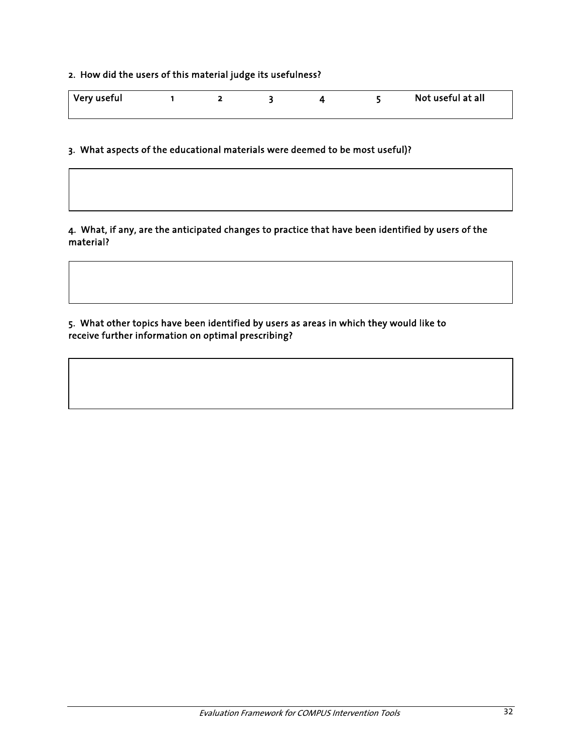### 2. How did the users of this material judge its usefulness?

| Very useful |  |  | Not useful at all |
|-------------|--|--|-------------------|
|             |  |  |                   |

3. What aspects of the educational materials were deemed to be most useful)?

#### 4. What, if any, are the anticipated changes to practice that have been identified by users of the material?

5. What other topics have been identified by users as areas in which they would like to receive further information on optimal prescribing?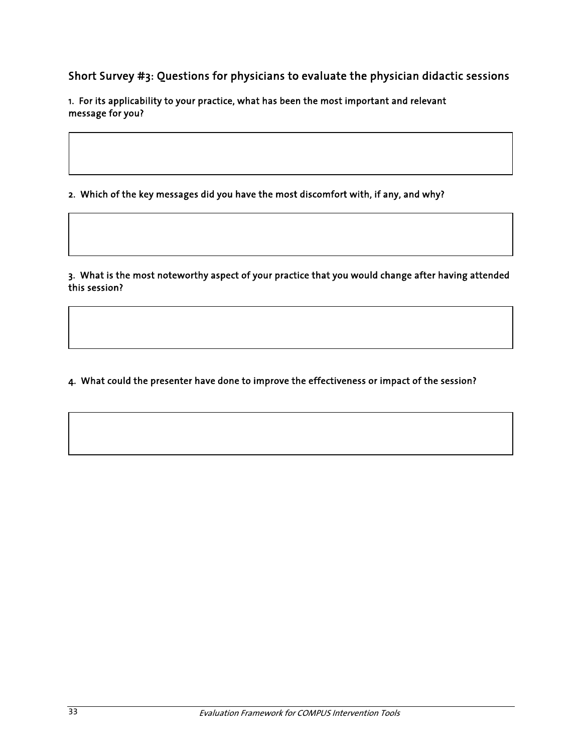Short Survey #3: Questions for physicians to evaluate the physician didactic sessions

1. For its applicability to your practice, what has been the most important and relevant message for you?

2. Which of the key messages did you have the most discomfort with, if any, and why?

3. What is the most noteworthy aspect of your practice that you would change after having attended this session?

4. What could the presenter have done to improve the effectiveness or impact of the session?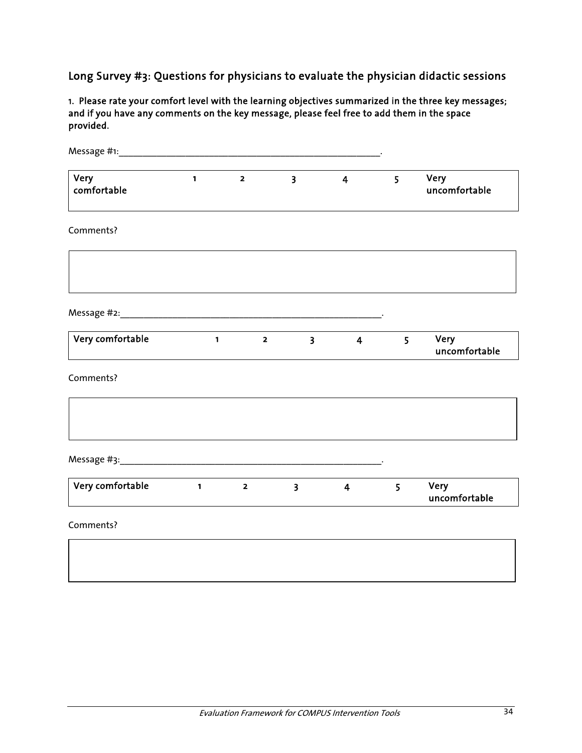Long Survey #3: Questions for physicians to evaluate the physician didactic sessions

1. Please rate your comfort level with the learning objectives summarized in the three key messages; and if you have any comments on the key message, please feel free to add them in the space provided.

| Very<br>comfortable | $\mathbf{1}$           | $\overline{\mathbf{2}}$ | $\overline{\mathbf{3}}$ | $\overline{4}$ | 5              | Very<br>uncomfortable |
|---------------------|------------------------|-------------------------|-------------------------|----------------|----------------|-----------------------|
| Comments?           |                        |                         |                         |                |                |                       |
|                     |                        |                         |                         |                |                |                       |
|                     |                        |                         |                         |                |                |                       |
| Very comfortable    |                        | $1 \t 2$                | 3 <sup>7</sup>          | 4              | 5 <sup>1</sup> | Very<br>uncomfortable |
| Comments?           |                        |                         |                         |                |                |                       |
|                     |                        |                         |                         |                |                |                       |
|                     |                        |                         |                         |                |                |                       |
| Very comfortable    | $\sim$ $\sim$ $\sim$ 1 | $\overline{\mathbf{2}}$ | $\overline{\mathbf{3}}$ | $\overline{4}$ | 5 <sup>5</sup> | Very<br>uncomfortable |
| Comments?           |                        |                         |                         |                |                |                       |
|                     |                        |                         |                         |                |                |                       |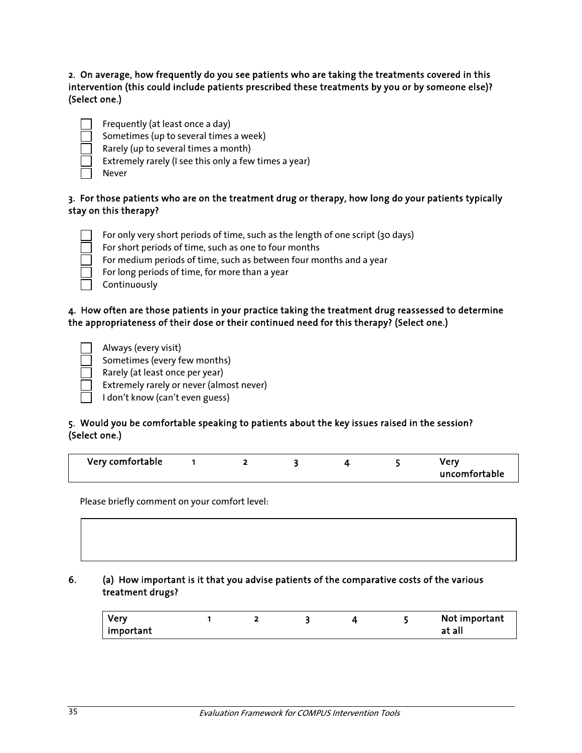2. On average, how frequently do you see patients who are taking the treatments covered in this intervention (this could include patients prescribed these treatments by you or by someone else)? (Select one.)

| ______  |  |
|---------|--|
|         |  |
|         |  |
|         |  |
| __<br>_ |  |

- Frequently (at least once a day)
- Sometimes (up to several times a week)
- Rarely (up to several times a month)
- Extremely rarely (I see this only a few times a year)
- Never

### 3. For those patients who are on the treatment drug or therapy, how long do your patients typically stay on this therapy?

- For only very short periods of time, such as the length of one script (30 days)
- For short periods of time, such as one to four months
- For medium periods of time, such as between four months and a year
- For long periods of time, for more than a year
- Continuously

### 4. How often are those patients in your practice taking the treatment drug reassessed to determine the appropriateness of their dose or their continued need for this therapy? (Select one.)

- Always (every visit) Sometimes (every few months)
- Rarely (at least once per year)
- Extremely rarely or never (almost never)
- $\Box$  I don't know (can't even guess)

### 5. Would you be comfortable speaking to patients about the key issues raised in the session? (Select one.)

| Very comfortable |  |  |  |  |  | 10 <sup>2</sup><br>uncomfortable |
|------------------|--|--|--|--|--|----------------------------------|
|------------------|--|--|--|--|--|----------------------------------|

Please briefly comment on your comfort level:

### 6. (a) How important is it that you advise patients of the comparative costs of the various treatment drugs?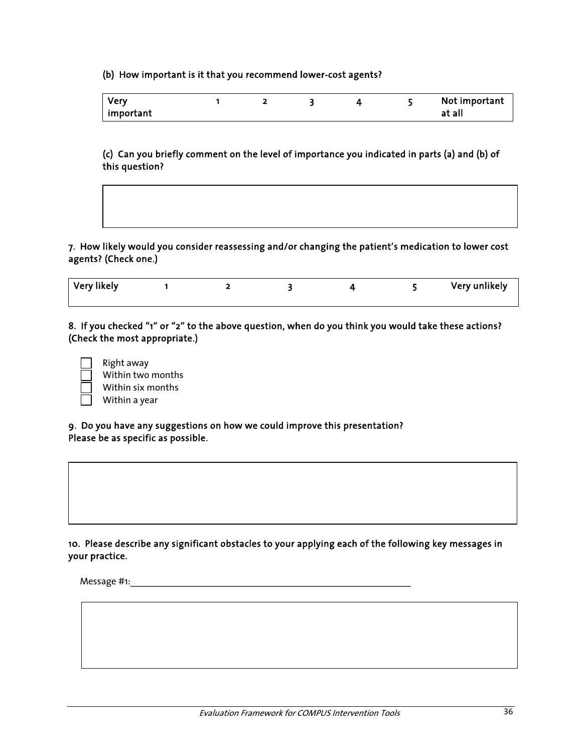(b) How important is it that you recommend lower-cost agents?

| <b>Very</b>      |  |  | Not important |
|------------------|--|--|---------------|
| $\mid$ important |  |  | at<br>all     |

(c) Can you briefly comment on the level of importance you indicated in parts (a) and (b) of this question?

7. How likely would you consider reassessing and/or changing the patient's medication to lower cost agents? (Check one.)

| Very likely |  |  | Very unlikely |
|-------------|--|--|---------------|
|             |  |  |               |

8. If you checked "1" or "2" to the above question, when do you think you would take these actions? (Check the most appropriate.)

| Right away    |
|---------------|
| Within two m  |
| Within six mo |
| Within a year |

 Within two months Within six months

9. Do you have any suggestions on how we could improve this presentation? Please be as specific as possible.

10. Please describe any significant obstacles to your applying each of the following key messages in your practice.

Message #1:\_\_\_\_\_\_\_\_\_\_\_\_\_\_\_\_\_\_\_\_\_\_\_\_\_\_\_\_\_\_\_\_\_\_\_\_\_\_\_\_\_\_\_\_\_\_\_\_\_\_\_\_\_\_\_\_\_\_\_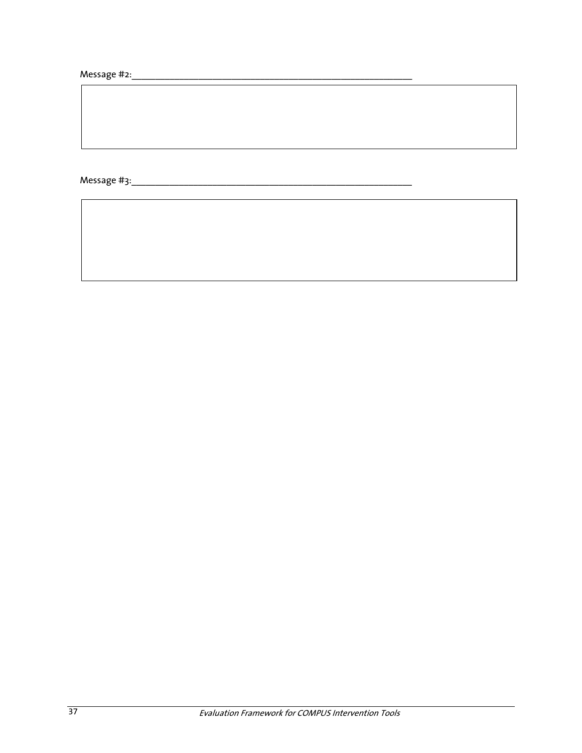Message #2:\_\_\_\_\_\_\_\_\_\_\_\_\_\_\_\_\_\_\_\_\_\_\_\_\_\_\_\_\_\_\_\_\_\_\_\_\_\_\_\_\_\_\_\_\_\_\_\_\_\_\_\_\_\_\_\_\_\_\_

Message #3:\_\_\_\_\_\_\_\_\_\_\_\_\_\_\_\_\_\_\_\_\_\_\_\_\_\_\_\_\_\_\_\_\_\_\_\_\_\_\_\_\_\_\_\_\_\_\_\_\_\_\_\_\_\_\_\_\_\_\_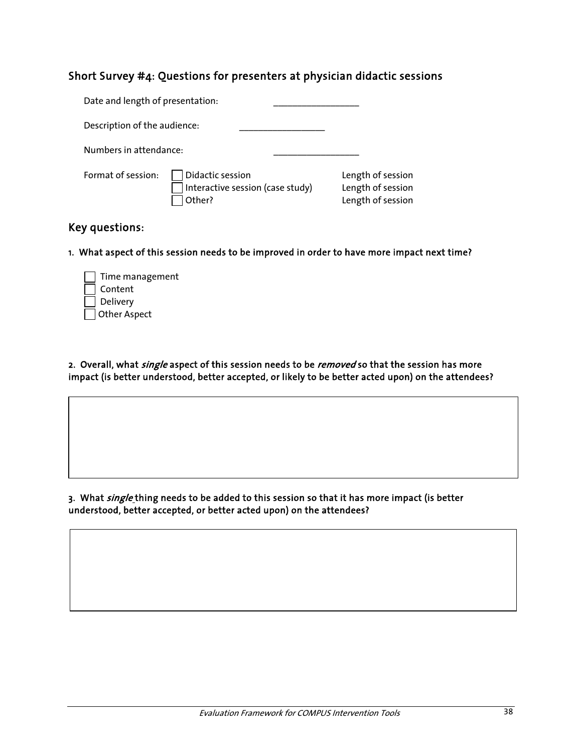### Short Survey #4: Questions for presenters at physician didactic sessions

| Date and length of presentation: |                                                                |                                                             |
|----------------------------------|----------------------------------------------------------------|-------------------------------------------------------------|
| Description of the audience:     |                                                                |                                                             |
| Numbers in attendance:           |                                                                |                                                             |
| Format of session:               | Didactic session<br>Interactive session (case study)<br>Other? | Length of session<br>Length of session<br>Length of session |

### Key questions:

1. What aspect of this session needs to be improved in order to have more impact next time?

| Time management |
|-----------------|
| Content         |
| Delivery        |
| Other Aspect    |

2. Overall, what single aspect of this session needs to be removed so that the session has more impact (is better understood, better accepted, or likely to be better acted upon) on the attendees?

3. What single thing needs to be added to this session so that it has more impact (is better understood, better accepted, or better acted upon) on the attendees?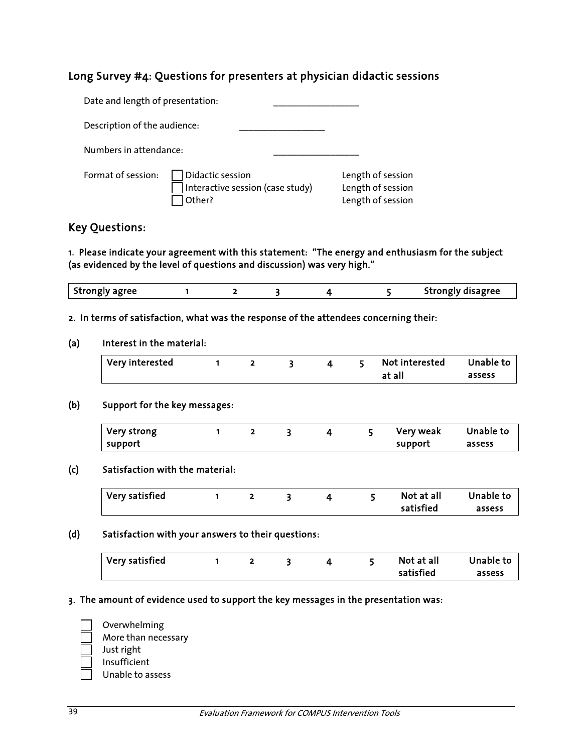### Long Survey #4: Questions for presenters at physician didactic sessions

| Date and length of presentation: |                                                                |                                                             |
|----------------------------------|----------------------------------------------------------------|-------------------------------------------------------------|
| Description of the audience:     |                                                                |                                                             |
| Numbers in attendance:           |                                                                |                                                             |
| Format of session:               | Didactic session<br>Interactive session (case study)<br>Other? | Length of session<br>Length of session<br>Length of session |

### Key Questions:

1. Please indicate your agreement with this statement: "The energy and enthusiasm for the subject (as evidenced by the level of questions and discussion) was very high."

| <b>Strongly agree</b> |  |  | Strongly disagree |
|-----------------------|--|--|-------------------|

#### 2. In terms of satisfaction, what was the response of the attendees concerning their:

#### (a) Interest in the material:

| Very interested |  | 4 | 5 Not interested Unable to |        |
|-----------------|--|---|----------------------------|--------|
|                 |  |   | at all                     | assess |

#### (b) Support for the key messages:

| Very strong |  |  | Very weak | Unable to |
|-------------|--|--|-----------|-----------|
| support     |  |  | support   | assess    |

#### (c) Satisfaction with the material:

| Very satisfied |  |  | Not at all | Unable to |
|----------------|--|--|------------|-----------|
|                |  |  | satisfied  | assess    |

### (d) Satisfaction with your answers to their questions:

| Very satisfied |  |  | Not at all | Unable to |
|----------------|--|--|------------|-----------|
|                |  |  | satisfied  | assess    |

#### 3. The amount of evidence used to support the key messages in the presentation was:



- More than necessary Just right
- Insufficient
- Unable to assess

Overwhelming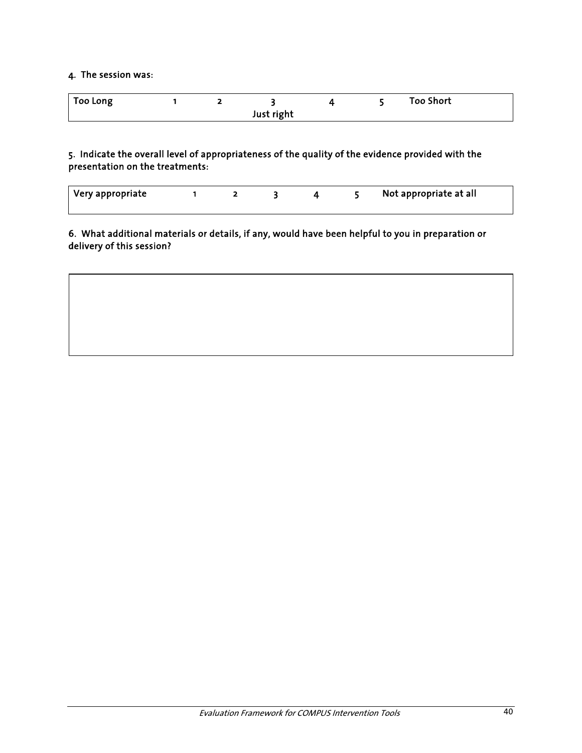### 4. The session was:

| <b>Too Long</b> |  |            |  | <b>Too Short</b> |
|-----------------|--|------------|--|------------------|
|                 |  | Just right |  |                  |

5. Indicate the overall level of appropriateness of the quality of the evidence provided with the presentation on the treatments:

| Very appropriate |  |  | Not appropriate at all |
|------------------|--|--|------------------------|
|                  |  |  |                        |

6. What additional materials or details, if any, would have been helpful to you in preparation or delivery of this session?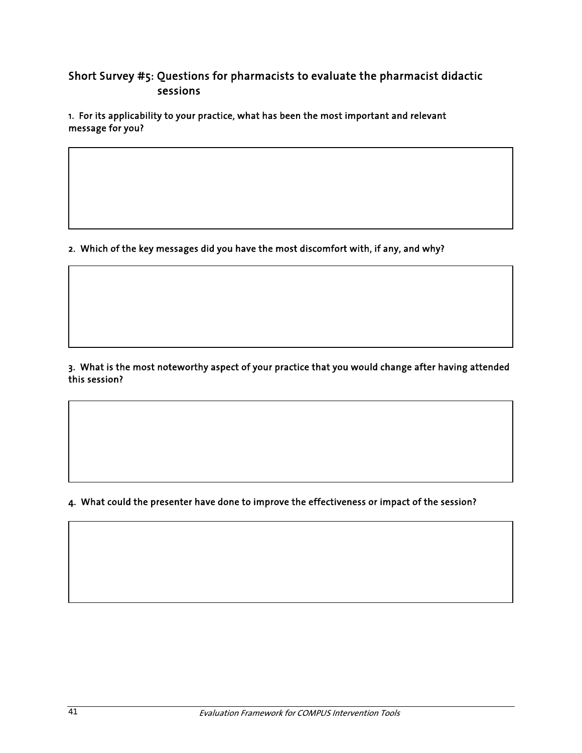### Short Survey #5: Questions for pharmacists to evaluate the pharmacist didactic sessions

1. For its applicability to your practice, what has been the most important and relevant message for you?

2. Which of the key messages did you have the most discomfort with, if any, and why?

3. What is the most noteworthy aspect of your practice that you would change after having attended this session?

4. What could the presenter have done to improve the effectiveness or impact of the session?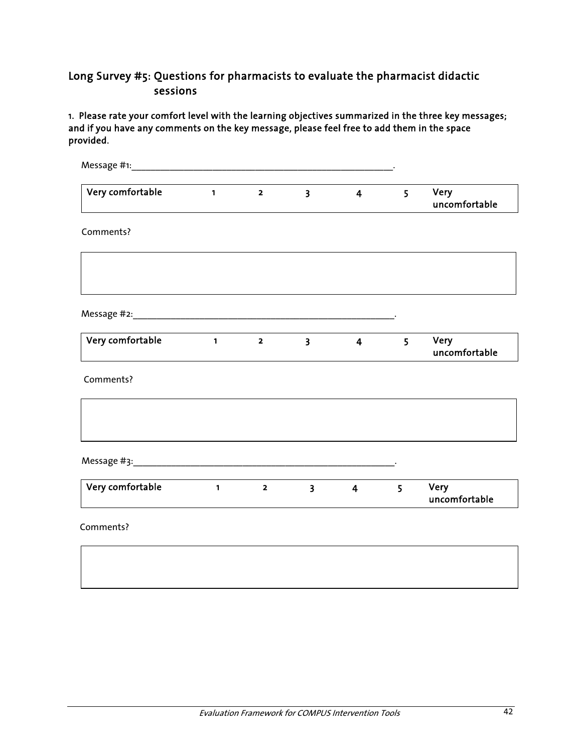### Long Survey #5: Questions for pharmacists to evaluate the pharmacist didactic sessions

1. Please rate your comfort level with the learning objectives summarized in the three key messages; and if you have any comments on the key message, please feel free to add them in the space provided.

| Very comfortable | $\mathbf{1}$                  | $\overline{\mathbf{2}}$ | $\overline{\mathbf{3}}$ | $\overline{4}$ | 5              | Very<br>uncomfortable        |
|------------------|-------------------------------|-------------------------|-------------------------|----------------|----------------|------------------------------|
| Comments?        |                               |                         |                         |                |                |                              |
|                  |                               |                         |                         |                |                |                              |
|                  |                               |                         |                         |                |                |                              |
| Very comfortable | $\overline{1}$ $\overline{2}$ |                         | $\overline{\mathbf{3}}$ | $\overline{4}$ | 5              | <b>Very</b><br>uncomfortable |
| Comments?        |                               |                         |                         |                |                |                              |
|                  |                               |                         |                         |                |                |                              |
|                  |                               |                         |                         |                |                |                              |
| Very comfortable | $1 \t 2$                      |                         | $\overline{\mathbf{3}}$ | $\overline{4}$ | 5 <sup>5</sup> | Very<br>uncomfortable        |
| Comments?        |                               |                         |                         |                |                |                              |
|                  |                               |                         |                         |                |                |                              |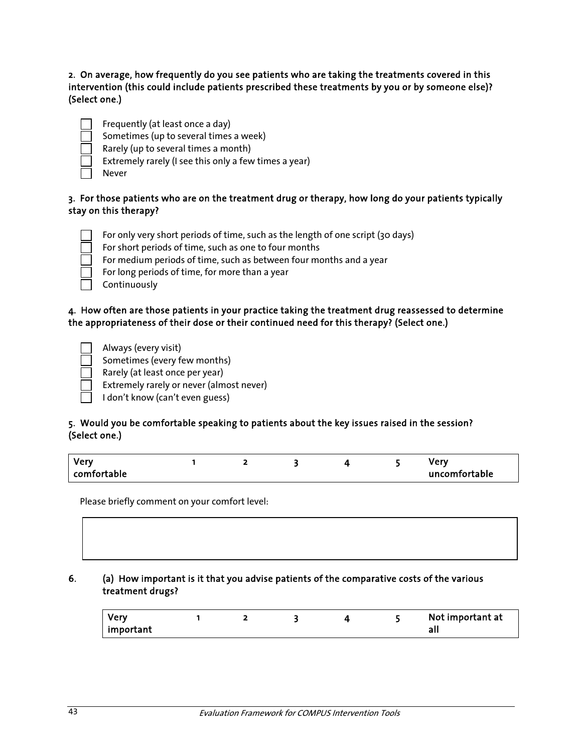2. On average, how frequently do you see patients who are taking the treatments covered in this intervention (this could include patients prescribed these treatments by you or by someone else)? (Select one.)

| ______  |  |
|---------|--|
|         |  |
|         |  |
|         |  |
| __<br>_ |  |

Frequently (at least once a day)

Sometimes (up to several times a week)

Rarely (up to several times a month)

Extremely rarely (I see this only a few times a year)

Never

### 3. For those patients who are on the treatment drug or therapy, how long do your patients typically stay on this therapy?

For only very short periods of time, such as the length of one script (30 days)

- For short periods of time, such as one to four months
- For medium periods of time, such as between four months and a year
- For long periods of time, for more than a year
- Continuously

### 4. How often are those patients in your practice taking the treatment drug reassessed to determine the appropriateness of their dose or their continued need for this therapy? (Select one.)

Always (every visit)

 Sometimes (every few months) Rarely (at least once per year)

Extremely rarely or never (almost never)

 $\Box$  I don't know (can't even guess)

# 5. Would you be comfortable speaking to patients about the key issues raised in the session?

#### (Select one.)

| <b>Very</b> |  |  | /erv          |
|-------------|--|--|---------------|
| comfortable |  |  | uncomfortable |

Please briefly comment on your comfort level:

### 6. (a) How important is it that you advise patients of the comparative costs of the various treatment drugs?

| <b>Verv</b> |  |  | Not important at |
|-------------|--|--|------------------|
| important   |  |  |                  |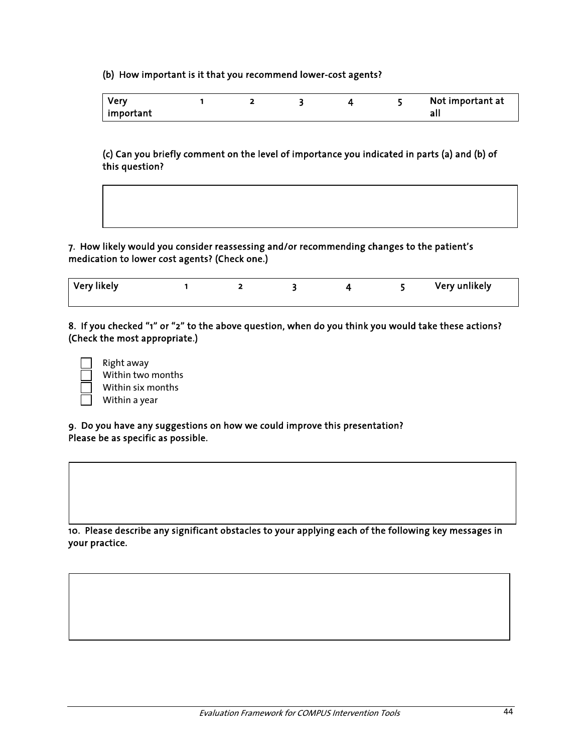(b) How important is it that you recommend lower-cost agents?

| <b>Very</b> |  |  | Not important at |
|-------------|--|--|------------------|
| important   |  |  |                  |

(c) Can you briefly comment on the level of importance you indicated in parts (a) and (b) of this question?



7. How likely would you consider reassessing and/or recommending changes to the patient's medication to lower cost agents? (Check one.)

| Very likely |  |  | Very unlikely |
|-------------|--|--|---------------|
|             |  |  |               |

8. If you checked "1" or "2" to the above question, when do you think you would take these actions? (Check the most appropriate.)

| Right away    |
|---------------|
| Within two m  |
| Within six mo |
| Within a year |

 Within two months Within six months

9. Do you have any suggestions on how we could improve this presentation? Please be as specific as possible.

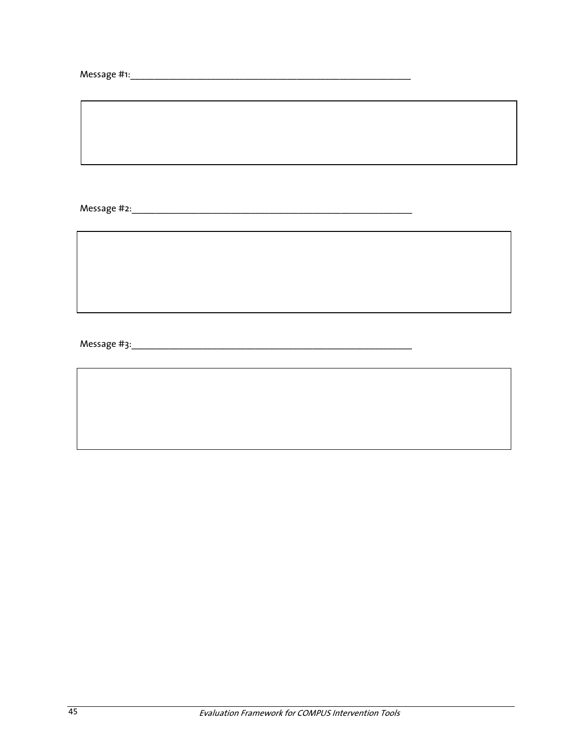$\overline{\phantom{0}}$ 

 $\overline{\phantom{a}}$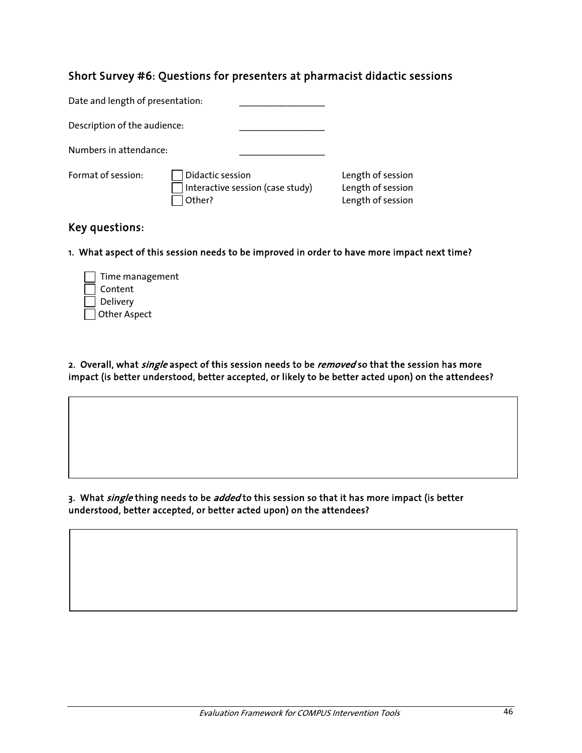### Short Survey #6: Questions for presenters at pharmacist didactic sessions

| Date and length of presentation: |                            |                                  |                                                             |
|----------------------------------|----------------------------|----------------------------------|-------------------------------------------------------------|
| Description of the audience:     |                            |                                  |                                                             |
| Numbers in attendance:           |                            |                                  |                                                             |
| Format of session:               | Didactic session<br>Other? | Interactive session (case study) | Length of session<br>Length of session<br>Length of session |

### Key questions:

1. What aspect of this session needs to be improved in order to have more impact next time?

| Time management |
|-----------------|
| Content         |
| $\Box$ Delivery |
| Other Aspect    |

2. Overall, what *single* aspect of this session needs to be *removed* so that the session has more impact (is better understood, better accepted, or likely to be better acted upon) on the attendees?

3. What single thing needs to be added to this session so that it has more impact (is better understood, better accepted, or better acted upon) on the attendees?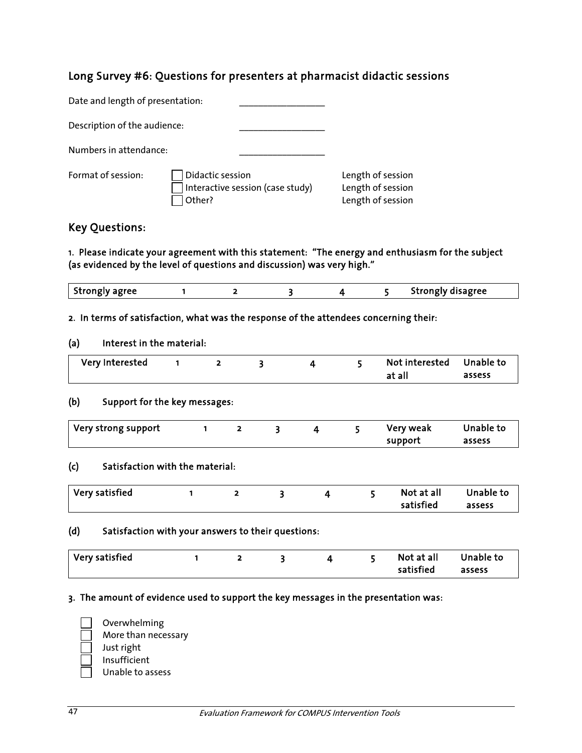### Long Survey #6: Questions for presenters at pharmacist didactic sessions

| Date and length of presentation: |                            |                                  |                                                             |
|----------------------------------|----------------------------|----------------------------------|-------------------------------------------------------------|
| Description of the audience:     |                            |                                  |                                                             |
| Numbers in attendance:           |                            |                                  |                                                             |
| Format of session:               | Didactic session<br>Other? | Interactive session (case study) | Length of session<br>Length of session<br>Length of session |

### Key Questions:

1. Please indicate your agreement with this statement: "The energy and enthusiasm for the subject (as evidenced by the level of questions and discussion) was very high."

|                |  |  | Strongly disagree |
|----------------|--|--|-------------------|
| Strongly agree |  |  | .                 |

#### 2. In terms of satisfaction, what was the response of the attendees concerning their:

#### (a) Interest in the material:

| Very Interested |  |  | Not interested Unable to |        |
|-----------------|--|--|--------------------------|--------|
|                 |  |  | at all                   | assess |

#### (b) Support for the key messages:

| Very strong support |  |  | Very weak | Unable to |
|---------------------|--|--|-----------|-----------|
|                     |  |  | support   | assess    |

#### (c) Satisfaction with the material:

| $\mid$ Very satisfied |  |  | Not at all | Unable to |
|-----------------------|--|--|------------|-----------|
|                       |  |  | satisfied  | assess    |

#### (d) Satisfaction with your answers to their questions:

| $\mid$ Very satisfied |  |  | Not at all | Unable to |
|-----------------------|--|--|------------|-----------|
|                       |  |  | satisfied  | assess    |

#### 3. The amount of evidence used to support the key messages in the presentation was:

 Overwhelming More than necessary Just right Insufficient Unable to assess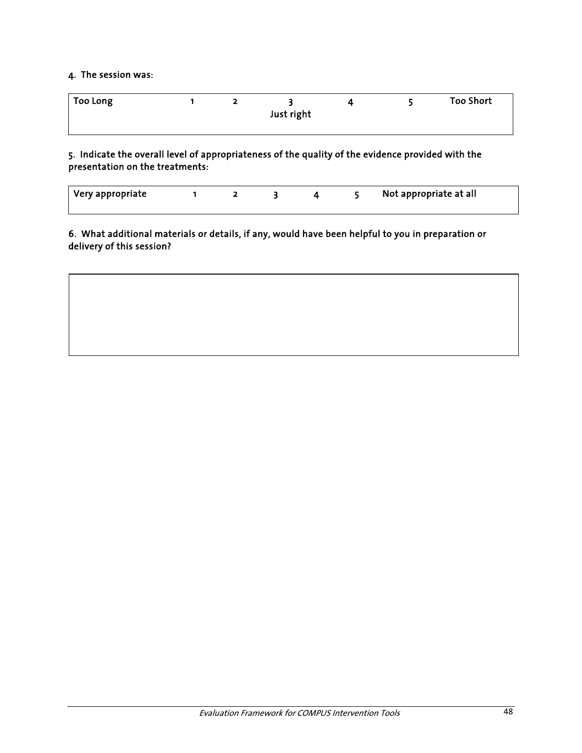### 4. The session was:

| Too Long |  |            |  | <b>Too Short</b> |
|----------|--|------------|--|------------------|
|          |  | Just right |  |                  |
|          |  |            |  |                  |

5. Indicate the overall level of appropriateness of the quality of the evidence provided with the presentation on the treatments:

| Very appropriate |  |  | Not appropriate at all |
|------------------|--|--|------------------------|
|                  |  |  |                        |

6. What additional materials or details, if any, would have been helpful to you in preparation or delivery of this session?

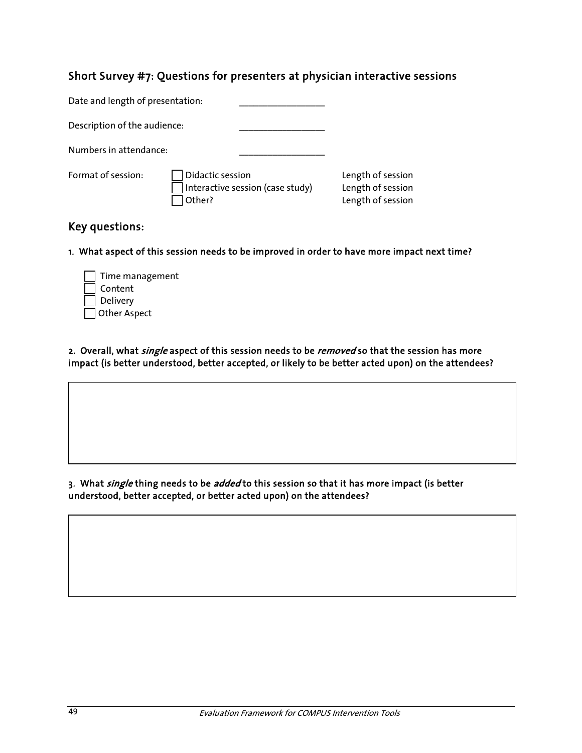### Short Survey #7: Questions for presenters at physician interactive sessions

| Date and length of presentation: |                            |                                  |                                                             |
|----------------------------------|----------------------------|----------------------------------|-------------------------------------------------------------|
| Description of the audience:     |                            |                                  |                                                             |
| Numbers in attendance:           |                            |                                  |                                                             |
| Format of session:               | Didactic session<br>Other? | Interactive session (case study) | Length of session<br>Length of session<br>Length of session |

### Key questions:

1. What aspect of this session needs to be improved in order to have more impact next time?

| Time management |
|-----------------|
| Content         |
| Delivery        |
| Other Aspect    |

2. Overall, what *single* aspect of this session needs to be *removed* so that the session has more impact (is better understood, better accepted, or likely to be better acted upon) on the attendees?

#### 3. What single thing needs to be added to this session so that it has more impact (is better understood, better accepted, or better acted upon) on the attendees?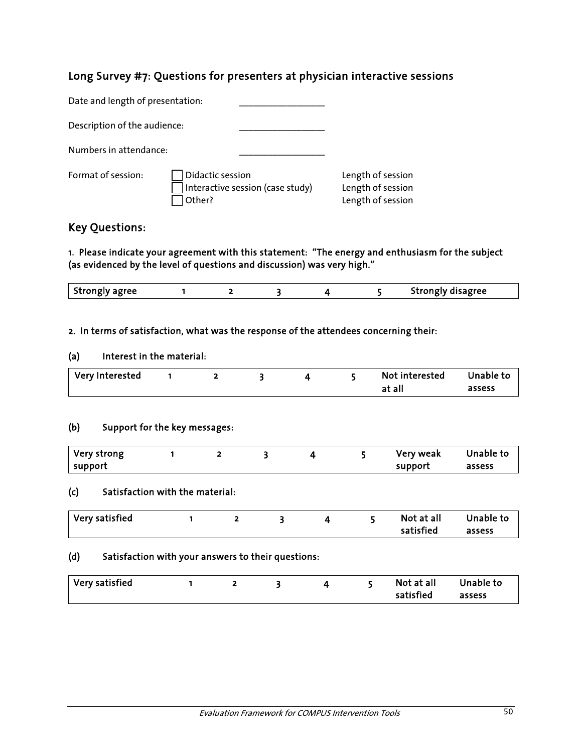### Long Survey #7: Questions for presenters at physician interactive sessions

| Date and length of presentation: |                            |                                  |                                                             |
|----------------------------------|----------------------------|----------------------------------|-------------------------------------------------------------|
| Description of the audience:     |                            |                                  |                                                             |
| Numbers in attendance:           |                            |                                  |                                                             |
| Format of session:               | Didactic session<br>Other? | Interactive session (case study) | Length of session<br>Length of session<br>Length of session |

### Key Questions:

1. Please indicate your agreement with this statement: "The energy and enthusiasm for the subject (as evidenced by the level of questions and discussion) was very high."

| agree<br>- Stronoly<br>------ |  |  | Strongly disagree<br>50015 |
|-------------------------------|--|--|----------------------------|
|                               |  |  |                            |

#### 2. In terms of satisfaction, what was the response of the attendees concerning their:

#### (a) Interest in the material:

| Very Interested |  |  | Not interested | Unable to |
|-----------------|--|--|----------------|-----------|
|                 |  |  | at all         | assess    |

### (b) Support for the key messages:

| Very strong |  |  | Very weak | Unable to |
|-------------|--|--|-----------|-----------|
| support     |  |  | support   | assess    |

#### (c) Satisfaction with the material:

| Very satisfied |  |  | Not at all | Unable to |
|----------------|--|--|------------|-----------|
|                |  |  | satisfied  | assess    |

#### (d) Satisfaction with your answers to their questions:

| $\mid$ Very satisfied |  |  |  |  |  | Not at all<br>satisfied | Unable to<br>assess |
|-----------------------|--|--|--|--|--|-------------------------|---------------------|
|-----------------------|--|--|--|--|--|-------------------------|---------------------|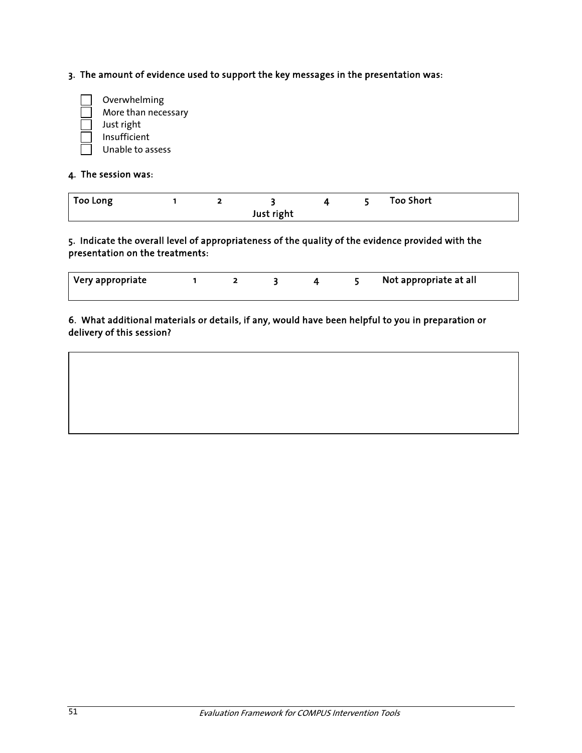3. The amount of evidence used to support the key messages in the presentation was:



#### 4. The session was:

| Too Long |  |            |  | <b>Too Short</b> |  |
|----------|--|------------|--|------------------|--|
|          |  | Just right |  |                  |  |

### 5. Indicate the overall level of appropriateness of the quality of the evidence provided with the presentation on the treatments:

| Very appropriate_ |  |  | Not appropriate at all |
|-------------------|--|--|------------------------|
|                   |  |  |                        |

6. What additional materials or details, if any, would have been helpful to you in preparation or delivery of this session?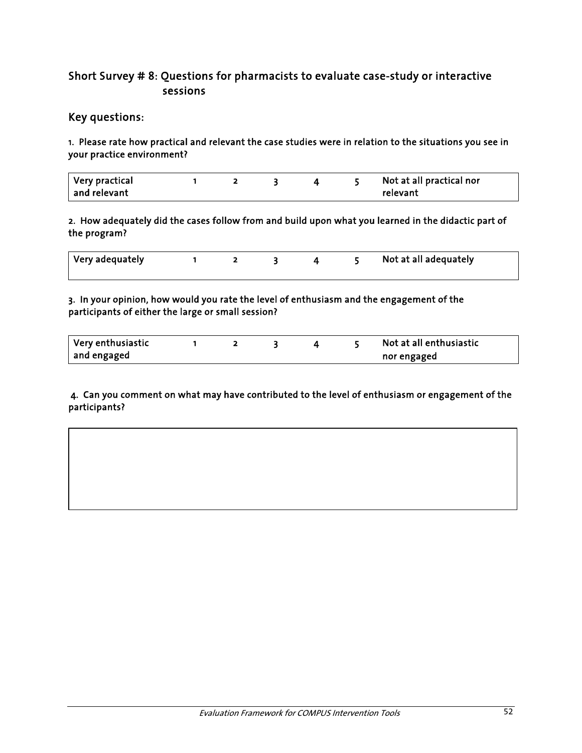### Short Survey # 8: Questions for pharmacists to evaluate case-study or interactive sessions

### Key questions:

1. Please rate how practical and relevant the case studies were in relation to the situations you see in your practice environment?

| $\mid$ Very practical $\mid$ |  |  | Not at all practical nor |
|------------------------------|--|--|--------------------------|
| and relevant                 |  |  | relevant                 |

2. How adequately did the cases follow from and build upon what you learned in the didactic part of the program?

| Very adequately |  |  | Not at all adequately |
|-----------------|--|--|-----------------------|
|                 |  |  |                       |

3. In your opinion, how would you rate the level of enthusiasm and the engagement of the participants of either the large or small session?

| 'Very enthusiastic |  |  | Not at all enthusiastic |
|--------------------|--|--|-------------------------|
| and engaged        |  |  | nor engaged             |

#### 4. Can you comment on what may have contributed to the level of enthusiasm or engagement of the participants?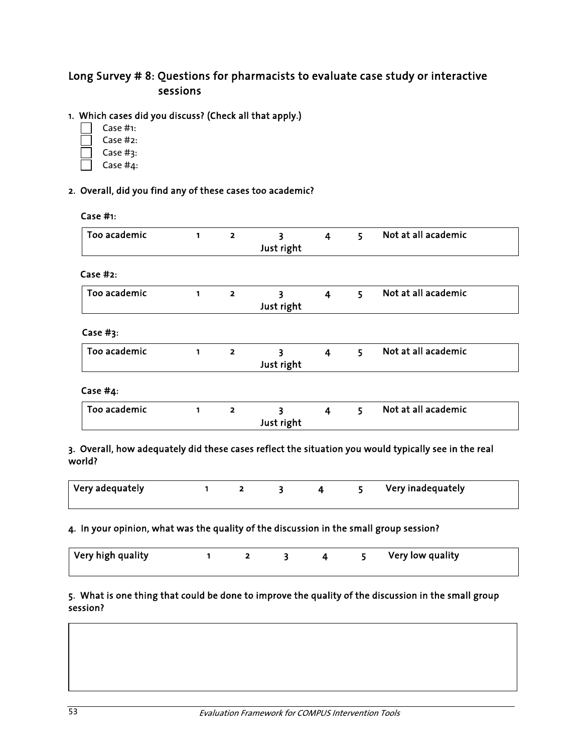### Long Survey # 8: Questions for pharmacists to evaluate case study or interactive sessions

### 1. Which cases did you discuss? (Check all that apply.)

- Case #1:
- Case #2:
- Case #3:
- Case #4:

### 2. Overall, did you find any of these cases too academic?

| Too academic | $\mathbf{1}$ | $\overline{\mathbf{2}}$ | 3<br>Just right | 4                       | 5. | Not at all academic |
|--------------|--------------|-------------------------|-----------------|-------------------------|----|---------------------|
| Case $#2:$   |              |                         |                 |                         |    |                     |
| Too academic | 1            | $\overline{\mathbf{2}}$ | 3<br>Just right | $\overline{4}$          | 5  | Not at all academic |
| Case # $3:$  |              |                         |                 |                         |    |                     |
| Too academic | $\mathbf{1}$ | $\overline{2}$          | 3<br>Just right | $\overline{\mathbf{4}}$ | 5. | Not at all academic |
| Case #4:     |              |                         |                 |                         |    |                     |
| Too academic | 1            | $\overline{\mathbf{z}}$ | 3<br>Just right | $\overline{\mathbf{4}}$ | 5  | Not at all academic |

| Very adequately |  |  | Very inadequately |
|-----------------|--|--|-------------------|
|                 |  |  |                   |

### 4. In your opinion, what was the quality of the discussion in the small group session?

| Very high quality |  |  | Very low quality |
|-------------------|--|--|------------------|
|                   |  |  |                  |

### 5. What is one thing that could be done to improve the quality of the discussion in the small group session?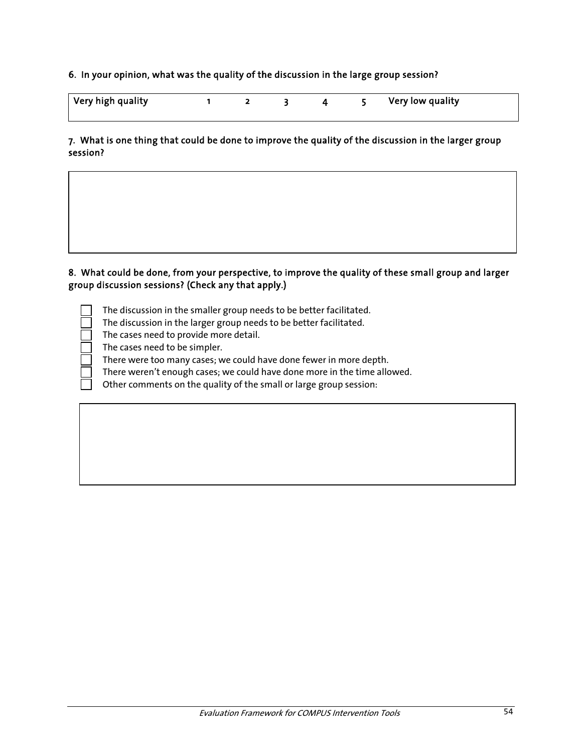#### 6. In your opinion, what was the quality of the discussion in the large group session?

| Very high quality |  |  | Very low quality |
|-------------------|--|--|------------------|
|                   |  |  |                  |

#### 7. What is one thing that could be done to improve the quality of the discussion in the larger group session?

### 8. What could be done, from your perspective, to improve the quality of these small group and larger group discussion sessions? (Check any that apply.)

 The discussion in the smaller group needs to be better facilitated. The discussion in the larger group needs to be better facilitated. The cases need to provide more detail. The cases need to be simpler. There were too many cases; we could have done fewer in more depth. There weren't enough cases; we could have done more in the time allowed. Other comments on the quality of the small or large group session: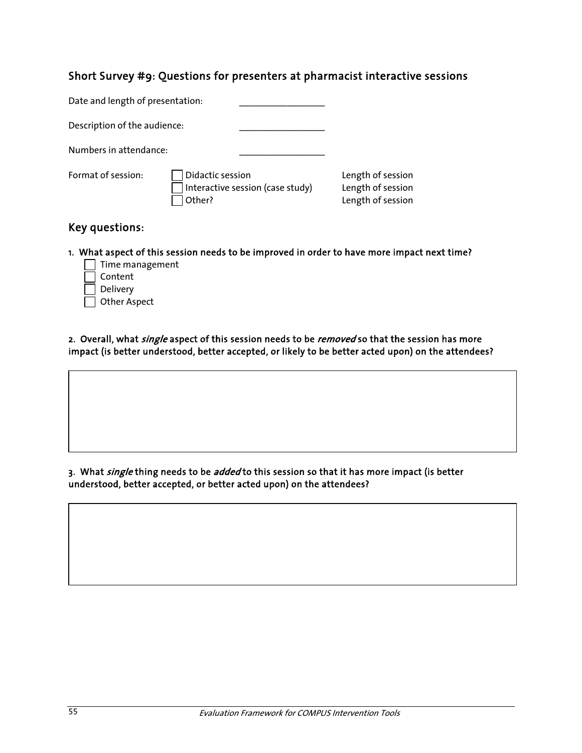### Short Survey #9: Questions for presenters at pharmacist interactive sessions

| Date and length of presentation: |                            |                                  |                                                             |
|----------------------------------|----------------------------|----------------------------------|-------------------------------------------------------------|
| Description of the audience:     |                            |                                  |                                                             |
| Numbers in attendance:           |                            |                                  |                                                             |
| Format of session:               | Didactic session<br>Other? | Interactive session (case study) | Length of session<br>Length of session<br>Length of session |

### Key questions:

1. What aspect of this session needs to be improved in order to have more impact next time?

- $\Box$  Time management Content  $\sqsupset$  Delivery
- Other Aspect

2. Overall, what *single* aspect of this session needs to be *removed* so that the session has more impact (is better understood, better accepted, or likely to be better acted upon) on the attendees?

3. What single thing needs to be added to this session so that it has more impact (is better understood, better accepted, or better acted upon) on the attendees?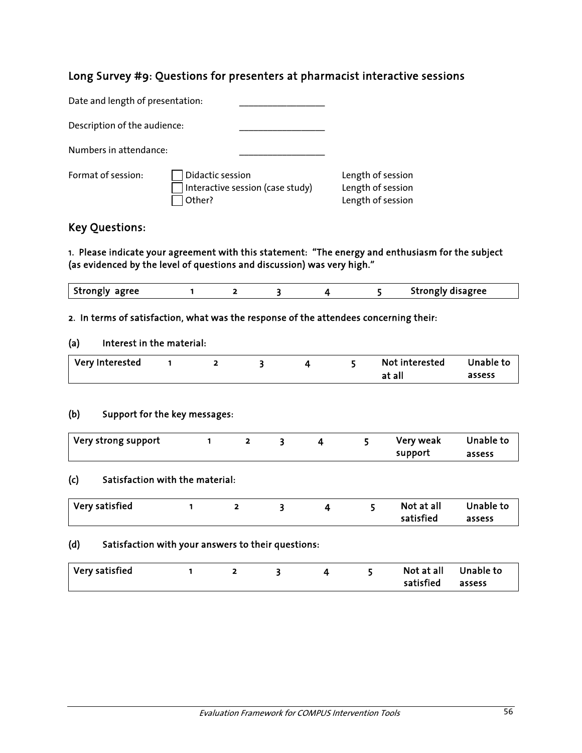### Long Survey #9: Questions for presenters at pharmacist interactive sessions

| Date and length of presentation: |                                                                |                                                             |
|----------------------------------|----------------------------------------------------------------|-------------------------------------------------------------|
| Description of the audience:     |                                                                |                                                             |
| Numbers in attendance:           |                                                                |                                                             |
| Format of session:               | Didactic session<br>Interactive session (case study)<br>Other? | Length of session<br>Length of session<br>Length of session |

### Key Questions:

1. Please indicate your agreement with this statement: "The energy and enthusiasm for the subject (as evidenced by the level of questions and discussion) was very high."

| Strongly agree |  |  | Strongly disagree |
|----------------|--|--|-------------------|

#### 2. In terms of satisfaction, what was the response of the attendees concerning their:

#### (a) Interest in the material:

| Very Interested |  |  | Not interested | Unable to |
|-----------------|--|--|----------------|-----------|
|                 |  |  | at all         | assess    |

#### (b) Support for the key messages:

| Very strong support |  |  | Very weak | Unable to |
|---------------------|--|--|-----------|-----------|
|                     |  |  | support   | assess    |

### (c) Satisfaction with the material:

| satisfied<br>assess | Very satisfied |  |  |  |  |  | Not at all | Unable to |
|---------------------|----------------|--|--|--|--|--|------------|-----------|
|---------------------|----------------|--|--|--|--|--|------------|-----------|

### (d) Satisfaction with your answers to their questions:

| Very satisfied |  |  | satisfied | Not at all Unable to<br>assess |
|----------------|--|--|-----------|--------------------------------|
|                |  |  |           |                                |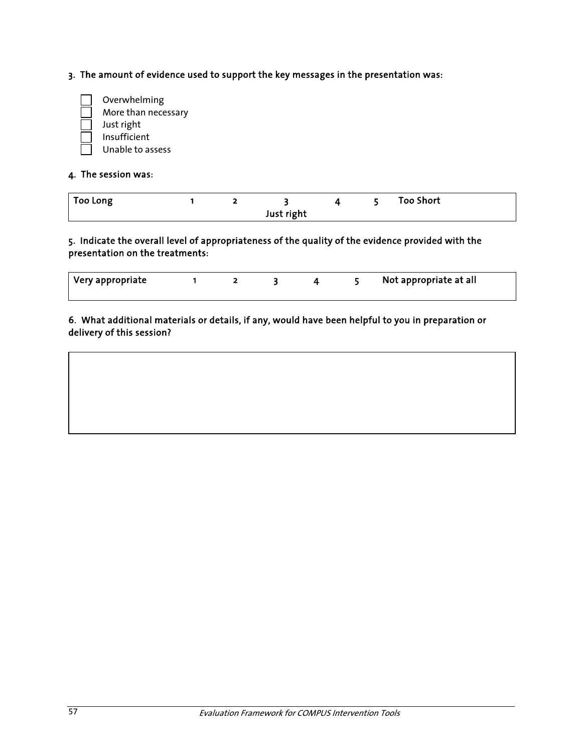3. The amount of evidence used to support the key messages in the presentation was:



#### 4. The session was:

| <b>Too Long</b> |  |            |  | <b>Too Short</b> |
|-----------------|--|------------|--|------------------|
|                 |  | Just right |  |                  |

#### 5. Indicate the overall level of appropriateness of the quality of the evidence provided with the presentation on the treatments:

| Very appropriate |  |  | Not appropriate at all |
|------------------|--|--|------------------------|
|                  |  |  |                        |

### 6. What additional materials or details, if any, would have been helpful to you in preparation or delivery of this session?

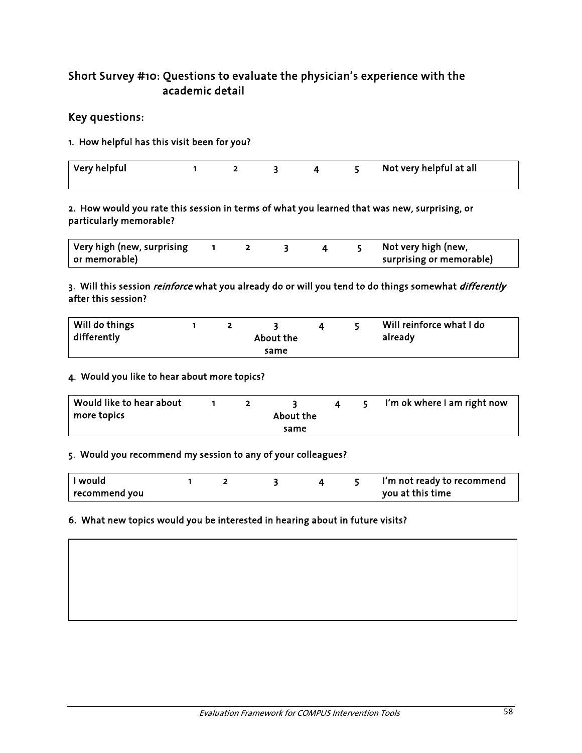### Short Survey #10: Questions to evaluate the physician's experience with the academic detail

### Key questions:

#### 1. How helpful has this visit been for you?

| $\vert$ Very helpful |  |  | Not very helpful at all |
|----------------------|--|--|-------------------------|
|                      |  |  |                         |

#### 2. How would you rate this session in terms of what you learned that was new, surprising, or particularly memorable?

| Very high (new, surprising |  |  | Not very high (new,      |
|----------------------------|--|--|--------------------------|
| or memorable)              |  |  | surprising or memorable) |

#### 3. Will this session *reinforce* what you already do or will you tend to do things somewhat *differently* after this session?

| Will do things<br>differently |  | About the |  | Will reinforce what I do<br>already |
|-------------------------------|--|-----------|--|-------------------------------------|
|                               |  | same      |  |                                     |

#### 4. Would you like to hear about more topics?

| Would like to hear about |  |           |  | I'm ok where I am right now |
|--------------------------|--|-----------|--|-----------------------------|
| more topics              |  | About the |  |                             |
|                          |  | same      |  |                             |

#### 5. Would you recommend my session to any of your colleagues?

| I would              |  |  | I'm not ready to recommend |
|----------------------|--|--|----------------------------|
| $\mid$ recommend you |  |  | you at this time           |

### 6. What new topics would you be interested in hearing about in future visits?

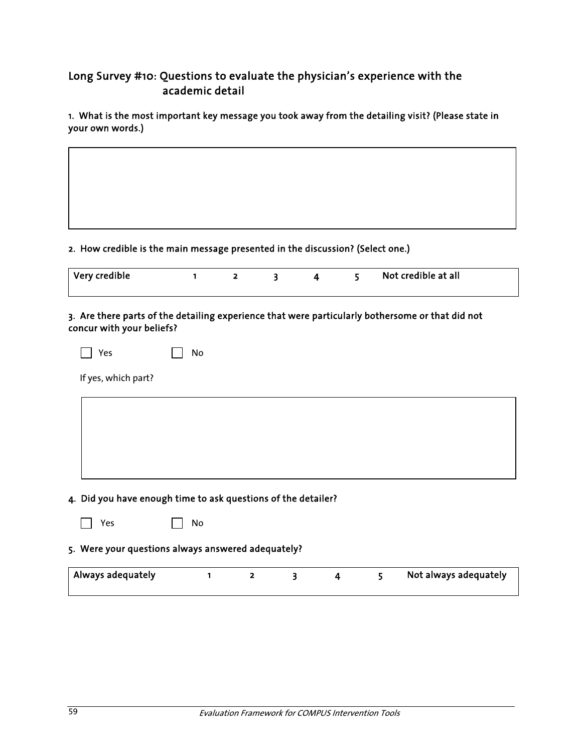### Long Survey #10: Questions to evaluate the physician's experience with the academic detail

1. What is the most important key message you took away from the detailing visit? (Please state in your own words.)

#### 2. How credible is the main message presented in the discussion? (Select one.)

| $\mid$ Very credible |  |  | Not credible at all |
|----------------------|--|--|---------------------|
|                      |  |  |                     |

### 3. Are there parts of the detailing experience that were particularly bothersome or that did not concur with your beliefs?

| $\Box$ Yes | $\Box$ No |  |
|------------|-----------|--|
|            |           |  |

If yes, which part?

### 4. Did you have enough time to ask questions of the detailer?

| Υρς | N <sub>0</sub><br>$\mathbf{I}$ |
|-----|--------------------------------|
|-----|--------------------------------|

### 5. Were your questions always answered adequately?

| Always adequately |  |  | Not always adequately |
|-------------------|--|--|-----------------------|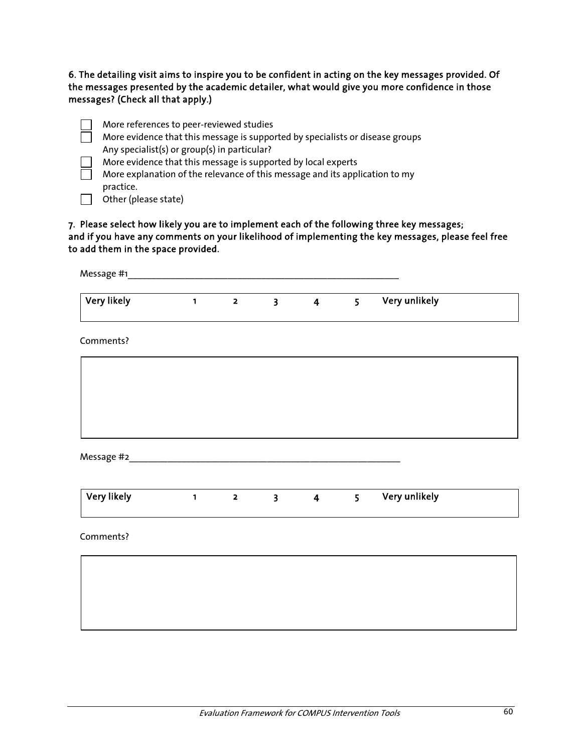### 6. The detailing visit aims to inspire you to be confident in acting on the key messages provided. Of the messages presented by the academic detailer, what would give you more confidence in those messages? (Check all that apply.)

| More references to peer-reviewed studies                                      |
|-------------------------------------------------------------------------------|
| More evidence that this message is supported by specialists or disease groups |
| Any specialist(s) or group(s) in particular?                                  |
| More evidence that this message is supported by local experts                 |
| More explanation of the relevance of this message and its application to my   |
| practice.                                                                     |
| Other (please state)                                                          |

### 7. Please select how likely you are to implement each of the following three key messages; and if you have any comments on your likelihood of implementing the key messages, please feel free to add them in the space provided.

| Very likely | $\mathbf{1}$ and $\mathbf{1}$ and $\mathbf{1}$ | $\overline{\mathbf{2}}$ | $3^{\circ}$ | $4\overline{ }$ | 5 <sup>1</sup> | Very unlikely |  |
|-------------|------------------------------------------------|-------------------------|-------------|-----------------|----------------|---------------|--|
| Comments?   |                                                |                         |             |                 |                |               |  |
|             |                                                |                         |             |                 |                |               |  |
|             |                                                |                         |             |                 |                |               |  |
|             |                                                |                         |             |                 |                |               |  |
| Very likely | $1 \t2 \t3 \t4$                                |                         |             |                 | 5 <sup>1</sup> | Very unlikely |  |
| Comments?   |                                                |                         |             |                 |                |               |  |
|             |                                                |                         |             |                 |                |               |  |
|             |                                                |                         |             |                 |                |               |  |
|             |                                                |                         |             |                 |                |               |  |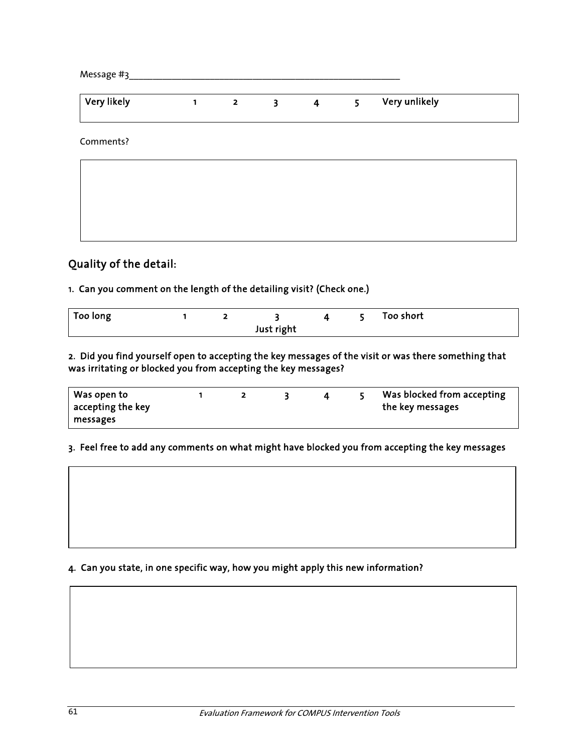| Message #3  |   |                         |                         |                |                |               |  |
|-------------|---|-------------------------|-------------------------|----------------|----------------|---------------|--|
| Very likely | 1 | $\overline{\mathbf{2}}$ | $\overline{\mathbf{3}}$ | $\overline{4}$ | 5 <sup>1</sup> | Very unlikely |  |
| Comments?   |   |                         |                         |                |                |               |  |
|             |   |                         |                         |                |                |               |  |
|             |   |                         |                         |                |                |               |  |

### Quality of the detail:

### 1. Can you comment on the length of the detailing visit? (Check one.)

| Too long |  |            |  | Too short |
|----------|--|------------|--|-----------|
|          |  | Just right |  |           |

2. Did you find yourself open to accepting the key messages of the visit or was there something that was irritating or blocked you from accepting the key messages?

| Was open to<br>$\vert$ accepting the key |  |  | Was blocked from accepting<br>the key messages |
|------------------------------------------|--|--|------------------------------------------------|
| messages                                 |  |  |                                                |

### 3. Feel free to add any comments on what might have blocked you from accepting the key messages

### 4. Can you state, in one specific way, how you might apply this new information?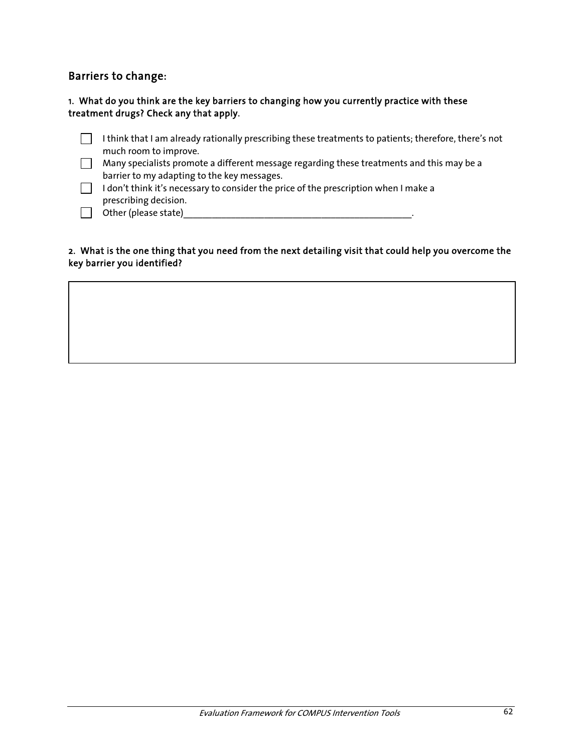### Barriers to change:

### 1. What do you think are the key barriers to changing how you currently practice with these treatment drugs? Check any that apply.

- $\Box$  I think that I am already rationally prescribing these treatments to patients; therefore, there's not much room to improve.
- Many specialists promote a different message regarding these treatments and this may be a barrier to my adapting to the key messages.
- $\Box$  I don't think it's necessary to consider the price of the prescription when I make a prescribing decision.
- $\Box$  Other (please state)<br> $\Box$  Other (please state)

### 2. What is the one thing that you need from the next detailing visit that could help you overcome the key barrier you identified?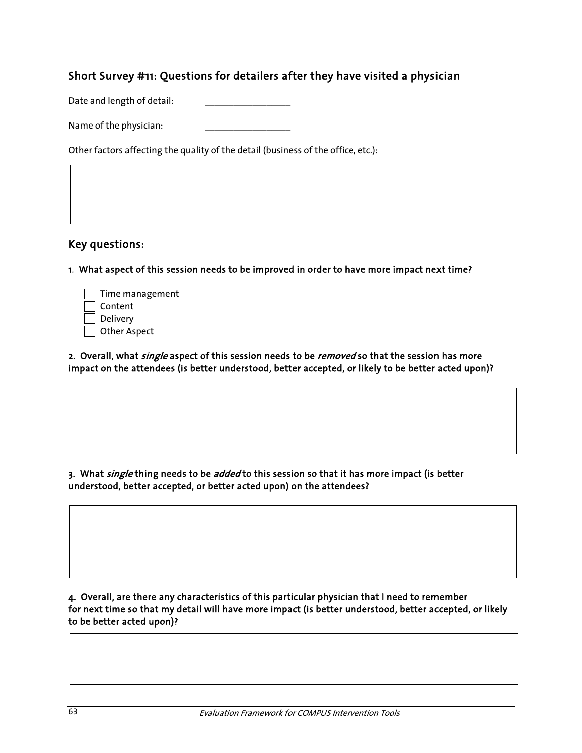### Short Survey #11: Questions for detailers after they have visited a physician

Date and length of detail:

Name of the physician:

Other factors affecting the quality of the detail (business of the office, etc.):

### Key questions:

1. What aspect of this session needs to be improved in order to have more impact next time?

| $\vert$ Time management |
|-------------------------|
| Content                 |
| Delivery                |
| <b>Other Aspect</b>     |

2. Overall, what *single* aspect of this session needs to be *removed* so that the session has more impact on the attendees (is better understood, better accepted, or likely to be better acted upon)?

3. What single thing needs to be added to this session so that it has more impact (is better understood, better accepted, or better acted upon) on the attendees?

4. Overall, are there any characteristics of this particular physician that I need to remember for next time so that my detail will have more impact (is better understood, better accepted, or likely to be better acted upon)?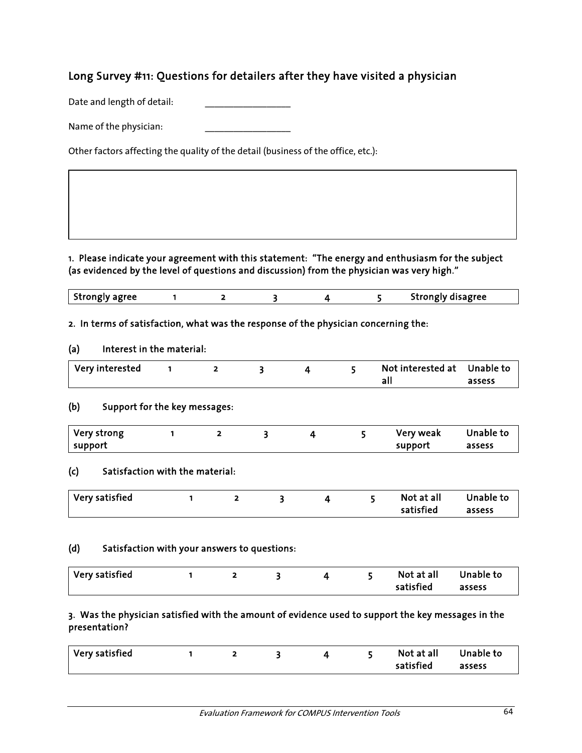### Long Survey #11: Questions for detailers after they have visited a physician

Date and length of detail:

Name of the physician:

Other factors affecting the quality of the detail (business of the office, etc.):

1. Please indicate your agreement with this statement: "The energy and enthusiasm for the subject (as evidenced by the level of questions and discussion) from the physician was very high."

|  | Strongly agree |  |  |  |  |  | Strongly disagree |
|--|----------------|--|--|--|--|--|-------------------|
|--|----------------|--|--|--|--|--|-------------------|

#### 2. In terms of satisfaction, what was the response of the physician concerning the:

#### (a) Interest in the material:

| Very interested |  |  | Not interested at Unable to |        |
|-----------------|--|--|-----------------------------|--------|
|                 |  |  |                             | assess |

#### (b) Support for the key messages:

| Very strong |  |  | Very weak | Unable to |
|-------------|--|--|-----------|-----------|
| support     |  |  | support   | assess    |

### (c) Satisfaction with the material:

| $\mid$ Very satisfied |  |  |           | Not at all Unable to |
|-----------------------|--|--|-----------|----------------------|
|                       |  |  | satisfied | assess               |

#### (d) Satisfaction with your answers to questions:

| Very satisfied |  |  | Not at all | Unable to |
|----------------|--|--|------------|-----------|
|                |  |  | satisfied  | assess    |

### 3. Was the physician satisfied with the amount of evidence used to support the key messages in the presentation?

| Very satisfied |  |  | Not at all Unable to |        |
|----------------|--|--|----------------------|--------|
|                |  |  | satisfied            | assess |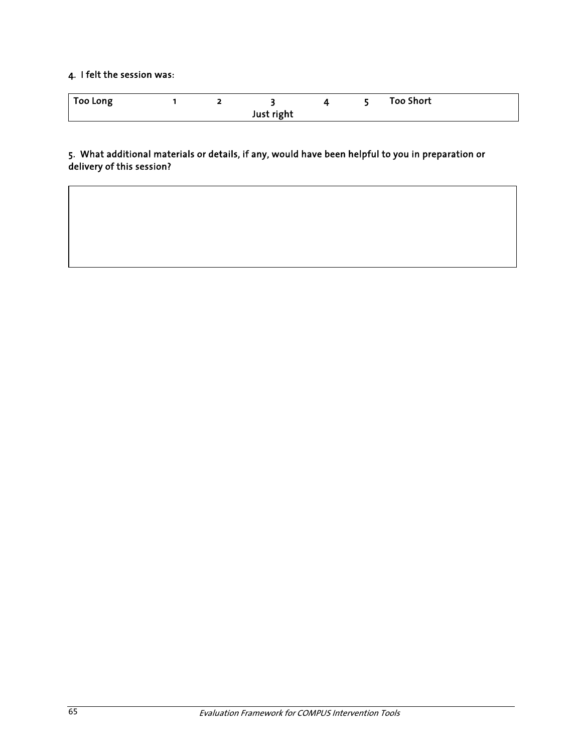### 4. I felt the session was:

| <b>Too Long</b> |  |  |  |  |  | <b>Too Short</b> |  |
|-----------------|--|--|--|--|--|------------------|--|
|                 |  |  |  |  |  |                  |  |

5. What additional materials or details, if any, would have been helpful to you in preparation or delivery of this session?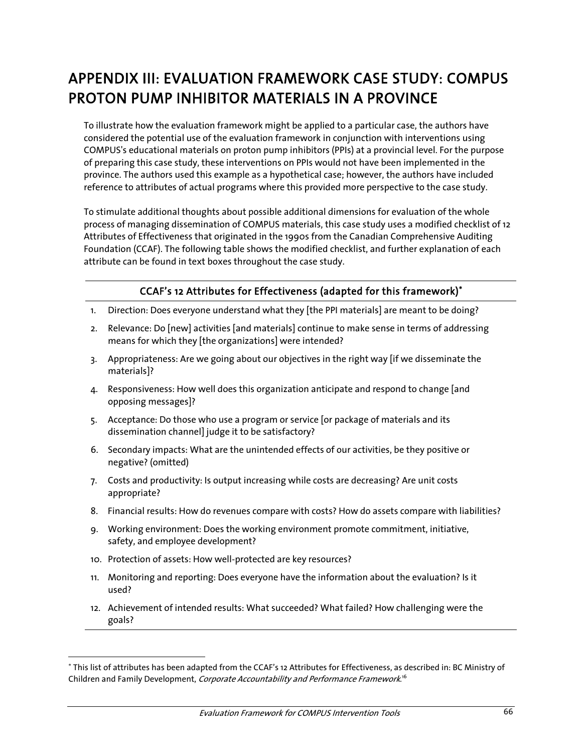# APPENDIX III: EVALUATION FRAMEWORK CASE STUDY: COMPUS PROTON PUMP INHIBITOR MATERIALS IN A PROVINCE

To illustrate how the evaluation framework might be applied to a particular case, the authors have considered the potential use of the evaluation framework in conjunction with interventions using COMPUS's educational materials on proton pump inhibitors (PPIs) at a provincial level. For the purpose of preparing this case study, these interventions on PPIs would not have been implemented in the province. The authors used this example as a hypothetical case; however, the authors have included reference to attributes of actual programs where this provided more perspective to the case study.

To stimulate additional thoughts about possible additional dimensions for evaluation of the whole process of managing dissemination of COMPUS materials, this case study uses a modified checklist of 12 Attributes of Effectiveness that originated in the 1990s from the Canadian Comprehensive Auditing Foundation (CCAF). The following table shows the modified checklist, and further explanation of each attribute can be found in text boxes throughout the case study.

### CCAF's 12 Attributes for Effectiveness (adapted for this framework)<sup>∗</sup>

- 1. Direction: Does everyone understand what they [the PPI materials] are meant to be doing?
- 2. Relevance: Do [new] activities [and materials] continue to make sense in terms of addressing means for which they [the organizations] were intended?
- 3. Appropriateness: Are we going about our objectives in the right way [if we disseminate the materials]?
- 4. Responsiveness: How well does this organization anticipate and respond to change [and opposing messages]?
- 5. Acceptance: Do those who use a program or service [or package of materials and its dissemination channel] judge it to be satisfactory?
- 6. Secondary impacts: What are the unintended effects of our activities, be they positive or negative? (omitted)
- 7. Costs and productivity: Is output increasing while costs are decreasing? Are unit costs appropriate?
- 8. Financial results: How do revenues compare with costs? How do assets compare with liabilities?
- 9. Working environment: Does the working environment promote commitment, initiative, safety, and employee development?
- 10. Protection of assets: How well-protected are key resources?

 $\overline{a}$ 

- 11. Monitoring and reporting: Does everyone have the information about the evaluation? Is it used?
- 12. Achievement of intended results: What succeeded? What failed? How challenging were the goals?

<sup>∗</sup> This list of attributes has been adapted from the CCAF's 12 Attributes for Effectiveness, as described in: BC Ministry of Children and Family Development, *Corporate Accountability and Performance Framework*.'<sup>6</sup>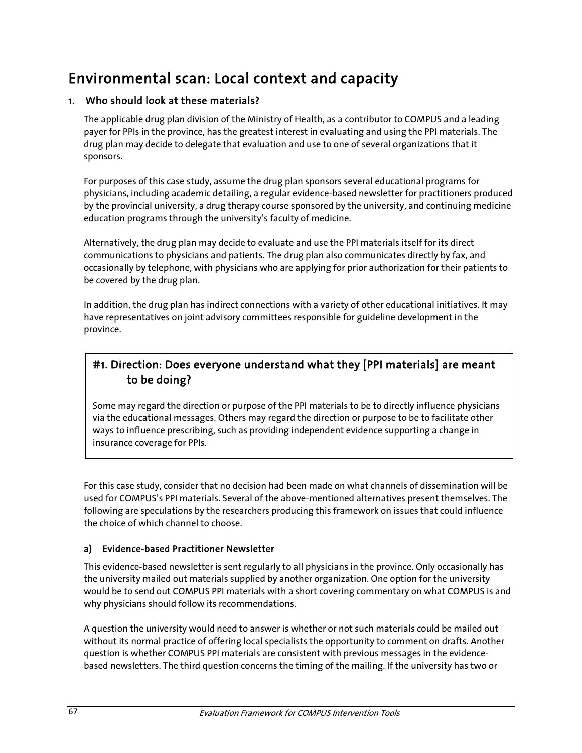## Environmental scan: Local context and capacity

### 1. Who should look at these materials?

The applicable drug plan division of the Ministry of Health, as a contributor to COMPUS and a leading payer for PPIs in the province, has the greatest interest in evaluating and using the PPI materials. The drug plan may decide to delegate that evaluation and use to one of several organizations that it sponsors.

For purposes of this case study, assume the drug plan sponsors several educational programs for physicians, including academic detailing, a regular evidence-based newsletter for practitioners produced by the provincial university, a drug therapy course sponsored by the university, and continuing medicine education programs through the university's faculty of medicine.

Alternatively, the drug plan may decide to evaluate and use the PPI materials itself for its direct communications to physicians and patients. The drug plan also communicates directly by fax, and occasionally by telephone, with physicians who are applying for prior authorization for their patients to be covered by the drug plan.

In addition, the drug plan has indirect connections with a variety of other educational initiatives. It may have representatives on joint advisory committees responsible for guideline development in the province.

### #1. Direction: Does everyone understand what they [PPI materials] are meant to be doing?

Some may regard the direction or purpose of the PPI materials to be to directly influence physicians via the educational messages. Others may regard the direction or purpose to be to facilitate other ways to influence prescribing, such as providing independent evidence supporting a change in insurance coverage for PPIs.

For this case study, consider that no decision had been made on what channels of dissemination will be used for COMPUS's PPI materials. Several of the above-mentioned alternatives present themselves. The following are speculations by the researchers producing this framework on issues that could influence the choice of which channel to choose.

### a) Evidence-based Practitioner Newsletter

This evidence-based newsletter is sent regularly to all physicians in the province. Only occasionally has the university mailed out materials supplied by another organization. One option for the university would be to send out COMPUS PPI materials with a short covering commentary on what COMPUS is and why physicians should follow its recommendations.

A question the university would need to answer is whether or not such materials could be mailed out without its normal practice of offering local specialists the opportunity to comment on drafts. Another question is whether COMPUS PPI materials are consistent with previous messages in the evidencebased newsletters. The third question concerns the timing of the mailing. If the university has two or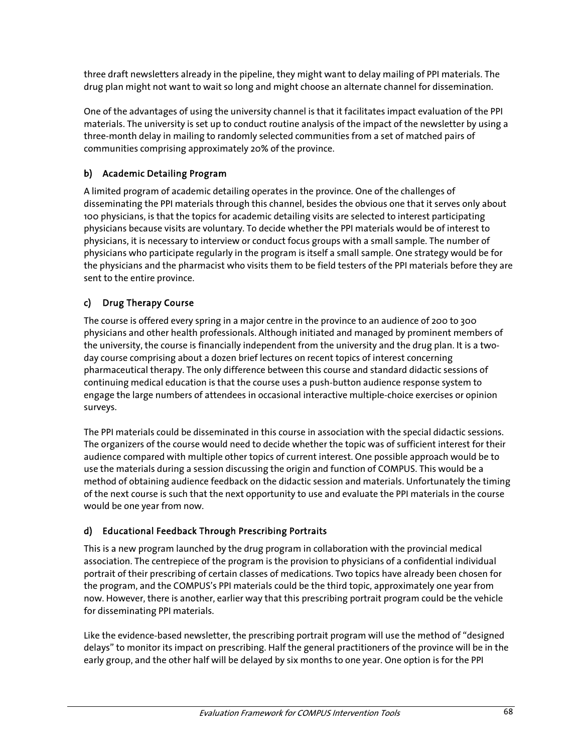three draft newsletters already in the pipeline, they might want to delay mailing of PPI materials. The drug plan might not want to wait so long and might choose an alternate channel for dissemination.

One of the advantages of using the university channel is that it facilitates impact evaluation of the PPI materials. The university is set up to conduct routine analysis of the impact of the newsletter by using a three-month delay in mailing to randomly selected communities from a set of matched pairs of communities comprising approximately 20% of the province.

## b) Academic Detailing Program

A limited program of academic detailing operates in the province. One of the challenges of disseminating the PPI materials through this channel, besides the obvious one that it serves only about 100 physicians, is that the topics for academic detailing visits are selected to interest participating physicians because visits are voluntary. To decide whether the PPI materials would be of interest to physicians, it is necessary to interview or conduct focus groups with a small sample. The number of physicians who participate regularly in the program is itself a small sample. One strategy would be for the physicians and the pharmacist who visits them to be field testers of the PPI materials before they are sent to the entire province.

### c) Drug Therapy Course

The course is offered every spring in a major centre in the province to an audience of 200 to 300 physicians and other health professionals. Although initiated and managed by prominent members of the university, the course is financially independent from the university and the drug plan. It is a twoday course comprising about a dozen brief lectures on recent topics of interest concerning pharmaceutical therapy. The only difference between this course and standard didactic sessions of continuing medical education is that the course uses a push-button audience response system to engage the large numbers of attendees in occasional interactive multiple-choice exercises or opinion surveys.

The PPI materials could be disseminated in this course in association with the special didactic sessions. The organizers of the course would need to decide whether the topic was of sufficient interest for their audience compared with multiple other topics of current interest. One possible approach would be to use the materials during a session discussing the origin and function of COMPUS. This would be a method of obtaining audience feedback on the didactic session and materials. Unfortunately the timing of the next course is such that the next opportunity to use and evaluate the PPI materials in the course would be one year from now.

#### d) Educational Feedback Through Prescribing Portraits

This is a new program launched by the drug program in collaboration with the provincial medical association. The centrepiece of the program is the provision to physicians of a confidential individual portrait of their prescribing of certain classes of medications. Two topics have already been chosen for the program, and the COMPUS's PPI materials could be the third topic, approximately one year from now. However, there is another, earlier way that this prescribing portrait program could be the vehicle for disseminating PPI materials.

Like the evidence-based newsletter, the prescribing portrait program will use the method of "designed delays" to monitor its impact on prescribing. Half the general practitioners of the province will be in the early group, and the other half will be delayed by six months to one year. One option is for the PPI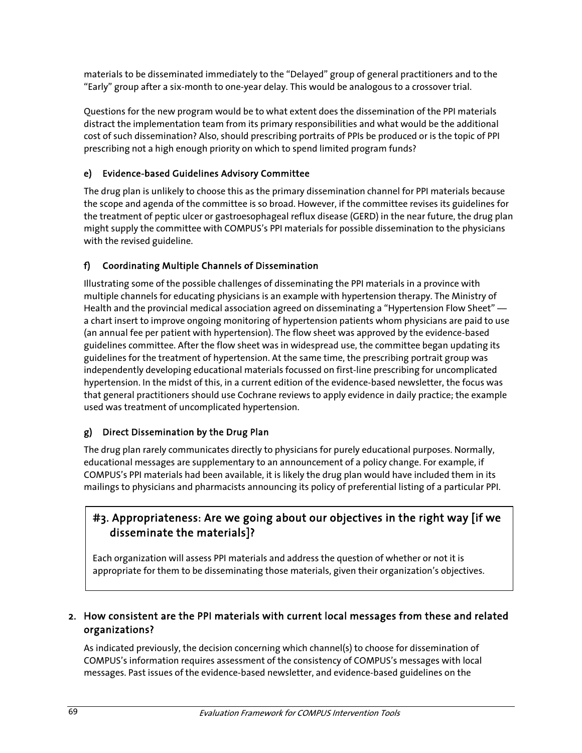materials to be disseminated immediately to the "Delayed" group of general practitioners and to the "Early" group after a six-month to one-year delay. This would be analogous to a crossover trial.

Questions for the new program would be to what extent does the dissemination of the PPI materials distract the implementation team from its primary responsibilities and what would be the additional cost of such dissemination? Also, should prescribing portraits of PPIs be produced or is the topic of PPI prescribing not a high enough priority on which to spend limited program funds?

## e) Evidence-based Guidelines Advisory Committee

The drug plan is unlikely to choose this as the primary dissemination channel for PPI materials because the scope and agenda of the committee is so broad. However, if the committee revises its guidelines for the treatment of peptic ulcer or gastroesophageal reflux disease (GERD) in the near future, the drug plan might supply the committee with COMPUS's PPI materials for possible dissemination to the physicians with the revised guideline.

## f) Coordinating Multiple Channels of Dissemination

Illustrating some of the possible challenges of disseminating the PPI materials in a province with multiple channels for educating physicians is an example with hypertension therapy. The Ministry of Health and the provincial medical association agreed on disseminating a "Hypertension Flow Sheet" a chart insert to improve ongoing monitoring of hypertension patients whom physicians are paid to use (an annual fee per patient with hypertension). The flow sheet was approved by the evidence-based guidelines committee. After the flow sheet was in widespread use, the committee began updating its guidelines for the treatment of hypertension. At the same time, the prescribing portrait group was independently developing educational materials focussed on first-line prescribing for uncomplicated hypertension. In the midst of this, in a current edition of the evidence-based newsletter, the focus was that general practitioners should use Cochrane reviews to apply evidence in daily practice; the example used was treatment of uncomplicated hypertension.

## g) Direct Dissemination by the Drug Plan

The drug plan rarely communicates directly to physicians for purely educational purposes. Normally, educational messages are supplementary to an announcement of a policy change. For example, if COMPUS's PPI materials had been available, it is likely the drug plan would have included them in its mailings to physicians and pharmacists announcing its policy of preferential listing of a particular PPI.

## #3. Appropriateness: Are we going about our objectives in the right way [if we disseminate the materials]?

 appropriate for them to be disseminating those materials, given their organization's objectives. Each organization will assess PPI materials and address the question of whether or not it is

### 2. How consistent are the PPI materials with current local messages from these and related organizations?

As indicated previously, the decision concerning which channel(s) to choose for dissemination of COMPUS's information requires assessment of the consistency of COMPUS's messages with local messages. Past issues of the evidence-based newsletter, and evidence-based guidelines on the

j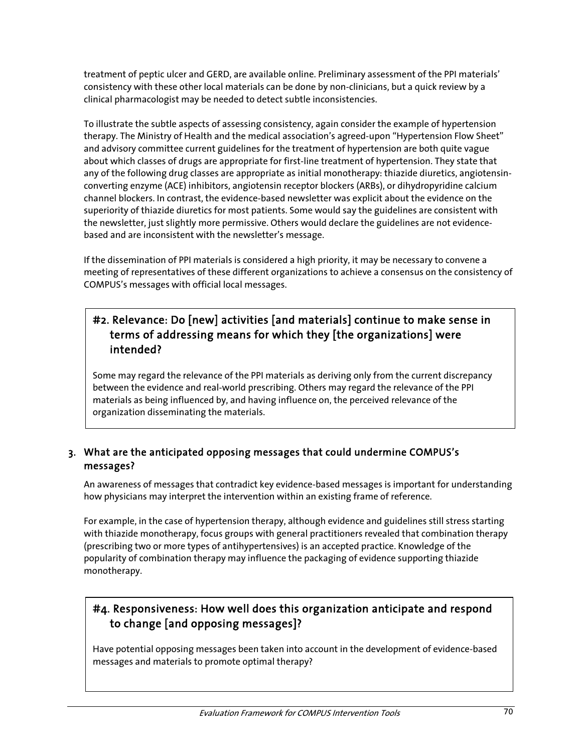treatment of peptic ulcer and GERD, are available online. Preliminary assessment of the PPI materials' consistency with these other local materials can be done by non-clinicians, but a quick review by a clinical pharmacologist may be needed to detect subtle inconsistencies.

To illustrate the subtle aspects of assessing consistency, again consider the example of hypertension therapy. The Ministry of Health and the medical association's agreed-upon "Hypertension Flow Sheet" and advisory committee current guidelines for the treatment of hypertension are both quite vague about which classes of drugs are appropriate for first-line treatment of hypertension. They state that any of the following drug classes are appropriate as initial monotherapy: thiazide diuretics, angiotensinconverting enzyme (ACE) inhibitors, angiotensin receptor blockers (ARBs), or dihydropyridine calcium channel blockers. In contrast, the evidence-based newsletter was explicit about the evidence on the superiority of thiazide diuretics for most patients. Some would say the guidelines are consistent with the newsletter, just slightly more permissive. Others would declare the guidelines are not evidencebased and are inconsistent with the newsletter's message.

If the dissemination of PPI materials is considered a high priority, it may be necessary to convene a meeting of representatives of these different organizations to achieve a consensus on the consistency of COMPUS's messages with official local messages.

## #2. Relevance: Do [new] activities [and materials] continue to make sense in terms of addressing means for which they [the organizations] were intended?

Some may regard the relevance of the PPI materials as deriving only from the current discrepancy between the evidence and real-world prescribing. Others may regard the relevance of the PPI materials as being influenced by, and having influence on, the perceived relevance of the organization disseminating the materials.

### 3. What are the anticipated opposing messages that could undermine COMPUS's messages?

An awareness of messages that contradict key evidence-based messages is important for understanding how physicians may interpret the intervention within an existing frame of reference.

For example, in the case of hypertension therapy, although evidence and guidelines still stress starting with thiazide monotherapy, focus groups with general practitioners revealed that combination therapy (prescribing two or more types of antihypertensives) is an accepted practice. Knowledge of the popularity of combination therapy may influence the packaging of evidence supporting thiazide monotherapy.

# #4. Responsiveness: How well does this organization anticipate and respond to change [and opposing messages]?

Have potential opposing messages been taken into account in the development of evidence-based messages and materials to promote optimal therapy?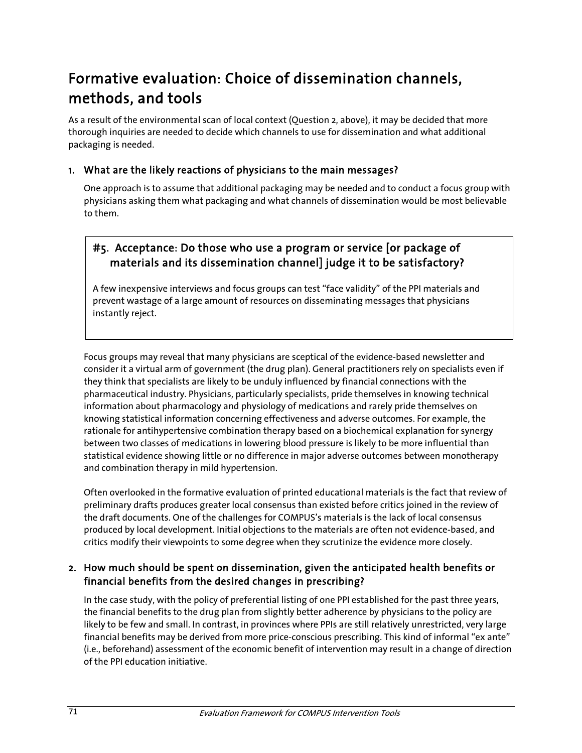# Formative evaluation: Choice of dissemination channels, methods, and tools

As a result of the environmental scan of local context (Question 2, above), it may be decided that more thorough inquiries are needed to decide which channels to use for dissemination and what additional packaging is needed.

### 1. What are the likely reactions of physicians to the main messages?

One approach is to assume that additional packaging may be needed and to conduct a focus group with physicians asking them what packaging and what channels of dissemination would be most believable to them.

# #5. Acceptance: Do those who use a program or service [or package of materials and its dissemination channel] judge it to be satisfactory?

A few inexpensive interviews and focus groups can test "face validity" of the PPI materials and prevent wastage of a large amount of resources on disseminating messages that physicians instantly reject.

Focus groups may reveal that many physicians are sceptical of the evidence-based newsletter and consider it a virtual arm of government (the drug plan). General practitioners rely on specialists even if they think that specialists are likely to be unduly influenced by financial connections with the pharmaceutical industry. Physicians, particularly specialists, pride themselves in knowing technical information about pharmacology and physiology of medications and rarely pride themselves on knowing statistical information concerning effectiveness and adverse outcomes. For example, the rationale for antihypertensive combination therapy based on a biochemical explanation for synergy between two classes of medications in lowering blood pressure is likely to be more influential than statistical evidence showing little or no difference in major adverse outcomes between monotherapy and combination therapy in mild hypertension.

Often overlooked in the formative evaluation of printed educational materials is the fact that review of preliminary drafts produces greater local consensus than existed before critics joined in the review of the draft documents. One of the challenges for COMPUS's materials is the lack of local consensus produced by local development. Initial objections to the materials are often not evidence-based, and critics modify their viewpoints to some degree when they scrutinize the evidence more closely.

### 2. How much should be spent on dissemination, given the anticipated health benefits or financial benefits from the desired changes in prescribing?

In the case study, with the policy of preferential listing of one PPI established for the past three years, the financial benefits to the drug plan from slightly better adherence by physicians to the policy are likely to be few and small. In contrast, in provinces where PPIs are still relatively unrestricted, very large financial benefits may be derived from more price-conscious prescribing. This kind of informal "ex ante" (i.e., beforehand) assessment of the economic benefit of intervention may result in a change of direction of the PPI education initiative.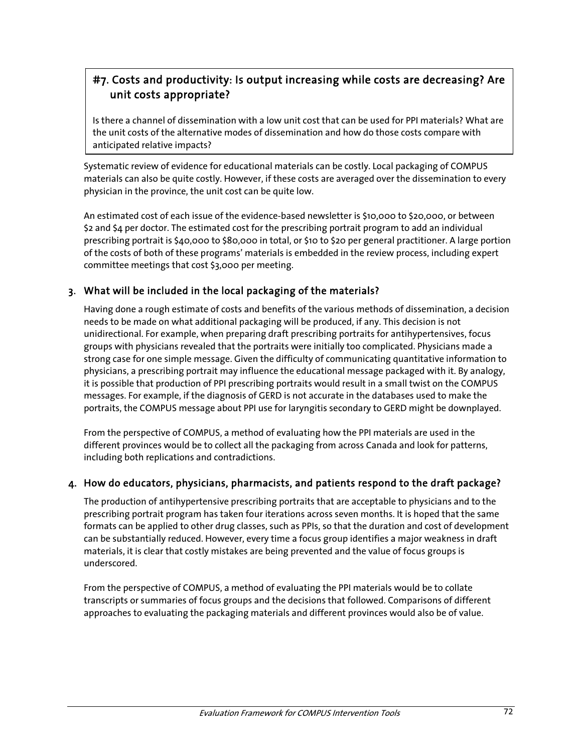# #7. Costs and productivity: Is output increasing while costs are decreasing? Are unit costs appropriate?

Is there a channel of dissemination with a low unit cost that can be used for PPI materials? What are the unit costs of the alternative modes of dissemination and how do those costs compare with anticipated relative impacts?

Systematic review of evidence for educational materials can be costly. Local packaging of COMPUS materials can also be quite costly. However, if these costs are averaged over the dissemination to every physician in the province, the unit cost can be quite low.

An estimated cost of each issue of the evidence-based newsletter is \$10,000 to \$20,000, or between \$2 and \$4 per doctor. The estimated cost for the prescribing portrait program to add an individual prescribing portrait is \$40,000 to \$80,000 in total, or \$10 to \$20 per general practitioner. A large portion of the costs of both of these programs' materials is embedded in the review process, including expert committee meetings that cost \$3,000 per meeting.

#### 3. What will be included in the local packaging of the materials?

Having done a rough estimate of costs and benefits of the various methods of dissemination, a decision needs to be made on what additional packaging will be produced, if any. This decision is not unidirectional. For example, when preparing draft prescribing portraits for antihypertensives, focus groups with physicians revealed that the portraits were initially too complicated. Physicians made a strong case for one simple message. Given the difficulty of communicating quantitative information to physicians, a prescribing portrait may influence the educational message packaged with it. By analogy, it is possible that production of PPI prescribing portraits would result in a small twist on the COMPUS messages. For example, if the diagnosis of GERD is not accurate in the databases used to make the portraits, the COMPUS message about PPI use for laryngitis secondary to GERD might be downplayed.

From the perspective of COMPUS, a method of evaluating how the PPI materials are used in the different provinces would be to collect all the packaging from across Canada and look for patterns, including both replications and contradictions.

#### 4. How do educators, physicians, pharmacists, and patients respond to the draft package?

The production of antihypertensive prescribing portraits that are acceptable to physicians and to the prescribing portrait program has taken four iterations across seven months. It is hoped that the same formats can be applied to other drug classes, such as PPIs, so that the duration and cost of development can be substantially reduced. However, every time a focus group identifies a major weakness in draft materials, it is clear that costly mistakes are being prevented and the value of focus groups is underscored.

From the perspective of COMPUS, a method of evaluating the PPI materials would be to collate transcripts or summaries of focus groups and the decisions that followed. Comparisons of different approaches to evaluating the packaging materials and different provinces would also be of value.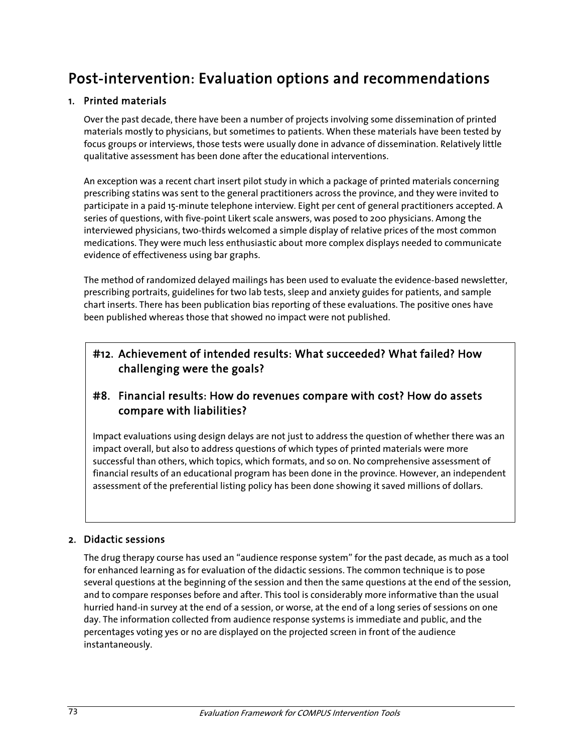# Post-intervention: Evaluation options and recommendations

## 1. Printed materials

Over the past decade, there have been a number of projects involving some dissemination of printed materials mostly to physicians, but sometimes to patients. When these materials have been tested by focus groups or interviews, those tests were usually done in advance of dissemination. Relatively little qualitative assessment has been done after the educational interventions.

An exception was a recent chart insert pilot study in which a package of printed materials concerning prescribing statins was sent to the general practitioners across the province, and they were invited to participate in a paid 15-minute telephone interview. Eight per cent of general practitioners accepted. A series of questions, with five-point Likert scale answers, was posed to 200 physicians. Among the interviewed physicians, two-thirds welcomed a simple display of relative prices of the most common medications. They were much less enthusiastic about more complex displays needed to communicate evidence of effectiveness using bar graphs.

The method of randomized delayed mailings has been used to evaluate the evidence-based newsletter, prescribing portraits, guidelines for two lab tests, sleep and anxiety guides for patients, and sample chart inserts. There has been publication bias reporting of these evaluations. The positive ones have been published whereas those that showed no impact were not published.

## #12. Achievement of intended results: What succeeded? What failed? How challenging were the goals?

## #8. Financial results: How do revenues compare with cost? How do assets compare with liabilities?

Impact evaluations using design delays are not just to address the question of whether there was an impact overall, but also to address questions of which types of printed materials were more successful than others, which topics, which formats, and so on. No comprehensive assessment of financial results of an educational program has been done in the province. However, an independent assessment of the preferential listing policy has been done showing it saved millions of dollars.

#### 2. Didactic sessions

The drug therapy course has used an "audience response system" for the past decade, as much as a tool for enhanced learning as for evaluation of the didactic sessions. The common technique is to pose several questions at the beginning of the session and then the same questions at the end of the session, and to compare responses before and after. This tool is considerably more informative than the usual hurried hand-in survey at the end of a session, or worse, at the end of a long series of sessions on one day. The information collected from audience response systems is immediate and public, and the percentages voting yes or no are displayed on the projected screen in front of the audience instantaneously.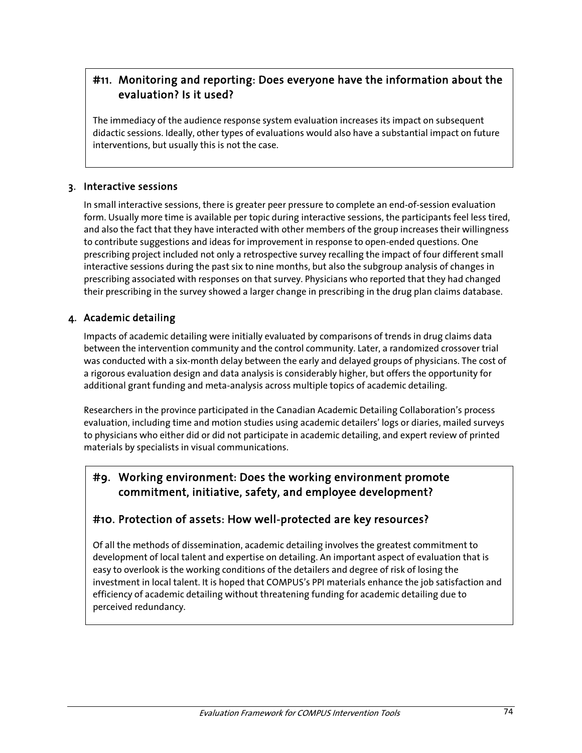## #11. Monitoring and reporting: Does everyone have the information about the evaluation? Is it used?

The immediacy of the audience response system evaluation increases its impact on subsequent didactic sessions. Ideally, other types of evaluations would also have a substantial impact on future interventions, but usually this is not the case.

#### 3. Interactive sessions

In small interactive sessions, there is greater peer pressure to complete an end-of-session evaluation form. Usually more time is available per topic during interactive sessions, the participants feel less tired, and also the fact that they have interacted with other members of the group increases their willingness to contribute suggestions and ideas for improvement in response to open-ended questions. One prescribing project included not only a retrospective survey recalling the impact of four different small interactive sessions during the past six to nine months, but also the subgroup analysis of changes in prescribing associated with responses on that survey. Physicians who reported that they had changed their prescribing in the survey showed a larger change in prescribing in the drug plan claims database.

### 4. Academic detailing

Impacts of academic detailing were initially evaluated by comparisons of trends in drug claims data between the intervention community and the control community. Later, a randomized crossover trial was conducted with a six-month delay between the early and delayed groups of physicians. The cost of a rigorous evaluation design and data analysis is considerably higher, but offers the opportunity for additional grant funding and meta-analysis across multiple topics of academic detailing.

Researchers in the province participated in the Canadian Academic Detailing Collaboration's process evaluation, including time and motion studies using academic detailers' logs or diaries, mailed surveys to physicians who either did or did not participate in academic detailing, and expert review of printed materials by specialists in visual communications.

## #9. Working environment: Does the working environment promote commitment, initiative, safety, and employee development?

## #10. Protection of assets: How well-protected are key resources?

Of all the methods of dissemination, academic detailing involves the greatest commitment to development of local talent and expertise on detailing. An important aspect of evaluation that is easy to overlook is the working conditions of the detailers and degree of risk of losing the investment in local talent. It is hoped that COMPUS's PPI materials enhance the job satisfaction and efficiency of academic detailing without threatening funding for academic detailing due to perceived redundancy.